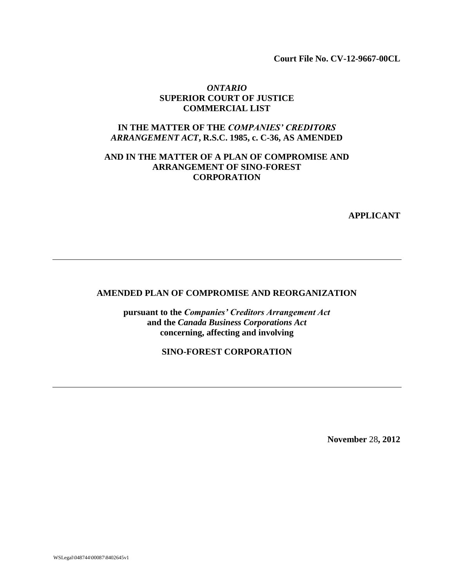**Court File No. CV-12-9667-00CL**

#### *ONTARIO* **SUPERIOR COURT OF JUSTICE COMMERCIAL LIST**

#### **IN THE MATTER OF THE** *COMPANIES' CREDITORS ARRANGEMENT ACT***, R.S.C. 1985, c. C-36, AS AMENDED**

## **AND IN THE MATTER OF A PLAN OF COMPROMISE AND ARRANGEMENT OF SINO-FOREST CORPORATION**

**APPLICANT**

## **AMENDED PLAN OF COMPROMISE AND REORGANIZATION**

**pursuant to the** *Companies' Creditors Arrangement Act*  **and the** *Canada Business Corporations Act* **concerning, affecting and involving**

**SINO-FOREST CORPORATION**

**November** 28**, 2012**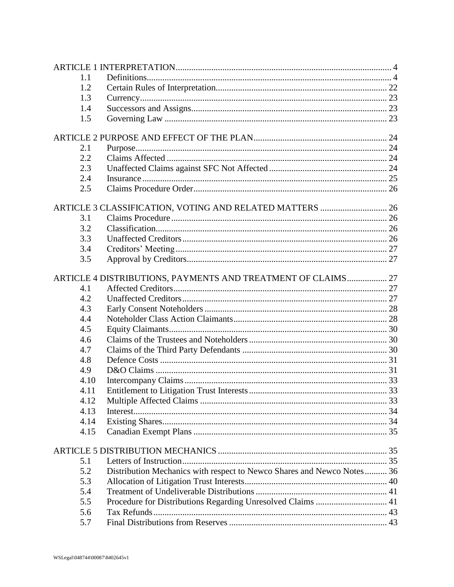| 1.1  |                                                                        |  |
|------|------------------------------------------------------------------------|--|
| 1.2  |                                                                        |  |
| 1.3  |                                                                        |  |
| 1.4  |                                                                        |  |
| 1.5  |                                                                        |  |
|      |                                                                        |  |
| 2.1  |                                                                        |  |
| 2.2  |                                                                        |  |
| 2.3  |                                                                        |  |
| 2.4  |                                                                        |  |
| 2.5  |                                                                        |  |
|      | ARTICLE 3 CLASSIFICATION, VOTING AND RELATED MATTERS  26               |  |
| 3.1  |                                                                        |  |
| 3.2  |                                                                        |  |
| 3.3  |                                                                        |  |
| 3.4  |                                                                        |  |
| 3.5  |                                                                        |  |
|      | ARTICLE 4 DISTRIBUTIONS, PAYMENTS AND TREATMENT OF CLAIMS 27           |  |
| 4.1  |                                                                        |  |
| 4.2  |                                                                        |  |
| 4.3  |                                                                        |  |
| 4.4  |                                                                        |  |
| 4.5  |                                                                        |  |
| 4.6  |                                                                        |  |
| 4.7  |                                                                        |  |
| 4.8  |                                                                        |  |
| 4.9  |                                                                        |  |
| 4.10 |                                                                        |  |
| 4.11 |                                                                        |  |
| 4.12 |                                                                        |  |
| 4.13 |                                                                        |  |
| 4.14 |                                                                        |  |
| 4.15 |                                                                        |  |
|      |                                                                        |  |
| 5.1  |                                                                        |  |
| 5.2  | Distribution Mechanics with respect to Newco Shares and Newco Notes 36 |  |
| 5.3  |                                                                        |  |
| 5.4  |                                                                        |  |
| 5.5  | Procedure for Distributions Regarding Unresolved Claims  41            |  |
| 5.6  |                                                                        |  |
| 5.7  |                                                                        |  |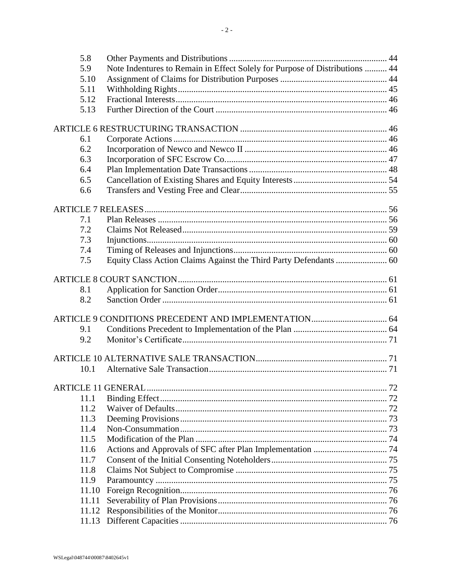| 5.8   |                                                                             |  |
|-------|-----------------------------------------------------------------------------|--|
| 5.9   | Note Indentures to Remain in Effect Solely for Purpose of Distributions  44 |  |
| 5.10  |                                                                             |  |
| 5.11  |                                                                             |  |
| 5.12  |                                                                             |  |
| 5.13  |                                                                             |  |
|       |                                                                             |  |
|       |                                                                             |  |
| 6.1   |                                                                             |  |
| 6.2   |                                                                             |  |
| 6.3   |                                                                             |  |
| 6.4   |                                                                             |  |
| 6.5   |                                                                             |  |
| 6.6   |                                                                             |  |
|       |                                                                             |  |
|       |                                                                             |  |
| 7.1   |                                                                             |  |
| 7.2   |                                                                             |  |
| 7.3   |                                                                             |  |
| 7.4   |                                                                             |  |
| 7.5   |                                                                             |  |
|       |                                                                             |  |
| 8.1   |                                                                             |  |
| 8.2   |                                                                             |  |
|       |                                                                             |  |
|       |                                                                             |  |
| 9.1   |                                                                             |  |
| 9.2   |                                                                             |  |
|       |                                                                             |  |
| 10.1  |                                                                             |  |
|       |                                                                             |  |
|       |                                                                             |  |
| 11.1  |                                                                             |  |
| 11.2  |                                                                             |  |
| 11.3  |                                                                             |  |
| 11.4  |                                                                             |  |
| 11.5  |                                                                             |  |
| 11.6  |                                                                             |  |
| 11.7  |                                                                             |  |
| 11.8  |                                                                             |  |
| 11.9  |                                                                             |  |
| 11.10 |                                                                             |  |
| 11.11 |                                                                             |  |
| 11.12 |                                                                             |  |
| 11.13 |                                                                             |  |
|       |                                                                             |  |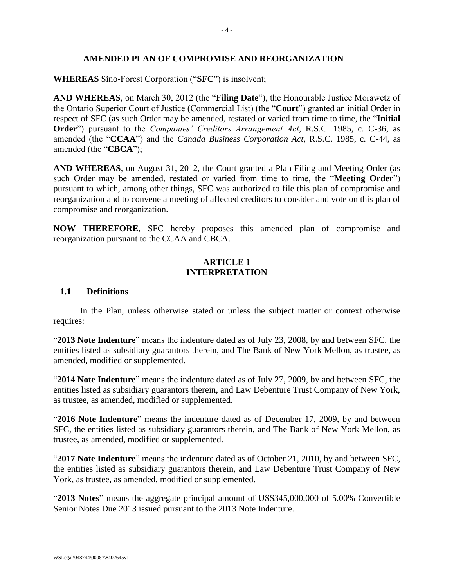## **AMENDED PLAN OF COMPROMISE AND REORGANIZATION**

#### **WHEREAS** Sino-Forest Corporation ("**SFC**") is insolvent;

**AND WHEREAS**, on March 30, 2012 (the "**Filing Date**"), the Honourable Justice Morawetz of the Ontario Superior Court of Justice (Commercial List) (the "**Court**") granted an initial Order in respect of SFC (as such Order may be amended, restated or varied from time to time, the "**Initial Order**") pursuant to the *Companies' Creditors Arrangement Act*, R.S.C. 1985, c. C-36, as amended (the "**CCAA**") and the *Canada Business Corporation Act*, R.S.C. 1985, c. C-44, as amended (the "**CBCA**");

**AND WHEREAS**, on August 31, 2012, the Court granted a Plan Filing and Meeting Order (as such Order may be amended, restated or varied from time to time, the "**Meeting Order**") pursuant to which, among other things, SFC was authorized to file this plan of compromise and reorganization and to convene a meeting of affected creditors to consider and vote on this plan of compromise and reorganization.

**NOW THEREFORE**, SFC hereby proposes this amended plan of compromise and reorganization pursuant to the CCAA and CBCA.

## **ARTICLE 1 INTERPRETATION**

#### <span id="page-4-1"></span><span id="page-4-0"></span>**1.1 Definitions**

In the Plan, unless otherwise stated or unless the subject matter or context otherwise requires:

"**2013 Note Indenture**" means the indenture dated as of July 23, 2008, by and between SFC, the entities listed as subsidiary guarantors therein, and The Bank of New York Mellon, as trustee, as amended, modified or supplemented.

"**2014 Note Indenture**" means the indenture dated as of July 27, 2009, by and between SFC, the entities listed as subsidiary guarantors therein, and Law Debenture Trust Company of New York, as trustee, as amended, modified or supplemented.

"**2016 Note Indenture**" means the indenture dated as of December 17, 2009, by and between SFC, the entities listed as subsidiary guarantors therein, and The Bank of New York Mellon, as trustee, as amended, modified or supplemented.

"**2017 Note Indenture**" means the indenture dated as of October 21, 2010, by and between SFC, the entities listed as subsidiary guarantors therein, and Law Debenture Trust Company of New York, as trustee, as amended, modified or supplemented.

"**2013 Notes**" means the aggregate principal amount of US\$345,000,000 of 5.00% Convertible Senior Notes Due 2013 issued pursuant to the 2013 Note Indenture.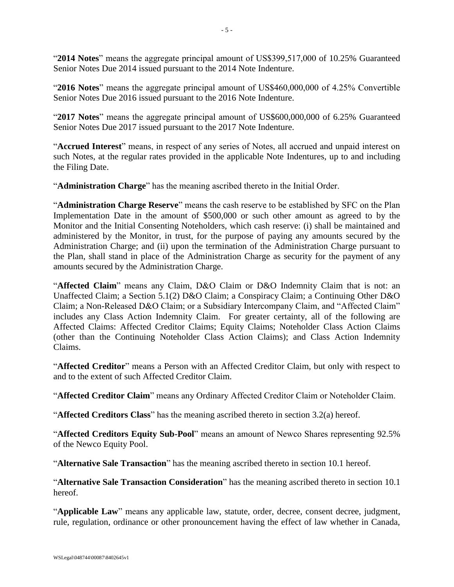"**2014 Notes**" means the aggregate principal amount of US\$399,517,000 of 10.25% Guaranteed Senior Notes Due 2014 issued pursuant to the 2014 Note Indenture.

"**2016 Notes**" means the aggregate principal amount of US\$460,000,000 of 4.25% Convertible Senior Notes Due 2016 issued pursuant to the 2016 Note Indenture.

"**2017 Notes**" means the aggregate principal amount of US\$600,000,000 of 6.25% Guaranteed Senior Notes Due 2017 issued pursuant to the 2017 Note Indenture.

"**Accrued Interest**" means, in respect of any series of Notes, all accrued and unpaid interest on such Notes, at the regular rates provided in the applicable Note Indentures, up to and including the Filing Date.

"**Administration Charge**" has the meaning ascribed thereto in the Initial Order.

"**Administration Charge Reserve**" means the cash reserve to be established by SFC on the Plan Implementation Date in the amount of \$500,000 or such other amount as agreed to by the Monitor and the Initial Consenting Noteholders, which cash reserve: (i) shall be maintained and administered by the Monitor, in trust, for the purpose of paying any amounts secured by the Administration Charge; and (ii) upon the termination of the Administration Charge pursuant to the Plan, shall stand in place of the Administration Charge as security for the payment of any amounts secured by the Administration Charge.

"**Affected Claim**" means any Claim, D&O Claim or D&O Indemnity Claim that is not: an Unaffected Claim; a Section 5.1(2) D&O Claim; a Conspiracy Claim; a Continuing Other D&O Claim; a Non-Released D&O Claim; or a Subsidiary Intercompany Claim, and "Affected Claim" includes any Class Action Indemnity Claim. For greater certainty, all of the following are Affected Claims: Affected Creditor Claims; Equity Claims; Noteholder Class Action Claims (other than the Continuing Noteholder Class Action Claims); and Class Action Indemnity Claims.

"**Affected Creditor**" means a Person with an Affected Creditor Claim, but only with respect to and to the extent of such Affected Creditor Claim.

"**Affected Creditor Claim**" means any Ordinary Affected Creditor Claim or Noteholder Claim.

"**Affected Creditors Class**" has the meaning ascribed thereto in section [3.2\(a\)](#page-26-5) hereof.

"**Affected Creditors Equity Sub-Pool**" means an amount of Newco Shares representing 92.5% of the Newco Equity Pool.

"**Alternative Sale Transaction**" has the meaning ascribed thereto in section [10.1](#page-71-2) hereof.

"**Alternative Sale Transaction Consideration**" has the meaning ascribed thereto in section [10.1](#page-71-2) hereof.

"**Applicable Law**" means any applicable law, statute, order, decree, consent decree, judgment, rule, regulation, ordinance or other pronouncement having the effect of law whether in Canada,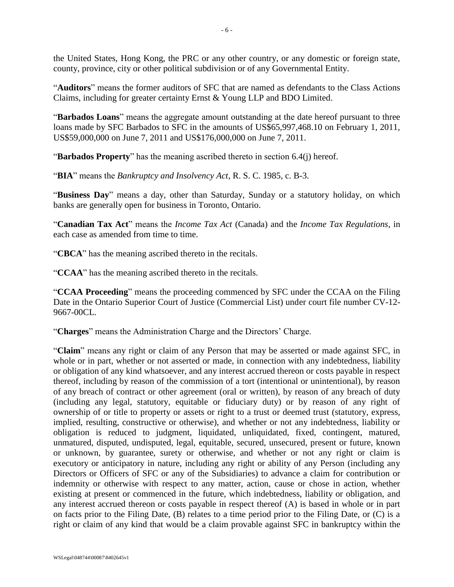the United States, Hong Kong, the PRC or any other country, or any domestic or foreign state, county, province, city or other political subdivision or of any Governmental Entity.

"**Auditors**" means the former auditors of SFC that are named as defendants to the Class Actions Claims, including for greater certainty Ernst & Young LLP and BDO Limited.

"**Barbados Loans**" means the aggregate amount outstanding at the date hereof pursuant to three loans made by SFC Barbados to SFC in the amounts of US\$65,997,468.10 on February 1, 2011, US\$59,000,000 on June 7, 2011 and US\$176,000,000 on June 7, 2011.

"**Barbados Property**" has the meaning ascribed thereto in section [6.4\(j\)](#page-50-0) hereof.

"**BIA**" means the *Bankruptcy and Insolvency Act*, R. S. C. 1985, c. B-3.

"**Business Day**" means a day, other than Saturday, Sunday or a statutory holiday, on which banks are generally open for business in Toronto, Ontario.

"**Canadian Tax Act**" means the *Income Tax Act* (Canada) and the *Income Tax Regulations*, in each case as amended from time to time.

"**CBCA**" has the meaning ascribed thereto in the recitals.

"**CCAA**" has the meaning ascribed thereto in the recitals.

"**CCAA Proceeding**" means the proceeding commenced by SFC under the CCAA on the Filing Date in the Ontario Superior Court of Justice (Commercial List) under court file number CV-12- 9667-00CL.

"**Charges**" means the Administration Charge and the Directors' Charge.

"**Claim**" means any right or claim of any Person that may be asserted or made against SFC, in whole or in part, whether or not asserted or made, in connection with any indebtedness, liability or obligation of any kind whatsoever, and any interest accrued thereon or costs payable in respect thereof, including by reason of the commission of a tort (intentional or unintentional), by reason of any breach of contract or other agreement (oral or written), by reason of any breach of duty (including any legal, statutory, equitable or fiduciary duty) or by reason of any right of ownership of or title to property or assets or right to a trust or deemed trust (statutory, express, implied, resulting, constructive or otherwise), and whether or not any indebtedness, liability or obligation is reduced to judgment, liquidated, unliquidated, fixed, contingent, matured, unmatured, disputed, undisputed, legal, equitable, secured, unsecured, present or future, known or unknown, by guarantee, surety or otherwise, and whether or not any right or claim is executory or anticipatory in nature, including any right or ability of any Person (including any Directors or Officers of SFC or any of the Subsidiaries) to advance a claim for contribution or indemnity or otherwise with respect to any matter, action, cause or chose in action, whether existing at present or commenced in the future, which indebtedness, liability or obligation, and any interest accrued thereon or costs payable in respect thereof (A) is based in whole or in part on facts prior to the Filing Date, (B) relates to a time period prior to the Filing Date, or (C) is a right or claim of any kind that would be a claim provable against SFC in bankruptcy within the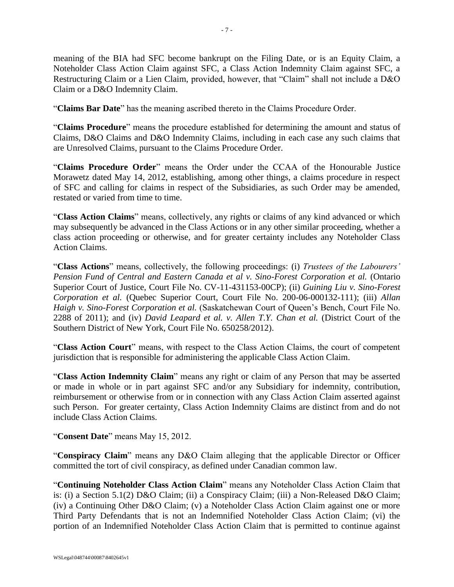meaning of the BIA had SFC become bankrupt on the Filing Date, or is an Equity Claim, a Noteholder Class Action Claim against SFC, a Class Action Indemnity Claim against SFC, a Restructuring Claim or a Lien Claim, provided, however, that "Claim" shall not include a D&O Claim or a D&O Indemnity Claim.

"**Claims Bar Date**" has the meaning ascribed thereto in the Claims Procedure Order.

"**Claims Procedure**" means the procedure established for determining the amount and status of Claims, D&O Claims and D&O Indemnity Claims, including in each case any such claims that are Unresolved Claims, pursuant to the Claims Procedure Order.

"**Claims Procedure Order**" means the Order under the CCAA of the Honourable Justice Morawetz dated May 14, 2012, establishing, among other things, a claims procedure in respect of SFC and calling for claims in respect of the Subsidiaries, as such Order may be amended, restated or varied from time to time.

"**Class Action Claims**" means, collectively, any rights or claims of any kind advanced or which may subsequently be advanced in the Class Actions or in any other similar proceeding, whether a class action proceeding or otherwise, and for greater certainty includes any Noteholder Class Action Claims.

"**Class Actions**" means, collectively, the following proceedings: (i) *Trustees of the Labourers' Pension Fund of Central and Eastern Canada et al v. Sino-Forest Corporation et al.* (Ontario Superior Court of Justice, Court File No. CV-11-431153-00CP); (ii) *Guining Liu v. Sino-Forest Corporation et al.* (Quebec Superior Court, Court File No. 200-06-000132-111); (iii) *Allan Haigh v. Sino-Forest Corporation et al.* (Saskatchewan Court of Queen's Bench, Court File No. 2288 of 2011); and (iv) *David Leapard et al. v. Allen T.Y. Chan et al.* (District Court of the Southern District of New York, Court File No. 650258/2012).

"**Class Action Court**" means, with respect to the Class Action Claims, the court of competent jurisdiction that is responsible for administering the applicable Class Action Claim.

"**Class Action Indemnity Claim**" means any right or claim of any Person that may be asserted or made in whole or in part against SFC and/or any Subsidiary for indemnity, contribution, reimbursement or otherwise from or in connection with any Class Action Claim asserted against such Person. For greater certainty, Class Action Indemnity Claims are distinct from and do not include Class Action Claims.

"**Consent Date**" means May 15, 2012.

"**Conspiracy Claim**" means any D&O Claim alleging that the applicable Director or Officer committed the tort of civil conspiracy, as defined under Canadian common law.

"**Continuing Noteholder Class Action Claim**" means any Noteholder Class Action Claim that is: (i) a Section 5.1(2) D&O Claim; (ii) a Conspiracy Claim; (iii) a Non-Released D&O Claim; (iv) a Continuing Other D&O Claim; (v) a Noteholder Class Action Claim against one or more Third Party Defendants that is not an Indemnified Noteholder Class Action Claim; (vi) the portion of an Indemnified Noteholder Class Action Claim that is permitted to continue against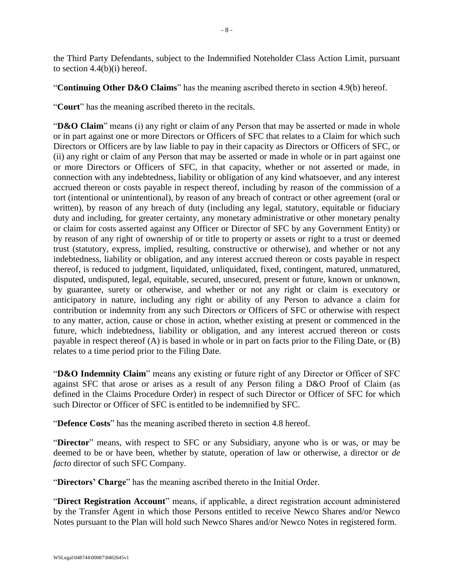the Third Party Defendants, subject to the Indemnified Noteholder Class Action Limit, pursuant to section [4.4\(b\)\(i\)](#page-29-0) hereof.

"**Continuing Other D&O Claims**" has the meaning ascribed thereto in section [4.9\(b\)](#page-31-2) hereof.

"**Court**" has the meaning ascribed thereto in the recitals.

"**D&O Claim**" means (i) any right or claim of any Person that may be asserted or made in whole or in part against one or more Directors or Officers of SFC that relates to a Claim for which such Directors or Officers are by law liable to pay in their capacity as Directors or Officers of SFC, or (ii) any right or claim of any Person that may be asserted or made in whole or in part against one or more Directors or Officers of SFC, in that capacity, whether or not asserted or made, in connection with any indebtedness, liability or obligation of any kind whatsoever, and any interest accrued thereon or costs payable in respect thereof, including by reason of the commission of a tort (intentional or unintentional), by reason of any breach of contract or other agreement (oral or written), by reason of any breach of duty (including any legal, statutory, equitable or fiduciary duty and including, for greater certainty, any monetary administrative or other monetary penalty or claim for costs asserted against any Officer or Director of SFC by any Government Entity) or by reason of any right of ownership of or title to property or assets or right to a trust or deemed trust (statutory, express, implied, resulting, constructive or otherwise), and whether or not any indebtedness, liability or obligation, and any interest accrued thereon or costs payable in respect thereof, is reduced to judgment, liquidated, unliquidated, fixed, contingent, matured, unmatured, disputed, undisputed, legal, equitable, secured, unsecured, present or future, known or unknown, by guarantee, surety or otherwise, and whether or not any right or claim is executory or anticipatory in nature, including any right or ability of any Person to advance a claim for contribution or indemnity from any such Directors or Officers of SFC or otherwise with respect to any matter, action, cause or chose in action, whether existing at present or commenced in the future, which indebtedness, liability or obligation, and any interest accrued thereon or costs payable in respect thereof (A) is based in whole or in part on facts prior to the Filing Date, or (B) relates to a time period prior to the Filing Date.

"**D&O Indemnity Claim**" means any existing or future right of any Director or Officer of SFC against SFC that arose or arises as a result of any Person filing a D&O Proof of Claim (as defined in the Claims Procedure Order) in respect of such Director or Officer of SFC for which such Director or Officer of SFC is entitled to be indemnified by SFC.

"**Defence Costs**" has the meaning ascribed thereto in section [4.8](#page-31-0) hereof.

"**Director**" means, with respect to SFC or any Subsidiary, anyone who is or was, or may be deemed to be or have been, whether by statute, operation of law or otherwise, a director or *de facto* director of such SFC Company.

"**Directors' Charge**" has the meaning ascribed thereto in the Initial Order.

"**Direct Registration Account**" means, if applicable, a direct registration account administered by the Transfer Agent in which those Persons entitled to receive Newco Shares and/or Newco Notes pursuant to the Plan will hold such Newco Shares and/or Newco Notes in registered form.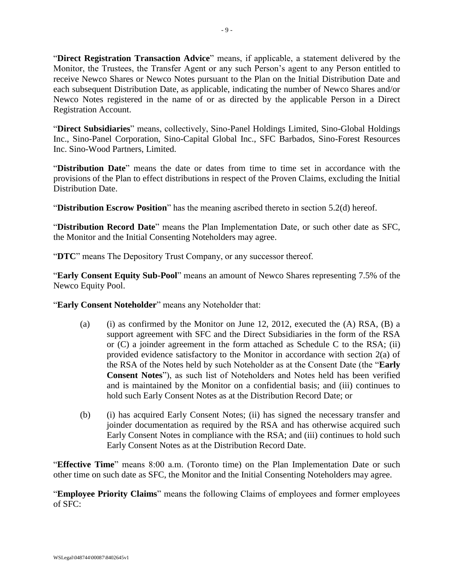"**Direct Registration Transaction Advice**" means, if applicable, a statement delivered by the Monitor, the Trustees, the Transfer Agent or any such Person's agent to any Person entitled to receive Newco Shares or Newco Notes pursuant to the Plan on the Initial Distribution Date and each subsequent Distribution Date, as applicable, indicating the number of Newco Shares and/or Newco Notes registered in the name of or as directed by the applicable Person in a Direct Registration Account.

"**Direct Subsidiaries**" means, collectively, Sino-Panel Holdings Limited, Sino-Global Holdings Inc., Sino-Panel Corporation, Sino-Capital Global Inc., SFC Barbados, Sino-Forest Resources Inc. Sino-Wood Partners, Limited.

"**Distribution Date**" means the date or dates from time to time set in accordance with the provisions of the Plan to effect distributions in respect of the Proven Claims, excluding the Initial Distribution Date.

"**Distribution Escrow Position**" has the meaning ascribed thereto in section [5.2\(d\)](#page-40-1) hereof.

"**Distribution Record Date**" means the Plan Implementation Date, or such other date as SFC, the Monitor and the Initial Consenting Noteholders may agree.

"**DTC**" means The Depository Trust Company, or any successor thereof.

"**Early Consent Equity Sub-Pool**" means an amount of Newco Shares representing 7.5% of the Newco Equity Pool.

"**Early Consent Noteholder**" means any Noteholder that:

- (a) (i) as confirmed by the Monitor on June 12, 2012, executed the  $(A)$  RSA,  $(B)$  a support agreement with SFC and the Direct Subsidiaries in the form of the RSA or (C) a joinder agreement in the form attached as Schedule C to the RSA; (ii) provided evidence satisfactory to the Monitor in accordance with section 2(a) of the RSA of the Notes held by such Noteholder as at the Consent Date (the "**Early Consent Notes**"), as such list of Noteholders and Notes held has been verified and is maintained by the Monitor on a confidential basis; and (iii) continues to hold such Early Consent Notes as at the Distribution Record Date; or
- (b) (i) has acquired Early Consent Notes; (ii) has signed the necessary transfer and joinder documentation as required by the RSA and has otherwise acquired such Early Consent Notes in compliance with the RSA; and (iii) continues to hold such Early Consent Notes as at the Distribution Record Date.

"**Effective Time**" means 8:00 a.m. (Toronto time) on the Plan Implementation Date or such other time on such date as SFC, the Monitor and the Initial Consenting Noteholders may agree.

"**Employee Priority Claims**" means the following Claims of employees and former employees of SFC: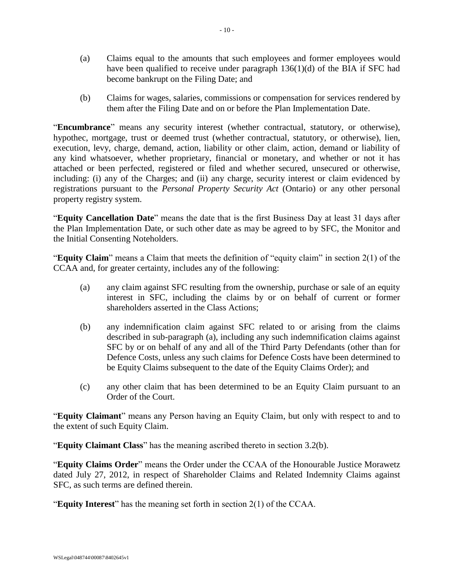- (a) Claims equal to the amounts that such employees and former employees would have been qualified to receive under paragraph 136(1)(d) of the BIA if SFC had become bankrupt on the Filing Date; and
- (b) Claims for wages, salaries, commissions or compensation for services rendered by them after the Filing Date and on or before the Plan Implementation Date.

"**Encumbrance**" means any security interest (whether contractual, statutory, or otherwise), hypothec, mortgage, trust or deemed trust (whether contractual, statutory, or otherwise), lien, execution, levy, charge, demand, action, liability or other claim, action, demand or liability of any kind whatsoever, whether proprietary, financial or monetary, and whether or not it has attached or been perfected, registered or filed and whether secured, unsecured or otherwise, including: (i) any of the Charges; and (ii) any charge, security interest or claim evidenced by registrations pursuant to the *Personal Property Security Act* (Ontario) or any other personal property registry system.

"**Equity Cancellation Date**" means the date that is the first Business Day at least 31 days after the Plan Implementation Date, or such other date as may be agreed to by SFC, the Monitor and the Initial Consenting Noteholders.

"**Equity Claim**" means a Claim that meets the definition of "equity claim" in section 2(1) of the CCAA and, for greater certainty, includes any of the following:

- (a) any claim against SFC resulting from the ownership, purchase or sale of an equity interest in SFC, including the claims by or on behalf of current or former shareholders asserted in the Class Actions;
- (b) any indemnification claim against SFC related to or arising from the claims described in sub-paragraph (a), including any such indemnification claims against SFC by or on behalf of any and all of the Third Party Defendants (other than for Defence Costs, unless any such claims for Defence Costs have been determined to be Equity Claims subsequent to the date of the Equity Claims Order); and
- (c) any other claim that has been determined to be an Equity Claim pursuant to an Order of the Court.

"**Equity Claimant**" means any Person having an Equity Claim, but only with respect to and to the extent of such Equity Claim.

"**Equity Claimant Class**" has the meaning ascribed thereto in section [3.2\(b\).](#page-26-6)

"**Equity Claims Order**" means the Order under the CCAA of the Honourable Justice Morawetz dated July 27, 2012, in respect of Shareholder Claims and Related Indemnity Claims against SFC, as such terms are defined therein.

"**Equity Interest**" has the meaning set forth in section 2(1) of the CCAA.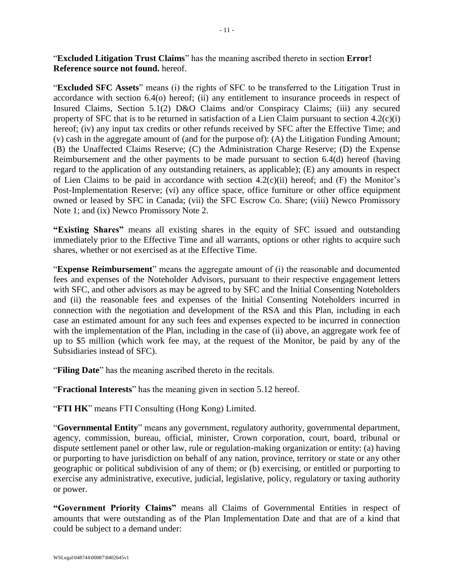"**Excluded Litigation Trust Claims**" has the meaning ascribed thereto in section **Error! Reference source not found.** hereof.

"**Excluded SFC Assets**" means (i) the rights of SFC to be transferred to the Litigation Trust in accordance with section [6.4\(o\)](#page-52-0) hereof; (ii) any entitlement to insurance proceeds in respect of Insured Claims, Section 5.1(2) D&O Claims and/or Conspiracy Claims; (iii) any secured property of SFC that is to be returned in satisfaction of a Lien Claim pursuant to section [4.2\(c\)\(i\)](#page-28-2) hereof; (iv) any input tax credits or other refunds received by SFC after the Effective Time; and (v) cash in the aggregate amount of (and for the purpose of): (A) the Litigation Funding Amount; (B) the Unaffected Claims Reserve; (C) the Administration Charge Reserve; (D) the Expense Reimbursement and the other payments to be made pursuant to section [6.4\(d\)](#page-48-1) hereof (having regard to the application of any outstanding retainers, as applicable); (E) any amounts in respect of Lien Claims to be paid in accordance with section  $4.2(c)(ii)$  hereof; and (F) the Monitor's Post-Implementation Reserve; (vi) any office space, office furniture or other office equipment owned or leased by SFC in Canada; (vii) the SFC Escrow Co. Share; (viii) Newco Promissory Note 1; and (ix) Newco Promissory Note 2.

**"Existing Shares"** means all existing shares in the equity of SFC issued and outstanding immediately prior to the Effective Time and all warrants, options or other rights to acquire such shares, whether or not exercised as at the Effective Time.

"**Expense Reimbursement**" means the aggregate amount of (i) the reasonable and documented fees and expenses of the Noteholder Advisors, pursuant to their respective engagement letters with SFC, and other advisors as may be agreed to by SFC and the Initial Consenting Noteholders and (ii) the reasonable fees and expenses of the Initial Consenting Noteholders incurred in connection with the negotiation and development of the RSA and this Plan, including in each case an estimated amount for any such fees and expenses expected to be incurred in connection with the implementation of the Plan, including in the case of (ii) above, an aggregate work fee of up to \$5 million (which work fee may, at the request of the Monitor, be paid by any of the Subsidiaries instead of SFC).

"**Filing Date**" has the meaning ascribed thereto in the recitals.

"**Fractional Interests**" has the meaning given in section [5.12](#page-46-0) hereof.

"**FTI HK**" means FTI Consulting (Hong Kong) Limited.

"**Governmental Entity**" means any government, regulatory authority, governmental department, agency, commission, bureau, official, minister, Crown corporation, court, board, tribunal or dispute settlement panel or other law, rule or regulation-making organization or entity: (a) having or purporting to have jurisdiction on behalf of any nation, province, territory or state or any other geographic or political subdivision of any of them; or (b) exercising, or entitled or purporting to exercise any administrative, executive, judicial, legislative, policy, regulatory or taxing authority or power.

**"Government Priority Claims"** means all Claims of Governmental Entities in respect of amounts that were outstanding as of the Plan Implementation Date and that are of a kind that could be subject to a demand under: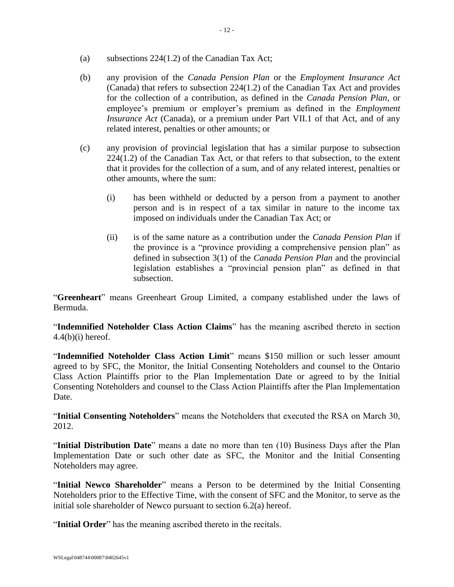- (a) subsections 224(1.2) of the Canadian Tax Act;
- (b) any provision of the *Canada Pension Plan* or the *Employment Insurance Act* (Canada) that refers to subsection 224(1.2) of the Canadian Tax Act and provides for the collection of a contribution, as defined in the *Canada Pension Plan*, or employee's premium or employer's premium as defined in the *Employment Insurance Act* (Canada), or a premium under Part VII.1 of that Act, and of any related interest, penalties or other amounts; or
- (c) any provision of provincial legislation that has a similar purpose to subsection  $224(1.2)$  of the Canadian Tax Act, or that refers to that subsection, to the extent that it provides for the collection of a sum, and of any related interest, penalties or other amounts, where the sum:
	- (i) has been withheld or deducted by a person from a payment to another person and is in respect of a tax similar in nature to the income tax imposed on individuals under the Canadian Tax Act; or
	- (ii) is of the same nature as a contribution under the *Canada Pension Plan* if the province is a "province providing a comprehensive pension plan" as defined in subsection 3(1) of the *Canada Pension Plan* and the provincial legislation establishes a "provincial pension plan" as defined in that subsection.

"**Greenheart**" means Greenheart Group Limited, a company established under the laws of Bermuda.

"**Indemnified Noteholder Class Action Claims**" has the meaning ascribed thereto in section  $4.4(b)(i)$  hereof.

"**Indemnified Noteholder Class Action Limit**" means \$150 million or such lesser amount agreed to by SFC, the Monitor, the Initial Consenting Noteholders and counsel to the Ontario Class Action Plaintiffs prior to the Plan Implementation Date or agreed to by the Initial Consenting Noteholders and counsel to the Class Action Plaintiffs after the Plan Implementation Date.

"**Initial Consenting Noteholders**" means the Noteholders that executed the RSA on March 30, 2012.

"**Initial Distribution Date**" means a date no more than ten (10) Business Days after the Plan Implementation Date or such other date as SFC, the Monitor and the Initial Consenting Noteholders may agree.

"**Initial Newco Shareholder**" means a Person to be determined by the Initial Consenting Noteholders prior to the Effective Time, with the consent of SFC and the Monitor, to serve as the initial sole shareholder of Newco pursuant to section [6.2\(a\)](#page-46-5) hereof.

"**Initial Order**" has the meaning ascribed thereto in the recitals.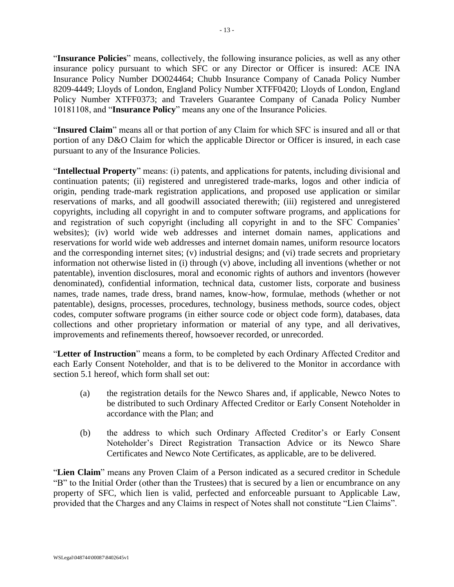"**Insurance Policies**" means, collectively, the following insurance policies, as well as any other insurance policy pursuant to which SFC or any Director or Officer is insured: ACE INA Insurance Policy Number DO024464; Chubb Insurance Company of Canada Policy Number 8209-4449; Lloyds of London, England Policy Number XTFF0420; Lloyds of London, England Policy Number XTFF0373; and Travelers Guarantee Company of Canada Policy Number 10181108, and "**Insurance Policy**" means any one of the Insurance Policies.

"**Insured Claim**" means all or that portion of any Claim for which SFC is insured and all or that portion of any D&O Claim for which the applicable Director or Officer is insured, in each case pursuant to any of the Insurance Policies.

"**Intellectual Property**" means: (i) patents, and applications for patents, including divisional and continuation patents; (ii) registered and unregistered trade-marks, logos and other indicia of origin, pending trade-mark registration applications, and proposed use application or similar reservations of marks, and all goodwill associated therewith; (iii) registered and unregistered copyrights, including all copyright in and to computer software programs, and applications for and registration of such copyright (including all copyright in and to the SFC Companies' websites); (iv) world wide web addresses and internet domain names, applications and reservations for world wide web addresses and internet domain names, uniform resource locators and the corresponding internet sites; (v) industrial designs; and (vi) trade secrets and proprietary information not otherwise listed in (i) through (v) above, including all inventions (whether or not patentable), invention disclosures, moral and economic rights of authors and inventors (however denominated), confidential information, technical data, customer lists, corporate and business names, trade names, trade dress, brand names, know-how, formulae, methods (whether or not patentable), designs, processes, procedures, technology, business methods, source codes, object codes, computer software programs (in either source code or object code form), databases, data collections and other proprietary information or material of any type, and all derivatives, improvements and refinements thereof, howsoever recorded, or unrecorded.

"**Letter of Instruction**" means a form, to be completed by each Ordinary Affected Creditor and each Early Consent Noteholder, and that is to be delivered to the Monitor in accordance with section [5.1](#page-35-2) hereof, which form shall set out:

- (a) the registration details for the Newco Shares and, if applicable, Newco Notes to be distributed to such Ordinary Affected Creditor or Early Consent Noteholder in accordance with the Plan; and
- (b) the address to which such Ordinary Affected Creditor's or Early Consent Noteholder's Direct Registration Transaction Advice or its Newco Share Certificates and Newco Note Certificates, as applicable, are to be delivered.

"**Lien Claim**" means any Proven Claim of a Person indicated as a secured creditor in Schedule "B" to the Initial Order (other than the Trustees) that is secured by a lien or encumbrance on any property of SFC, which lien is valid, perfected and enforceable pursuant to Applicable Law, provided that the Charges and any Claims in respect of Notes shall not constitute "Lien Claims".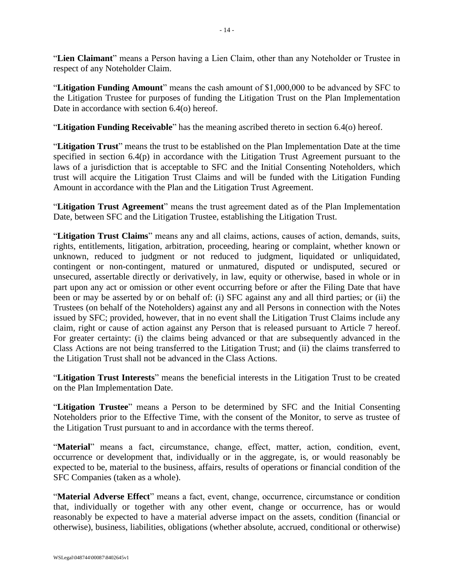"**Lien Claimant**" means a Person having a Lien Claim, other than any Noteholder or Trustee in respect of any Noteholder Claim.

"**Litigation Funding Amount**" means the cash amount of \$1,000,000 to be advanced by SFC to the Litigation Trustee for purposes of funding the Litigation Trust on the Plan Implementation Date in accordance with section [6.4\(o\)](#page-52-0) hereof.

"**Litigation Funding Receivable**" has the meaning ascribed thereto in section [6.4\(o\)](#page-52-0) hereof.

"**Litigation Trust**" means the trust to be established on the Plan Implementation Date at the time specified in section [6.4\(p\)](#page-52-1) in accordance with the Litigation Trust Agreement pursuant to the laws of a jurisdiction that is acceptable to SFC and the Initial Consenting Noteholders, which trust will acquire the Litigation Trust Claims and will be funded with the Litigation Funding Amount in accordance with the Plan and the Litigation Trust Agreement.

"**Litigation Trust Agreement**" means the trust agreement dated as of the Plan Implementation Date, between SFC and the Litigation Trustee, establishing the Litigation Trust.

"**Litigation Trust Claims**" means any and all claims, actions, causes of action, demands, suits, rights, entitlements, litigation, arbitration, proceeding, hearing or complaint, whether known or unknown, reduced to judgment or not reduced to judgment, liquidated or unliquidated, contingent or non-contingent, matured or unmatured, disputed or undisputed, secured or unsecured, assertable directly or derivatively, in law, equity or otherwise, based in whole or in part upon any act or omission or other event occurring before or after the Filing Date that have been or may be asserted by or on behalf of: (i) SFC against any and all third parties; or (ii) the Trustees (on behalf of the Noteholders) against any and all Persons in connection with the Notes issued by SFC; provided, however, that in no event shall the Litigation Trust Claims include any claim, right or cause of action against any Person that is released pursuant to [Article 7](#page-56-0) hereof. For greater certainty: (i) the claims being advanced or that are subsequently advanced in the Class Actions are not being transferred to the Litigation Trust; and (ii) the claims transferred to the Litigation Trust shall not be advanced in the Class Actions.

"**Litigation Trust Interests**" means the beneficial interests in the Litigation Trust to be created on the Plan Implementation Date.

"**Litigation Trustee**" means a Person to be determined by SFC and the Initial Consenting Noteholders prior to the Effective Time, with the consent of the Monitor, to serve as trustee of the Litigation Trust pursuant to and in accordance with the terms thereof.

"**Material**" means a fact, circumstance, change, effect, matter, action, condition, event, occurrence or development that, individually or in the aggregate, is, or would reasonably be expected to be, material to the business, affairs, results of operations or financial condition of the SFC Companies (taken as a whole).

"**Material Adverse Effect**" means a fact, event, change, occurrence, circumstance or condition that, individually or together with any other event, change or occurrence, has or would reasonably be expected to have a material adverse impact on the assets, condition (financial or otherwise), business, liabilities, obligations (whether absolute, accrued, conditional or otherwise)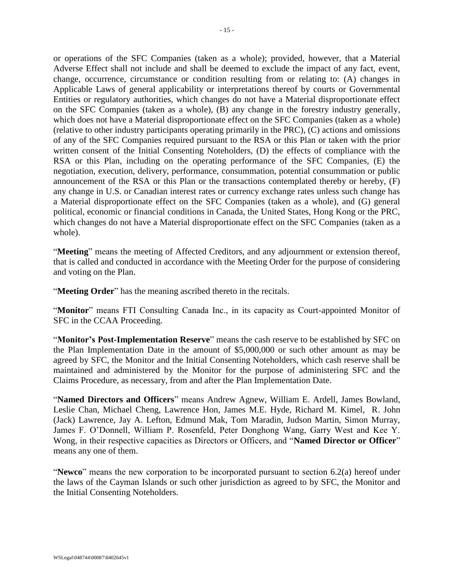or operations of the SFC Companies (taken as a whole); provided, however, that a Material Adverse Effect shall not include and shall be deemed to exclude the impact of any fact, event, change, occurrence, circumstance or condition resulting from or relating to: (A) changes in Applicable Laws of general applicability or interpretations thereof by courts or Governmental Entities or regulatory authorities, which changes do not have a Material disproportionate effect on the SFC Companies (taken as a whole), (B) any change in the forestry industry generally, which does not have a Material disproportionate effect on the SFC Companies (taken as a whole) (relative to other industry participants operating primarily in the PRC), (C) actions and omissions of any of the SFC Companies required pursuant to the RSA or this Plan or taken with the prior written consent of the Initial Consenting Noteholders, (D) the effects of compliance with the RSA or this Plan, including on the operating performance of the SFC Companies, (E) the negotiation, execution, delivery, performance, consummation, potential consummation or public announcement of the RSA or this Plan or the transactions contemplated thereby or hereby, (F) any change in U.S. or Canadian interest rates or currency exchange rates unless such change has a Material disproportionate effect on the SFC Companies (taken as a whole), and (G) general political, economic or financial conditions in Canada, the United States, Hong Kong or the PRC, which changes do not have a Material disproportionate effect on the SFC Companies (taken as a whole).

"**Meeting**" means the meeting of Affected Creditors, and any adjournment or extension thereof, that is called and conducted in accordance with the Meeting Order for the purpose of considering and voting on the Plan.

"**Meeting Order**" has the meaning ascribed thereto in the recitals.

"**Monitor**" means FTI Consulting Canada Inc., in its capacity as Court-appointed Monitor of SFC in the CCAA Proceeding.

"**Monitor's Post-Implementation Reserve**" means the cash reserve to be established by SFC on the Plan Implementation Date in the amount of \$5,000,000 or such other amount as may be agreed by SFC, the Monitor and the Initial Consenting Noteholders, which cash reserve shall be maintained and administered by the Monitor for the purpose of administering SFC and the Claims Procedure, as necessary, from and after the Plan Implementation Date.

"**Named Directors and Officers**" means Andrew Agnew, William E. Ardell, James Bowland, Leslie Chan, Michael Cheng, Lawrence Hon, James M.E. Hyde, Richard M. Kimel, R. John (Jack) Lawrence, Jay A. Lefton, Edmund Mak, Tom Maradin, Judson Martin, Simon Murray, James F. O'Donnell, William P. Rosenfeld, Peter Donghong Wang, Garry West and Kee Y. Wong, in their respective capacities as Directors or Officers, and "**Named Director or Officer**" means any one of them.

"**Newco**" means the new corporation to be incorporated pursuant to section [6.2\(a\)](#page-46-5) hereof under the laws of the Cayman Islands or such other jurisdiction as agreed to by SFC, the Monitor and the Initial Consenting Noteholders.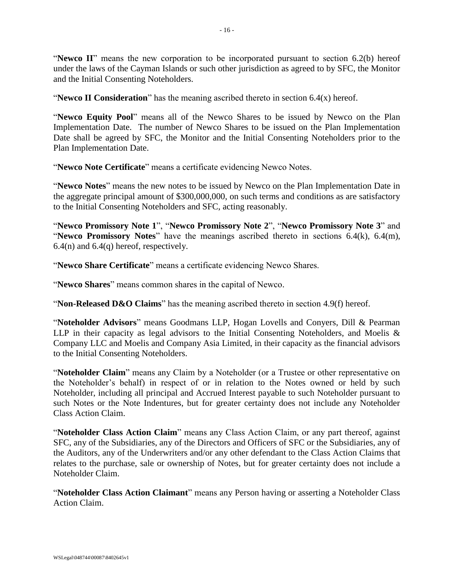"**Newco II**" means the new corporation to be incorporated pursuant to section [6.2\(b\)](#page-47-1) hereof under the laws of the Cayman Islands or such other jurisdiction as agreed to by SFC, the Monitor and the Initial Consenting Noteholders.

"**Newco II Consideration**" has the meaning ascribed thereto in section [6.4\(x\)](#page-54-1) hereof.

"**Newco Equity Pool**" means all of the Newco Shares to be issued by Newco on the Plan Implementation Date. The number of Newco Shares to be issued on the Plan Implementation Date shall be agreed by SFC, the Monitor and the Initial Consenting Noteholders prior to the Plan Implementation Date.

"**Newco Note Certificate**" means a certificate evidencing Newco Notes.

"**Newco Notes**" means the new notes to be issued by Newco on the Plan Implementation Date in the aggregate principal amount of \$300,000,000, on such terms and conditions as are satisfactory to the Initial Consenting Noteholders and SFC, acting reasonably.

"**Newco Promissory Note 1**", "**Newco Promissory Note 2**", "**Newco Promissory Note 3**" and "**Newco Promissory Notes**" have the meanings ascribed thereto in sections [6.4\(k\),](#page-50-1) [6.4\(m\),](#page-51-0)  $6.4(n)$  and  $6.4(q)$  hereof, respectively.

"**Newco Share Certificate**" means a certificate evidencing Newco Shares.

"**Newco Shares**" means common shares in the capital of Newco.

"**Non-Released D&O Claims**" has the meaning ascribed thereto in section [4.9\(f\)](#page-32-0) hereof.

"**Noteholder Advisors**" means Goodmans LLP, Hogan Lovells and Conyers, Dill & Pearman LLP in their capacity as legal advisors to the Initial Consenting Noteholders, and Moelis & Company LLC and Moelis and Company Asia Limited, in their capacity as the financial advisors to the Initial Consenting Noteholders.

"**Noteholder Claim**" means any Claim by a Noteholder (or a Trustee or other representative on the Noteholder's behalf) in respect of or in relation to the Notes owned or held by such Noteholder, including all principal and Accrued Interest payable to such Noteholder pursuant to such Notes or the Note Indentures, but for greater certainty does not include any Noteholder Class Action Claim.

"**Noteholder Class Action Claim**" means any Class Action Claim, or any part thereof, against SFC, any of the Subsidiaries, any of the Directors and Officers of SFC or the Subsidiaries, any of the Auditors, any of the Underwriters and/or any other defendant to the Class Action Claims that relates to the purchase, sale or ownership of Notes, but for greater certainty does not include a Noteholder Claim.

"**Noteholder Class Action Claimant**" means any Person having or asserting a Noteholder Class Action Claim.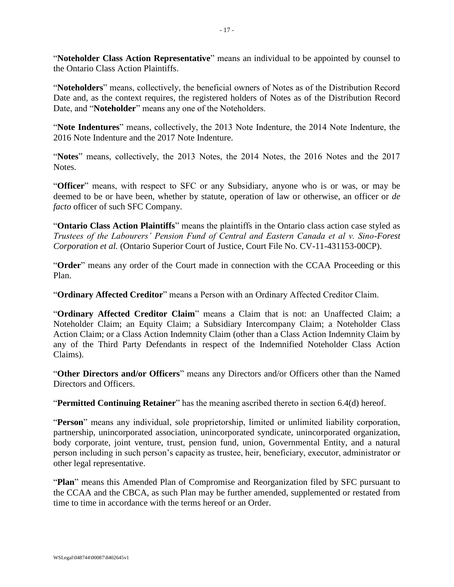"**Noteholder Class Action Representative**" means an individual to be appointed by counsel to the Ontario Class Action Plaintiffs.

"**Noteholders**" means, collectively, the beneficial owners of Notes as of the Distribution Record Date and, as the context requires, the registered holders of Notes as of the Distribution Record Date, and "**Noteholder**" means any one of the Noteholders.

"**Note Indentures**" means, collectively, the 2013 Note Indenture, the 2014 Note Indenture, the 2016 Note Indenture and the 2017 Note Indenture.

"**Notes**" means, collectively, the 2013 Notes, the 2014 Notes, the 2016 Notes and the 2017 Notes.

"**Officer**" means, with respect to SFC or any Subsidiary, anyone who is or was, or may be deemed to be or have been, whether by statute, operation of law or otherwise, an officer or *de facto* officer of such SFC Company.

"**Ontario Class Action Plaintiffs**" means the plaintiffs in the Ontario class action case styled as *Trustees of the Labourers' Pension Fund of Central and Eastern Canada et al v. Sino-Forest Corporation et al.* (Ontario Superior Court of Justice, Court File No. CV-11-431153-00CP).

"**Order**" means any order of the Court made in connection with the CCAA Proceeding or this Plan.

"**Ordinary Affected Creditor**" means a Person with an Ordinary Affected Creditor Claim.

"**Ordinary Affected Creditor Claim**" means a Claim that is not: an Unaffected Claim; a Noteholder Claim; an Equity Claim; a Subsidiary Intercompany Claim; a Noteholder Class Action Claim; or a Class Action Indemnity Claim (other than a Class Action Indemnity Claim by any of the Third Party Defendants in respect of the Indemnified Noteholder Class Action Claims).

"**Other Directors and/or Officers**" means any Directors and/or Officers other than the Named Directors and Officers.

"**Permitted Continuing Retainer**" has the meaning ascribed thereto in section [6.4\(d\)](#page-48-1) hereof.

"**Person**" means any individual, sole proprietorship, limited or unlimited liability corporation, partnership, unincorporated association, unincorporated syndicate, unincorporated organization, body corporate, joint venture, trust, pension fund, union, Governmental Entity, and a natural person including in such person's capacity as trustee, heir, beneficiary, executor, administrator or other legal representative.

"**Plan**" means this Amended Plan of Compromise and Reorganization filed by SFC pursuant to the CCAA and the CBCA, as such Plan may be further amended, supplemented or restated from time to time in accordance with the terms hereof or an Order.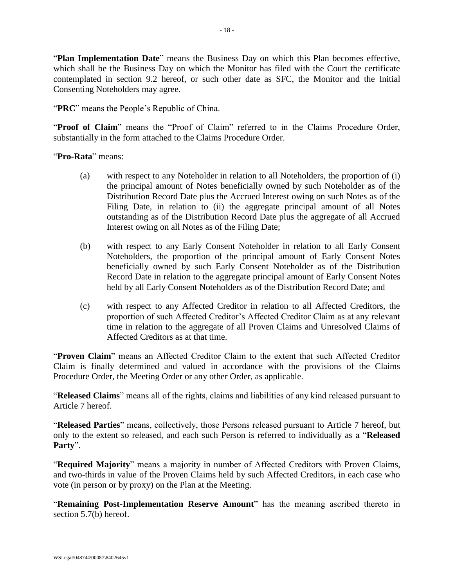"**Plan Implementation Date**" means the Business Day on which this Plan becomes effective, which shall be the Business Day on which the Monitor has filed with the Court the certificate contemplated in section [9.2](#page-71-0) hereof, or such other date as SFC, the Monitor and the Initial Consenting Noteholders may agree.

"**PRC**" means the People's Republic of China.

"**Proof of Claim**" means the "Proof of Claim" referred to in the Claims Procedure Order, substantially in the form attached to the Claims Procedure Order.

"**Pro-Rata**" means:

- (a) with respect to any Noteholder in relation to all Noteholders, the proportion of (i) the principal amount of Notes beneficially owned by such Noteholder as of the Distribution Record Date plus the Accrued Interest owing on such Notes as of the Filing Date, in relation to (ii) the aggregate principal amount of all Notes outstanding as of the Distribution Record Date plus the aggregate of all Accrued Interest owing on all Notes as of the Filing Date;
- (b) with respect to any Early Consent Noteholder in relation to all Early Consent Noteholders, the proportion of the principal amount of Early Consent Notes beneficially owned by such Early Consent Noteholder as of the Distribution Record Date in relation to the aggregate principal amount of Early Consent Notes held by all Early Consent Noteholders as of the Distribution Record Date; and
- (c) with respect to any Affected Creditor in relation to all Affected Creditors, the proportion of such Affected Creditor's Affected Creditor Claim as at any relevant time in relation to the aggregate of all Proven Claims and Unresolved Claims of Affected Creditors as at that time.

"**Proven Claim**" means an Affected Creditor Claim to the extent that such Affected Creditor Claim is finally determined and valued in accordance with the provisions of the Claims Procedure Order, the Meeting Order or any other Order, as applicable.

"**Released Claims**" means all of the rights, claims and liabilities of any kind released pursuant to [Article 7](#page-56-0) hereof.

"**Released Parties**" means, collectively, those Persons released pursuant to [Article 7](#page-56-0) hereof, but only to the extent so released, and each such Person is referred to individually as a "**Released Party**".

"**Required Majority**" means a majority in number of Affected Creditors with Proven Claims, and two-thirds in value of the Proven Claims held by such Affected Creditors, in each case who vote (in person or by proxy) on the Plan at the Meeting.

"**Remaining Post-Implementation Reserve Amount**" has the meaning ascribed thereto in section [5.7\(b\)](#page-43-2) hereof.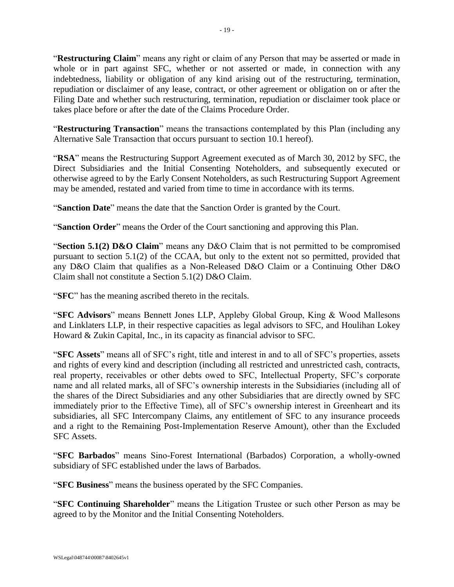"**Restructuring Claim**" means any right or claim of any Person that may be asserted or made in whole or in part against SFC, whether or not asserted or made, in connection with any indebtedness, liability or obligation of any kind arising out of the restructuring, termination, repudiation or disclaimer of any lease, contract, or other agreement or obligation on or after the Filing Date and whether such restructuring, termination, repudiation or disclaimer took place or takes place before or after the date of the Claims Procedure Order.

"**Restructuring Transaction**" means the transactions contemplated by this Plan (including any Alternative Sale Transaction that occurs pursuant to section [10.1](#page-71-2) hereof).

"**RSA**" means the Restructuring Support Agreement executed as of March 30, 2012 by SFC, the Direct Subsidiaries and the Initial Consenting Noteholders, and subsequently executed or otherwise agreed to by the Early Consent Noteholders, as such Restructuring Support Agreement may be amended, restated and varied from time to time in accordance with its terms.

"**Sanction Date**" means the date that the Sanction Order is granted by the Court.

"**Sanction Order**" means the Order of the Court sanctioning and approving this Plan.

"**Section 5.1(2) D&O Claim**" means any D&O Claim that is not permitted to be compromised pursuant to section 5.1(2) of the CCAA, but only to the extent not so permitted, provided that any D&O Claim that qualifies as a Non-Released D&O Claim or a Continuing Other D&O Claim shall not constitute a Section 5.1(2) D&O Claim.

"**SFC**" has the meaning ascribed thereto in the recitals.

"**SFC Advisors**" means Bennett Jones LLP, Appleby Global Group, King & Wood Mallesons and Linklaters LLP, in their respective capacities as legal advisors to SFC, and Houlihan Lokey Howard & Zukin Capital, Inc., in its capacity as financial advisor to SFC.

"**SFC Assets**" means all of SFC's right, title and interest in and to all of SFC's properties, assets and rights of every kind and description (including all restricted and unrestricted cash, contracts, real property, receivables or other debts owed to SFC, Intellectual Property, SFC's corporate name and all related marks, all of SFC's ownership interests in the Subsidiaries (including all of the shares of the Direct Subsidiaries and any other Subsidiaries that are directly owned by SFC immediately prior to the Effective Time), all of SFC's ownership interest in Greenheart and its subsidiaries, all SFC Intercompany Claims, any entitlement of SFC to any insurance proceeds and a right to the Remaining Post-Implementation Reserve Amount), other than the Excluded SFC Assets.

"**SFC Barbados**" means Sino-Forest International (Barbados) Corporation, a wholly-owned subsidiary of SFC established under the laws of Barbados.

"**SFC Business**" means the business operated by the SFC Companies.

"**SFC Continuing Shareholder**" means the Litigation Trustee or such other Person as may be agreed to by the Monitor and the Initial Consenting Noteholders.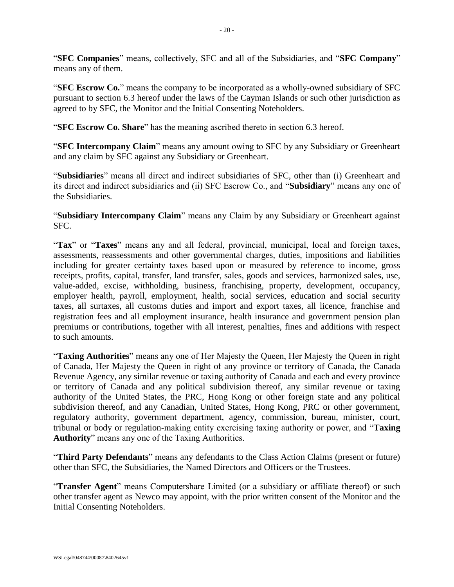"**SFC Companies**" means, collectively, SFC and all of the Subsidiaries, and "**SFC Company**" means any of them.

"**SFC Escrow Co.**" means the company to be incorporated as a wholly-owned subsidiary of SFC pursuant to section [6.3](#page-47-0) hereof under the laws of the Cayman Islands or such other jurisdiction as agreed to by SFC, the Monitor and the Initial Consenting Noteholders.

"**SFC Escrow Co. Share**" has the meaning ascribed thereto in section [6.3](#page-47-0) hereof.

"**SFC Intercompany Claim**" means any amount owing to SFC by any Subsidiary or Greenheart and any claim by SFC against any Subsidiary or Greenheart.

"**Subsidiaries**" means all direct and indirect subsidiaries of SFC, other than (i) Greenheart and its direct and indirect subsidiaries and (ii) SFC Escrow Co., and "**Subsidiary**" means any one of the Subsidiaries.

"**Subsidiary Intercompany Claim**" means any Claim by any Subsidiary or Greenheart against SFC.

"**Tax**" or "**Taxes**" means any and all federal, provincial, municipal, local and foreign taxes, assessments, reassessments and other governmental charges, duties, impositions and liabilities including for greater certainty taxes based upon or measured by reference to income, gross receipts, profits, capital, transfer, land transfer, sales, goods and services, harmonized sales, use, value-added, excise, withholding, business, franchising, property, development, occupancy, employer health, payroll, employment, health, social services, education and social security taxes, all surtaxes, all customs duties and import and export taxes, all licence, franchise and registration fees and all employment insurance, health insurance and government pension plan premiums or contributions, together with all interest, penalties, fines and additions with respect to such amounts.

"**Taxing Authorities**" means any one of Her Majesty the Queen, Her Majesty the Queen in right of Canada, Her Majesty the Queen in right of any province or territory of Canada, the Canada Revenue Agency, any similar revenue or taxing authority of Canada and each and every province or territory of Canada and any political subdivision thereof, any similar revenue or taxing authority of the United States, the PRC, Hong Kong or other foreign state and any political subdivision thereof, and any Canadian, United States, Hong Kong, PRC or other government, regulatory authority, government department, agency, commission, bureau, minister, court, tribunal or body or regulation-making entity exercising taxing authority or power, and "**Taxing Authority**" means any one of the Taxing Authorities.

"**Third Party Defendants**" means any defendants to the Class Action Claims (present or future) other than SFC, the Subsidiaries, the Named Directors and Officers or the Trustees.

"**Transfer Agent**" means Computershare Limited (or a subsidiary or affiliate thereof) or such other transfer agent as Newco may appoint, with the prior written consent of the Monitor and the Initial Consenting Noteholders.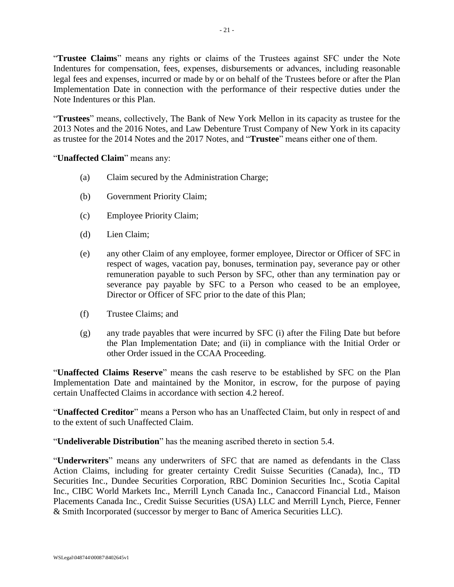"**Trustee Claims**" means any rights or claims of the Trustees against SFC under the Note Indentures for compensation, fees, expenses, disbursements or advances, including reasonable legal fees and expenses, incurred or made by or on behalf of the Trustees before or after the Plan Implementation Date in connection with the performance of their respective duties under the Note Indentures or this Plan.

"**Trustees**" means, collectively, The Bank of New York Mellon in its capacity as trustee for the 2013 Notes and the 2016 Notes, and Law Debenture Trust Company of New York in its capacity as trustee for the 2014 Notes and the 2017 Notes, and "**Trustee**" means either one of them.

"**Unaffected Claim**" means any:

- (a) Claim secured by the Administration Charge;
- (b) Government Priority Claim;
- (c) Employee Priority Claim;
- (d) Lien Claim;
- (e) any other Claim of any employee, former employee, Director or Officer of SFC in respect of wages, vacation pay, bonuses, termination pay, severance pay or other remuneration payable to such Person by SFC, other than any termination pay or severance pay payable by SFC to a Person who ceased to be an employee, Director or Officer of SFC prior to the date of this Plan;
- (f) Trustee Claims; and
- (g) any trade payables that were incurred by SFC (i) after the Filing Date but before the Plan Implementation Date; and (ii) in compliance with the Initial Order or other Order issued in the CCAA Proceeding.

"**Unaffected Claims Reserve**" means the cash reserve to be established by SFC on the Plan Implementation Date and maintained by the Monitor, in escrow, for the purpose of paying certain Unaffected Claims in accordance with section [4.2](#page-27-4) hereof.

"**Unaffected Creditor**" means a Person who has an Unaffected Claim, but only in respect of and to the extent of such Unaffected Claim.

"**Undeliverable Distribution**" has the meaning ascribed thereto in section [5.4.](#page-41-0)

"**Underwriters**" means any underwriters of SFC that are named as defendants in the Class Action Claims, including for greater certainty Credit Suisse Securities (Canada), Inc., TD Securities Inc., Dundee Securities Corporation, RBC Dominion Securities Inc., Scotia Capital Inc., CIBC World Markets Inc., Merrill Lynch Canada Inc., Canaccord Financial Ltd., Maison Placements Canada Inc., Credit Suisse Securities (USA) LLC and Merrill Lynch, Pierce, Fenner & Smith Incorporated (successor by merger to Banc of America Securities LLC).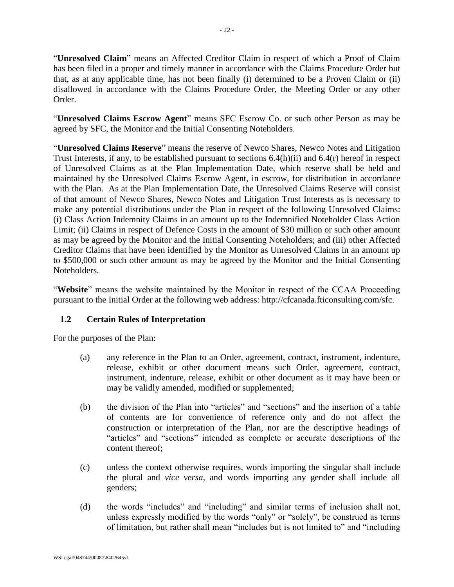"**Unresolved Claim**" means an Affected Creditor Claim in respect of which a Proof of Claim has been filed in a proper and timely manner in accordance with the Claims Procedure Order but that, as at any applicable time, has not been finally (i) determined to be a Proven Claim or (ii) disallowed in accordance with the Claims Procedure Order, the Meeting Order or any other Order.

"**Unresolved Claims Escrow Agent**" means SFC Escrow Co. or such other Person as may be agreed by SFC, the Monitor and the Initial Consenting Noteholders.

"**Unresolved Claims Reserve**" means the reserve of Newco Shares, Newco Notes and Litigation Trust Interests, if any, to be established pursuant to sections [6.4\(h\)\(ii\)](#page-50-2) and [6.4\(r\)](#page-52-3) hereof in respect of Unresolved Claims as at the Plan Implementation Date, which reserve shall be held and maintained by the Unresolved Claims Escrow Agent, in escrow, for distribution in accordance with the Plan. As at the Plan Implementation Date, the Unresolved Claims Reserve will consist of that amount of Newco Shares, Newco Notes and Litigation Trust Interests as is necessary to make any potential distributions under the Plan in respect of the following Unresolved Claims: (i) Class Action Indemnity Claims in an amount up to the Indemnified Noteholder Class Action Limit; (ii) Claims in respect of Defence Costs in the amount of \$30 million or such other amount as may be agreed by the Monitor and the Initial Consenting Noteholders; and (iii) other Affected Creditor Claims that have been identified by the Monitor as Unresolved Claims in an amount up to \$500,000 or such other amount as may be agreed by the Monitor and the Initial Consenting Noteholders.

"**Website**" means the website maintained by the Monitor in respect of the CCAA Proceeding pursuant to the Initial Order at the following web address: http://cfcanada.fticonsulting.com/sfc.

# <span id="page-22-0"></span>**1.2 Certain Rules of Interpretation**

For the purposes of the Plan:

- (a) any reference in the Plan to an Order, agreement, contract, instrument, indenture, release, exhibit or other document means such Order, agreement, contract, instrument, indenture, release, exhibit or other document as it may have been or may be validly amended, modified or supplemented;
- (b) the division of the Plan into "articles" and "sections" and the insertion of a table of contents are for convenience of reference only and do not affect the construction or interpretation of the Plan, nor are the descriptive headings of "articles" and "sections" intended as complete or accurate descriptions of the content thereof;
- (c) unless the context otherwise requires, words importing the singular shall include the plural and *vice versa*, and words importing any gender shall include all genders;
- (d) the words "includes" and "including" and similar terms of inclusion shall not, unless expressly modified by the words "only" or "solely", be construed as terms of limitation, but rather shall mean "includes but is not limited to" and "including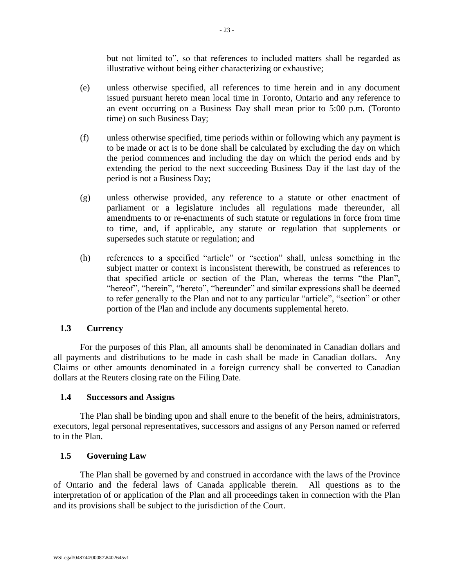but not limited to", so that references to included matters shall be regarded as illustrative without being either characterizing or exhaustive;

- (e) unless otherwise specified, all references to time herein and in any document issued pursuant hereto mean local time in Toronto, Ontario and any reference to an event occurring on a Business Day shall mean prior to 5:00 p.m. (Toronto time) on such Business Day;
- (f) unless otherwise specified, time periods within or following which any payment is to be made or act is to be done shall be calculated by excluding the day on which the period commences and including the day on which the period ends and by extending the period to the next succeeding Business Day if the last day of the period is not a Business Day;
- (g) unless otherwise provided, any reference to a statute or other enactment of parliament or a legislature includes all regulations made thereunder, all amendments to or re-enactments of such statute or regulations in force from time to time, and, if applicable, any statute or regulation that supplements or supersedes such statute or regulation; and
- (h) references to a specified "article" or "section" shall, unless something in the subject matter or context is inconsistent therewith, be construed as references to that specified article or section of the Plan, whereas the terms "the Plan", "hereof", "herein", "hereto", "hereunder" and similar expressions shall be deemed to refer generally to the Plan and not to any particular "article", "section" or other portion of the Plan and include any documents supplemental hereto.

# <span id="page-23-0"></span>**1.3 Currency**

For the purposes of this Plan, all amounts shall be denominated in Canadian dollars and all payments and distributions to be made in cash shall be made in Canadian dollars. Any Claims or other amounts denominated in a foreign currency shall be converted to Canadian dollars at the Reuters closing rate on the Filing Date.

## <span id="page-23-1"></span>**1.4 Successors and Assigns**

The Plan shall be binding upon and shall enure to the benefit of the heirs, administrators, executors, legal personal representatives, successors and assigns of any Person named or referred to in the Plan.

## <span id="page-23-2"></span>**1.5 Governing Law**

The Plan shall be governed by and construed in accordance with the laws of the Province of Ontario and the federal laws of Canada applicable therein. All questions as to the interpretation of or application of the Plan and all proceedings taken in connection with the Plan and its provisions shall be subject to the jurisdiction of the Court.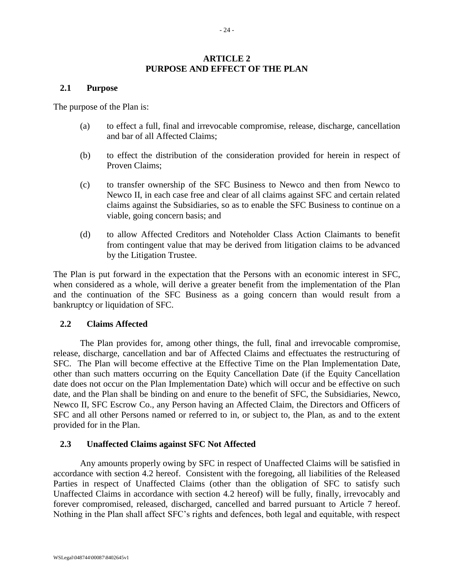## **ARTICLE 2 PURPOSE AND EFFECT OF THE PLAN**

#### <span id="page-24-1"></span><span id="page-24-0"></span>**2.1 Purpose**

The purpose of the Plan is:

- (a) to effect a full, final and irrevocable compromise, release, discharge, cancellation and bar of all Affected Claims;
- (b) to effect the distribution of the consideration provided for herein in respect of Proven Claims;
- (c) to transfer ownership of the SFC Business to Newco and then from Newco to Newco II, in each case free and clear of all claims against SFC and certain related claims against the Subsidiaries, so as to enable the SFC Business to continue on a viable, going concern basis; and
- (d) to allow Affected Creditors and Noteholder Class Action Claimants to benefit from contingent value that may be derived from litigation claims to be advanced by the Litigation Trustee.

The Plan is put forward in the expectation that the Persons with an economic interest in SFC, when considered as a whole, will derive a greater benefit from the implementation of the Plan and the continuation of the SFC Business as a going concern than would result from a bankruptcy or liquidation of SFC.

## <span id="page-24-2"></span>**2.2 Claims Affected**

The Plan provides for, among other things, the full, final and irrevocable compromise, release, discharge, cancellation and bar of Affected Claims and effectuates the restructuring of SFC. The Plan will become effective at the Effective Time on the Plan Implementation Date, other than such matters occurring on the Equity Cancellation Date (if the Equity Cancellation date does not occur on the Plan Implementation Date) which will occur and be effective on such date, and the Plan shall be binding on and enure to the benefit of SFC, the Subsidiaries, Newco, Newco II, SFC Escrow Co., any Person having an Affected Claim, the Directors and Officers of SFC and all other Persons named or referred to in, or subject to, the Plan, as and to the extent provided for in the Plan.

## <span id="page-24-3"></span>**2.3 Unaffected Claims against SFC Not Affected**

Any amounts properly owing by SFC in respect of Unaffected Claims will be satisfied in accordance with section [4.2](#page-27-4) hereof. Consistent with the foregoing, all liabilities of the Released Parties in respect of Unaffected Claims (other than the obligation of SFC to satisfy such Unaffected Claims in accordance with section [4.2](#page-27-4) hereof) will be fully, finally, irrevocably and forever compromised, released, discharged, cancelled and barred pursuant to [Article 7](#page-56-0) hereof. Nothing in the Plan shall affect SFC's rights and defences, both legal and equitable, with respect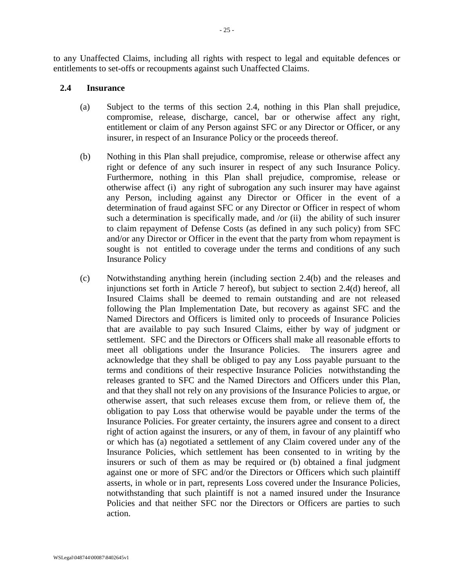to any Unaffected Claims, including all rights with respect to legal and equitable defences or entitlements to set-offs or recoupments against such Unaffected Claims.

## <span id="page-25-0"></span>**2.4 Insurance**

- (a) Subject to the terms of this section 2.4, nothing in this Plan shall prejudice, compromise, release, discharge, cancel, bar or otherwise affect any right, entitlement or claim of any Person against SFC or any Director or Officer, or any insurer, in respect of an Insurance Policy or the proceeds thereof.
- (b) Nothing in this Plan shall prejudice, compromise, release or otherwise affect any right or defence of any such insurer in respect of any such Insurance Policy. Furthermore, nothing in this Plan shall prejudice, compromise, release or otherwise affect (i) any right of subrogation any such insurer may have against any Person, including against any Director or Officer in the event of a determination of fraud against SFC or any Director or Officer in respect of whom such a determination is specifically made, and /or (ii) the ability of such insurer to claim repayment of Defense Costs (as defined in any such policy) from SFC and/or any Director or Officer in the event that the party from whom repayment is sought is not entitled to coverage under the terms and conditions of any such Insurance Policy
- (c) Notwithstanding anything herein (including section 2.4(b) and the releases and injunctions set forth in Article 7 hereof), but subject to section 2.4(d) hereof, all Insured Claims shall be deemed to remain outstanding and are not released following the Plan Implementation Date, but recovery as against SFC and the Named Directors and Officers is limited only to proceeds of Insurance Policies that are available to pay such Insured Claims, either by way of judgment or settlement. SFC and the Directors or Officers shall make all reasonable efforts to meet all obligations under the Insurance Policies. The insurers agree and acknowledge that they shall be obliged to pay any Loss payable pursuant to the terms and conditions of their respective Insurance Policies notwithstanding the releases granted to SFC and the Named Directors and Officers under this Plan, and that they shall not rely on any provisions of the Insurance Policies to argue, or otherwise assert, that such releases excuse them from, or relieve them of, the obligation to pay Loss that otherwise would be payable under the terms of the Insurance Policies. For greater certainty, the insurers agree and consent to a direct right of action against the insurers, or any of them, in favour of any plaintiff who or which has (a) negotiated a settlement of any Claim covered under any of the Insurance Policies, which settlement has been consented to in writing by the insurers or such of them as may be required or (b) obtained a final judgment against one or more of SFC and/or the Directors or Officers which such plaintiff asserts, in whole or in part, represents Loss covered under the Insurance Policies, notwithstanding that such plaintiff is not a named insured under the Insurance Policies and that neither SFC nor the Directors or Officers are parties to such action.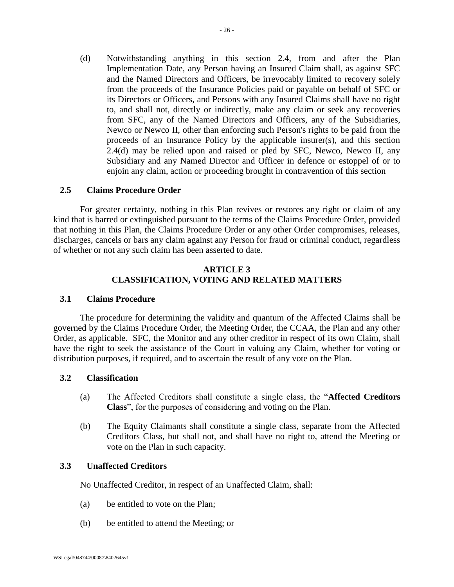(d) Notwithstanding anything in this section 2.4, from and after the Plan Implementation Date, any Person having an Insured Claim shall, as against SFC and the Named Directors and Officers, be irrevocably limited to recovery solely from the proceeds of the Insurance Policies paid or payable on behalf of SFC or its Directors or Officers, and Persons with any Insured Claims shall have no right to, and shall not, directly or indirectly, make any claim or seek any recoveries from SFC, any of the Named Directors and Officers, any of the Subsidiaries, Newco or Newco II, other than enforcing such Person's rights to be paid from the proceeds of an Insurance Policy by the applicable insurer(s), and this section 2.4(d) may be relied upon and raised or pled by SFC, Newco, Newco II, any Subsidiary and any Named Director and Officer in defence or estoppel of or to enjoin any claim, action or proceeding brought in contravention of this section

#### <span id="page-26-0"></span>**2.5 Claims Procedure Order**

For greater certainty, nothing in this Plan revives or restores any right or claim of any kind that is barred or extinguished pursuant to the terms of the Claims Procedure Order, provided that nothing in this Plan, the Claims Procedure Order or any other Order compromises, releases, discharges, cancels or bars any claim against any Person for fraud or criminal conduct, regardless of whether or not any such claim has been asserted to date.

#### **ARTICLE 3 CLASSIFICATION, VOTING AND RELATED MATTERS**

#### <span id="page-26-2"></span><span id="page-26-1"></span>**3.1 Claims Procedure**

The procedure for determining the validity and quantum of the Affected Claims shall be governed by the Claims Procedure Order, the Meeting Order, the CCAA, the Plan and any other Order, as applicable. SFC, the Monitor and any other creditor in respect of its own Claim, shall have the right to seek the assistance of the Court in valuing any Claim, whether for voting or distribution purposes, if required, and to ascertain the result of any vote on the Plan.

#### <span id="page-26-5"></span><span id="page-26-3"></span>**3.2 Classification**

- (a) The Affected Creditors shall constitute a single class, the "**Affected Creditors Class**", for the purposes of considering and voting on the Plan.
- <span id="page-26-6"></span>(b) The Equity Claimants shall constitute a single class, separate from the Affected Creditors Class, but shall not, and shall have no right to, attend the Meeting or vote on the Plan in such capacity.

#### <span id="page-26-4"></span>**3.3 Unaffected Creditors**

No Unaffected Creditor, in respect of an Unaffected Claim, shall:

- (a) be entitled to vote on the Plan;
- (b) be entitled to attend the Meeting; or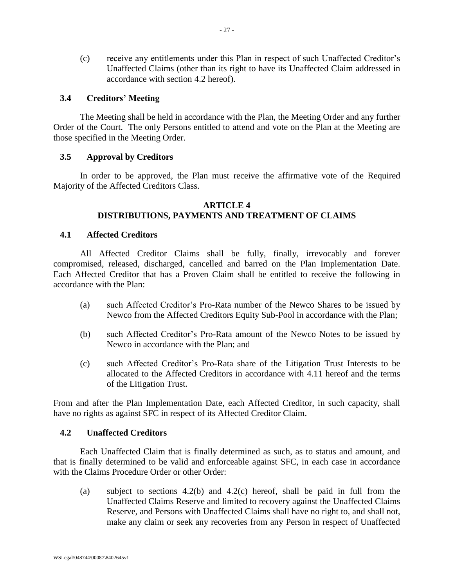(c) receive any entitlements under this Plan in respect of such Unaffected Creditor's Unaffected Claims (other than its right to have its Unaffected Claim addressed in accordance with section [4.2](#page-27-4) hereof).

## <span id="page-27-0"></span>**3.4 Creditors' Meeting**

The Meeting shall be held in accordance with the Plan, the Meeting Order and any further Order of the Court. The only Persons entitled to attend and vote on the Plan at the Meeting are those specified in the Meeting Order.

## <span id="page-27-1"></span>**3.5 Approval by Creditors**

In order to be approved, the Plan must receive the affirmative vote of the Required Majority of the Affected Creditors Class.

#### **ARTICLE 4 DISTRIBUTIONS, PAYMENTS AND TREATMENT OF CLAIMS**

#### <span id="page-27-3"></span><span id="page-27-2"></span>**4.1 Affected Creditors**

All Affected Creditor Claims shall be fully, finally, irrevocably and forever compromised, released, discharged, cancelled and barred on the Plan Implementation Date. Each Affected Creditor that has a Proven Claim shall be entitled to receive the following in accordance with the Plan:

- (a) such Affected Creditor's Pro-Rata number of the Newco Shares to be issued by Newco from the Affected Creditors Equity Sub-Pool in accordance with the Plan;
- (b) such Affected Creditor's Pro-Rata amount of the Newco Notes to be issued by Newco in accordance with the Plan; and
- (c) such Affected Creditor's Pro-Rata share of the Litigation Trust Interests to be allocated to the Affected Creditors in accordance with [4.11](#page-33-1) hereof and the terms of the Litigation Trust.

From and after the Plan Implementation Date, each Affected Creditor, in such capacity, shall have no rights as against SFC in respect of its Affected Creditor Claim.

#### <span id="page-27-4"></span>**4.2 Unaffected Creditors**

Each Unaffected Claim that is finally determined as such, as to status and amount, and that is finally determined to be valid and enforceable against SFC, in each case in accordance with the Claims Procedure Order or other Order:

(a) subject to sections [4.2\(b\)](#page-28-4) and [4.2\(c\)](#page-28-5) hereof, shall be paid in full from the Unaffected Claims Reserve and limited to recovery against the Unaffected Claims Reserve, and Persons with Unaffected Claims shall have no right to, and shall not, make any claim or seek any recoveries from any Person in respect of Unaffected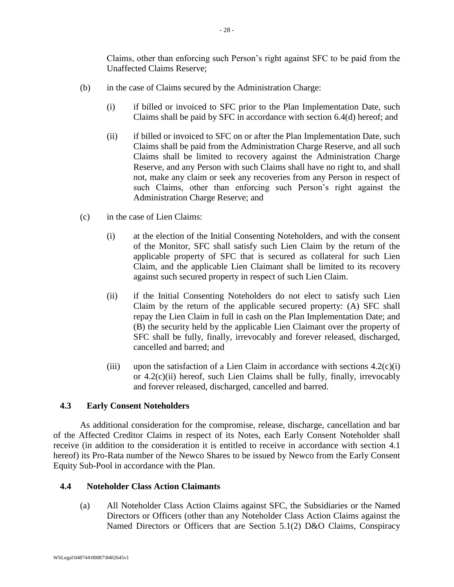Claims, other than enforcing such Person's right against SFC to be paid from the Unaffected Claims Reserve;

- <span id="page-28-4"></span>(b) in the case of Claims secured by the Administration Charge:
	- (i) if billed or invoiced to SFC prior to the Plan Implementation Date, such Claims shall be paid by SFC in accordance with section [6.4\(d\)](#page-48-1) hereof; and
	- (ii) if billed or invoiced to SFC on or after the Plan Implementation Date, such Claims shall be paid from the Administration Charge Reserve, and all such Claims shall be limited to recovery against the Administration Charge Reserve, and any Person with such Claims shall have no right to, and shall not, make any claim or seek any recoveries from any Person in respect of such Claims, other than enforcing such Person's right against the Administration Charge Reserve; and
- <span id="page-28-5"></span><span id="page-28-3"></span><span id="page-28-2"></span>(c) in the case of Lien Claims:
	- (i) at the election of the Initial Consenting Noteholders, and with the consent of the Monitor, SFC shall satisfy such Lien Claim by the return of the applicable property of SFC that is secured as collateral for such Lien Claim, and the applicable Lien Claimant shall be limited to its recovery against such secured property in respect of such Lien Claim.
	- (ii) if the Initial Consenting Noteholders do not elect to satisfy such Lien Claim by the return of the applicable secured property: (A) SFC shall repay the Lien Claim in full in cash on the Plan Implementation Date; and (B) the security held by the applicable Lien Claimant over the property of SFC shall be fully, finally, irrevocably and forever released, discharged, cancelled and barred; and
	- (iii) upon the satisfaction of a Lien Claim in accordance with sections  $4.2(c)(i)$ or [4.2\(c\)\(ii\)](#page-28-3) hereof, such Lien Claims shall be fully, finally, irrevocably and forever released, discharged, cancelled and barred.

## <span id="page-28-0"></span>**4.3 Early Consent Noteholders**

As additional consideration for the compromise, release, discharge, cancellation and bar of the Affected Creditor Claims in respect of its Notes, each Early Consent Noteholder shall receive (in addition to the consideration it is entitled to receive in accordance with section [4.1](#page-27-3) hereof) its Pro-Rata number of the Newco Shares to be issued by Newco from the Early Consent Equity Sub-Pool in accordance with the Plan.

## <span id="page-28-1"></span>**4.4 Noteholder Class Action Claimants**

(a) All Noteholder Class Action Claims against SFC, the Subsidiaries or the Named Directors or Officers (other than any Noteholder Class Action Claims against the Named Directors or Officers that are Section 5.1(2) D&O Claims, Conspiracy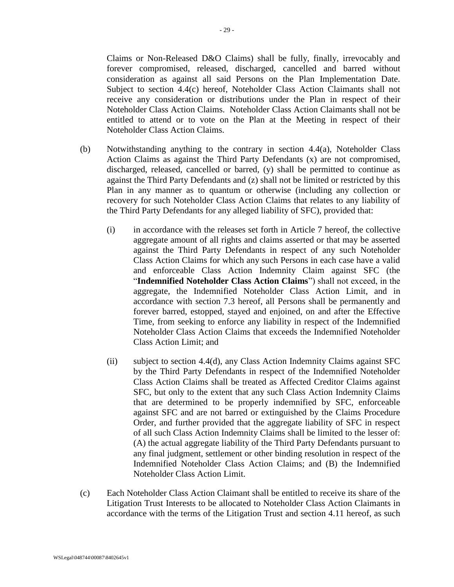Claims or Non-Released D&O Claims) shall be fully, finally, irrevocably and forever compromised, released, discharged, cancelled and barred without consideration as against all said Persons on the Plan Implementation Date. Subject to section [4.4\(c\)](#page-28-1) hereof, Noteholder Class Action Claimants shall not receive any consideration or distributions under the Plan in respect of their Noteholder Class Action Claims. Noteholder Class Action Claimants shall not be entitled to attend or to vote on the Plan at the Meeting in respect of their Noteholder Class Action Claims.

- <span id="page-29-0"></span>(b) Notwithstanding anything to the contrary in section [4.4\(a\),](#page-28-1) Noteholder Class Action Claims as against the Third Party Defendants (x) are not compromised, discharged, released, cancelled or barred, (y) shall be permitted to continue as against the Third Party Defendants and (z) shall not be limited or restricted by this Plan in any manner as to quantum or otherwise (including any collection or recovery for such Noteholder Class Action Claims that relates to any liability of the Third Party Defendants for any alleged liability of SFC), provided that:
	- (i) in accordance with the releases set forth in [Article 7](#page-56-0) hereof, the collective aggregate amount of all rights and claims asserted or that may be asserted against the Third Party Defendants in respect of any such Noteholder Class Action Claims for which any such Persons in each case have a valid and enforceable Class Action Indemnity Claim against SFC (the "**Indemnified Noteholder Class Action Claims**") shall not exceed, in the aggregate, the Indemnified Noteholder Class Action Limit, and in accordance with section [7.3](#page-60-0) hereof, all Persons shall be permanently and forever barred, estopped, stayed and enjoined, on and after the Effective Time, from seeking to enforce any liability in respect of the Indemnified Noteholder Class Action Claims that exceeds the Indemnified Noteholder Class Action Limit; and
	- (ii) subject to section [4.4\(d\),](#page-30-3) any Class Action Indemnity Claims against SFC by the Third Party Defendants in respect of the Indemnified Noteholder Class Action Claims shall be treated as Affected Creditor Claims against SFC, but only to the extent that any such Class Action Indemnity Claims that are determined to be properly indemnified by SFC, enforceable against SFC and are not barred or extinguished by the Claims Procedure Order, and further provided that the aggregate liability of SFC in respect of all such Class Action Indemnity Claims shall be limited to the lesser of: (A) the actual aggregate liability of the Third Party Defendants pursuant to any final judgment, settlement or other binding resolution in respect of the Indemnified Noteholder Class Action Claims; and (B) the Indemnified Noteholder Class Action Limit.
- <span id="page-29-1"></span>(c) Each Noteholder Class Action Claimant shall be entitled to receive its share of the Litigation Trust Interests to be allocated to Noteholder Class Action Claimants in accordance with the terms of the Litigation Trust and section [4.11](#page-33-1) hereof, as such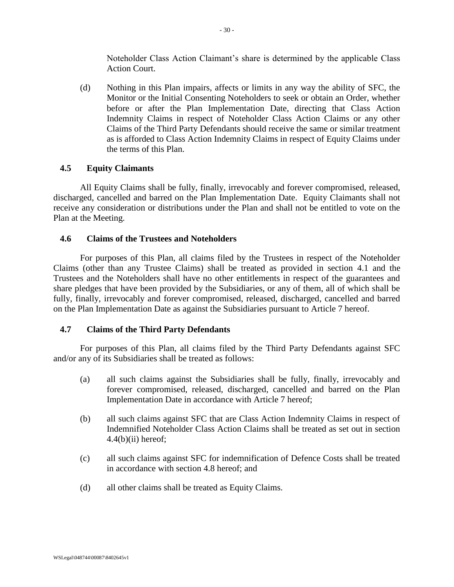Noteholder Class Action Claimant's share is determined by the applicable Class Action Court.

<span id="page-30-3"></span>(d) Nothing in this Plan impairs, affects or limits in any way the ability of SFC, the Monitor or the Initial Consenting Noteholders to seek or obtain an Order, whether before or after the Plan Implementation Date, directing that Class Action Indemnity Claims in respect of Noteholder Class Action Claims or any other Claims of the Third Party Defendants should receive the same or similar treatment as is afforded to Class Action Indemnity Claims in respect of Equity Claims under the terms of this Plan.

## <span id="page-30-0"></span>**4.5 Equity Claimants**

All Equity Claims shall be fully, finally, irrevocably and forever compromised, released, discharged, cancelled and barred on the Plan Implementation Date. Equity Claimants shall not receive any consideration or distributions under the Plan and shall not be entitled to vote on the Plan at the Meeting.

# <span id="page-30-1"></span>**4.6 Claims of the Trustees and Noteholders**

For purposes of this Plan, all claims filed by the Trustees in respect of the Noteholder Claims (other than any Trustee Claims) shall be treated as provided in section [4.1](#page-27-3) and the Trustees and the Noteholders shall have no other entitlements in respect of the guarantees and share pledges that have been provided by the Subsidiaries, or any of them, all of which shall be fully, finally, irrevocably and forever compromised, released, discharged, cancelled and barred on the Plan Implementation Date as against the Subsidiaries pursuant to [Article 7](#page-56-0) hereof.

# <span id="page-30-2"></span>**4.7 Claims of the Third Party Defendants**

For purposes of this Plan, all claims filed by the Third Party Defendants against SFC and/or any of its Subsidiaries shall be treated as follows:

- (a) all such claims against the Subsidiaries shall be fully, finally, irrevocably and forever compromised, released, discharged, cancelled and barred on the Plan Implementation Date in accordance with [Article 7](#page-56-0) hereof;
- (b) all such claims against SFC that are Class Action Indemnity Claims in respect of Indemnified Noteholder Class Action Claims shall be treated as set out in section  $4.4(b)(ii)$  hereof;
- (c) all such claims against SFC for indemnification of Defence Costs shall be treated in accordance with section [4.8](#page-31-0) hereof; and
- (d) all other claims shall be treated as Equity Claims.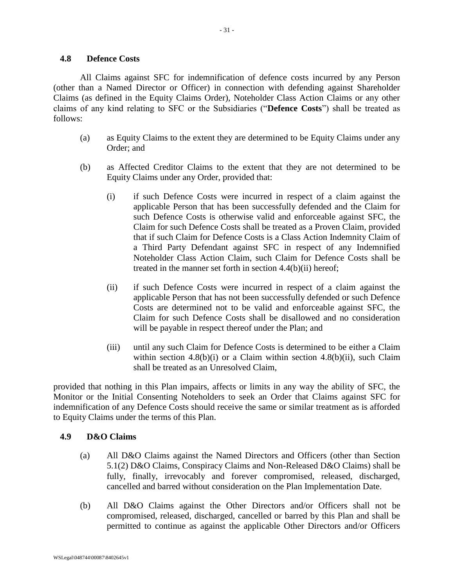<span id="page-31-0"></span>All Claims against SFC for indemnification of defence costs incurred by any Person (other than a Named Director or Officer) in connection with defending against Shareholder Claims (as defined in the Equity Claims Order), Noteholder Class Action Claims or any other claims of any kind relating to SFC or the Subsidiaries ("**Defence Costs**") shall be treated as follows:

- (a) as Equity Claims to the extent they are determined to be Equity Claims under any Order; and
- <span id="page-31-3"></span>(b) as Affected Creditor Claims to the extent that they are not determined to be Equity Claims under any Order, provided that:
	- (i) if such Defence Costs were incurred in respect of a claim against the applicable Person that has been successfully defended and the Claim for such Defence Costs is otherwise valid and enforceable against SFC, the Claim for such Defence Costs shall be treated as a Proven Claim, provided that if such Claim for Defence Costs is a Class Action Indemnity Claim of a Third Party Defendant against SFC in respect of any Indemnified Noteholder Class Action Claim, such Claim for Defence Costs shall be treated in the manner set forth in section [4.4\(b\)\(ii\)](#page-29-1) hereof;
	- (ii) if such Defence Costs were incurred in respect of a claim against the applicable Person that has not been successfully defended or such Defence Costs are determined not to be valid and enforceable against SFC, the Claim for such Defence Costs shall be disallowed and no consideration will be payable in respect thereof under the Plan; and
	- (iii) until any such Claim for Defence Costs is determined to be either a Claim within section  $4.8(b)(i)$  or a Claim within section  $4.8(b)(ii)$ , such Claim shall be treated as an Unresolved Claim,

<span id="page-31-4"></span>provided that nothing in this Plan impairs, affects or limits in any way the ability of SFC, the Monitor or the Initial Consenting Noteholders to seek an Order that Claims against SFC for indemnification of any Defence Costs should receive the same or similar treatment as is afforded to Equity Claims under the terms of this Plan.

# <span id="page-31-1"></span>**4.9 D&O Claims**

- (a) All D&O Claims against the Named Directors and Officers (other than Section 5.1(2) D&O Claims, Conspiracy Claims and Non-Released D&O Claims) shall be fully, finally, irrevocably and forever compromised, released, discharged, cancelled and barred without consideration on the Plan Implementation Date.
- <span id="page-31-2"></span>(b) All D&O Claims against the Other Directors and/or Officers shall not be compromised, released, discharged, cancelled or barred by this Plan and shall be permitted to continue as against the applicable Other Directors and/or Officers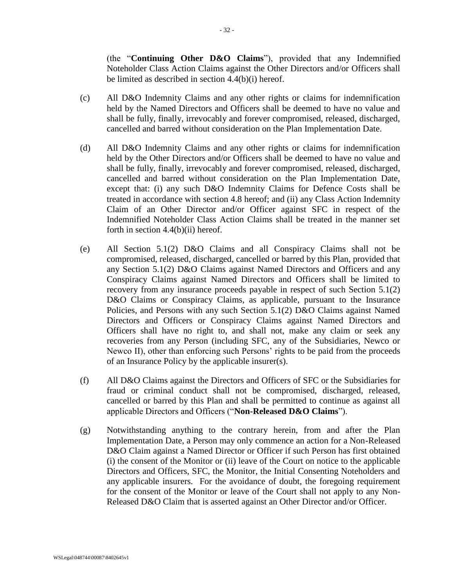(the "**Continuing Other D&O Claims**"), provided that any Indemnified Noteholder Class Action Claims against the Other Directors and/or Officers shall be limited as described in section [4.4\(b\)\(i\)](#page-29-0) hereof.

- (c) All D&O Indemnity Claims and any other rights or claims for indemnification held by the Named Directors and Officers shall be deemed to have no value and shall be fully, finally, irrevocably and forever compromised, released, discharged, cancelled and barred without consideration on the Plan Implementation Date.
- (d) All D&O Indemnity Claims and any other rights or claims for indemnification held by the Other Directors and/or Officers shall be deemed to have no value and shall be fully, finally, irrevocably and forever compromised, released, discharged, cancelled and barred without consideration on the Plan Implementation Date, except that: (i) any such D&O Indemnity Claims for Defence Costs shall be treated in accordance with section [4.8](#page-31-0) hereof; and (ii) any Class Action Indemnity Claim of an Other Director and/or Officer against SFC in respect of the Indemnified Noteholder Class Action Claims shall be treated in the manner set forth in section  $4.4(b)(ii)$  hereof.
- (e) All Section 5.1(2) D&O Claims and all Conspiracy Claims shall not be compromised, released, discharged, cancelled or barred by this Plan, provided that any Section 5.1(2) D&O Claims against Named Directors and Officers and any Conspiracy Claims against Named Directors and Officers shall be limited to recovery from any insurance proceeds payable in respect of such Section 5.1(2) D&O Claims or Conspiracy Claims, as applicable, pursuant to the Insurance Policies, and Persons with any such Section 5.1(2) D&O Claims against Named Directors and Officers or Conspiracy Claims against Named Directors and Officers shall have no right to, and shall not, make any claim or seek any recoveries from any Person (including SFC, any of the Subsidiaries, Newco or Newco II), other than enforcing such Persons' rights to be paid from the proceeds of an Insurance Policy by the applicable insurer(s).
- <span id="page-32-0"></span>(f) All D&O Claims against the Directors and Officers of SFC or the Subsidiaries for fraud or criminal conduct shall not be compromised, discharged, released, cancelled or barred by this Plan and shall be permitted to continue as against all applicable Directors and Officers ("**Non-Released D&O Claims**").
- (g) Notwithstanding anything to the contrary herein, from and after the Plan Implementation Date, a Person may only commence an action for a Non-Released D&O Claim against a Named Director or Officer if such Person has first obtained (i) the consent of the Monitor or (ii) leave of the Court on notice to the applicable Directors and Officers, SFC, the Monitor, the Initial Consenting Noteholders and any applicable insurers. For the avoidance of doubt, the foregoing requirement for the consent of the Monitor or leave of the Court shall not apply to any Non-Released D&O Claim that is asserted against an Other Director and/or Officer.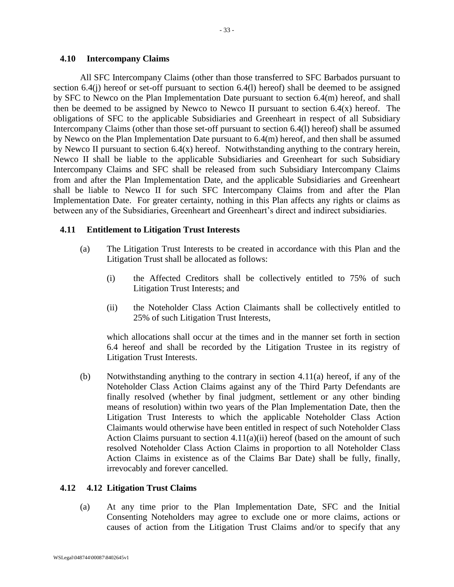#### <span id="page-33-0"></span>**4.10 Intercompany Claims**

All SFC Intercompany Claims (other than those transferred to SFC Barbados pursuant to section [6.4\(j\)](#page-50-0) hereof or set-off pursuant to section [6.4\(l\)](#page-51-2) hereof) shall be deemed to be assigned by SFC to Newco on the Plan Implementation Date pursuant to section [6.4\(m\)](#page-51-0) hereof, and shall then be deemed to be assigned by Newco to Newco II pursuant to section  $6.4(x)$  hereof. The obligations of SFC to the applicable Subsidiaries and Greenheart in respect of all Subsidiary Intercompany Claims (other than those set-off pursuant to section [6.4\(l\)](#page-51-2) hereof) shall be assumed by Newco on the Plan Implementation Date pursuant to [6.4\(m\)](#page-51-0) hereof, and then shall be assumed by Newco II pursuant to section  $6.4(x)$  hereof. Notwithstanding anything to the contrary herein, Newco II shall be liable to the applicable Subsidiaries and Greenheart for such Subsidiary Intercompany Claims and SFC shall be released from such Subsidiary Intercompany Claims from and after the Plan Implementation Date, and the applicable Subsidiaries and Greenheart shall be liable to Newco II for such SFC Intercompany Claims from and after the Plan Implementation Date.For greater certainty, nothing in this Plan affects any rights or claims as between any of the Subsidiaries, Greenheart and Greenheart's direct and indirect subsidiaries.

## <span id="page-33-1"></span>**4.11 Entitlement to Litigation Trust Interests**

- (a) The Litigation Trust Interests to be created in accordance with this Plan and the Litigation Trust shall be allocated as follows:
	- (i) the Affected Creditors shall be collectively entitled to 75% of such Litigation Trust Interests; and
	- (ii) the Noteholder Class Action Claimants shall be collectively entitled to 25% of such Litigation Trust Interests,

which allocations shall occur at the times and in the manner set forth in section [6.4](#page-48-0) hereof and shall be recorded by the Litigation Trustee in its registry of Litigation Trust Interests.

(b) Notwithstanding anything to the contrary in section [4.11\(a\)](#page-33-1) hereof, if any of the Noteholder Class Action Claims against any of the Third Party Defendants are finally resolved (whether by final judgment, settlement or any other binding means of resolution) within two years of the Plan Implementation Date, then the Litigation Trust Interests to which the applicable Noteholder Class Action Claimants would otherwise have been entitled in respect of such Noteholder Class Action Claims pursuant to section  $4.11(a)(ii)$  hereof (based on the amount of such resolved Noteholder Class Action Claims in proportion to all Noteholder Class Action Claims in existence as of the Claims Bar Date) shall be fully, finally, irrevocably and forever cancelled.

## <span id="page-33-2"></span>**4.12 4.12 Litigation Trust Claims**

(a) At any time prior to the Plan Implementation Date, SFC and the Initial Consenting Noteholders may agree to exclude one or more claims, actions or causes of action from the Litigation Trust Claims and/or to specify that any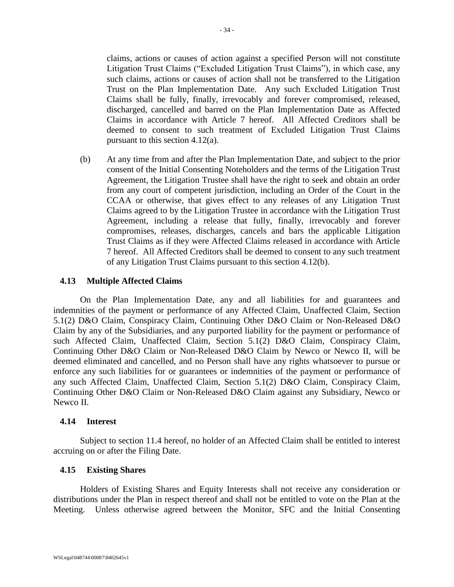claims, actions or causes of action against a specified Person will not constitute Litigation Trust Claims ("Excluded Litigation Trust Claims"), in which case, any such claims, actions or causes of action shall not be transferred to the Litigation Trust on the Plan Implementation Date. Any such Excluded Litigation Trust Claims shall be fully, finally, irrevocably and forever compromised, released, discharged, cancelled and barred on the Plan Implementation Date as Affected Claims in accordance with Article 7 hereof. All Affected Creditors shall be deemed to consent to such treatment of Excluded Litigation Trust Claims pursuant to this section 4.12(a).

(b) At any time from and after the Plan Implementation Date, and subject to the prior consent of the Initial Consenting Noteholders and the terms of the Litigation Trust Agreement, the Litigation Trustee shall have the right to seek and obtain an order from any court of competent jurisdiction, including an Order of the Court in the CCAA or otherwise, that gives effect to any releases of any Litigation Trust Claims agreed to by the Litigation Trustee in accordance with the Litigation Trust Agreement, including a release that fully, finally, irrevocably and forever compromises, releases, discharges, cancels and bars the applicable Litigation Trust Claims as if they were Affected Claims released in accordance with Article 7 hereof. All Affected Creditors shall be deemed to consent to any such treatment of any Litigation Trust Claims pursuant to this section 4.12(b).

#### **4.13 Multiple Affected Claims**

On the Plan Implementation Date, any and all liabilities for and guarantees and indemnities of the payment or performance of any Affected Claim, Unaffected Claim, Section 5.1(2) D&O Claim, Conspiracy Claim, Continuing Other D&O Claim or Non-Released D&O Claim by any of the Subsidiaries, and any purported liability for the payment or performance of such Affected Claim, Unaffected Claim, Section 5.1(2) D&O Claim, Conspiracy Claim, Continuing Other D&O Claim or Non-Released D&O Claim by Newco or Newco II, will be deemed eliminated and cancelled, and no Person shall have any rights whatsoever to pursue or enforce any such liabilities for or guarantees or indemnities of the payment or performance of any such Affected Claim, Unaffected Claim, Section 5.1(2) D&O Claim, Conspiracy Claim, Continuing Other D&O Claim or Non-Released D&O Claim against any Subsidiary, Newco or Newco II.

#### <span id="page-34-0"></span>**4.14 Interest**

Subject to section [11.4](#page-73-1) hereof, no holder of an Affected Claim shall be entitled to interest accruing on or after the Filing Date.

## <span id="page-34-1"></span>**4.15 Existing Shares**

Holders of Existing Shares and Equity Interests shall not receive any consideration or distributions under the Plan in respect thereof and shall not be entitled to vote on the Plan at the Meeting. Unless otherwise agreed between the Monitor, SFC and the Initial Consenting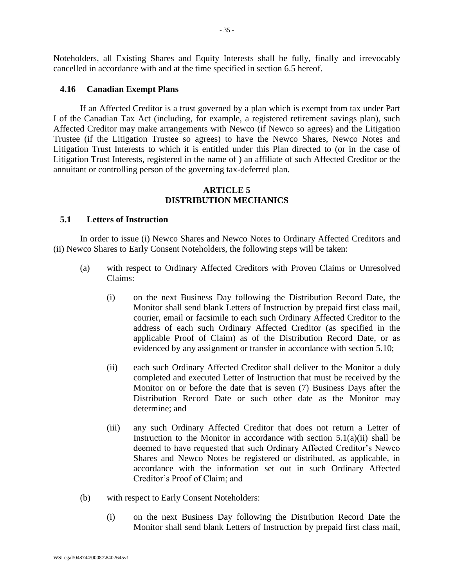Noteholders, all Existing Shares and Equity Interests shall be fully, finally and irrevocably cancelled in accordance with and at the time specified in section [6.5](#page-54-0) hereof.

#### <span id="page-35-0"></span>**4.16 Canadian Exempt Plans**

If an Affected Creditor is a trust governed by a plan which is exempt from tax under Part I of the Canadian Tax Act (including, for example, a registered retirement savings plan), such Affected Creditor may make arrangements with Newco (if Newco so agrees) and the Litigation Trustee (if the Litigation Trustee so agrees) to have the Newco Shares, Newco Notes and Litigation Trust Interests to which it is entitled under this Plan directed to (or in the case of Litigation Trust Interests, registered in the name of ) an affiliate of such Affected Creditor or the annuitant or controlling person of the governing tax-deferred plan.

#### **ARTICLE 5 DISTRIBUTION MECHANICS**

#### <span id="page-35-2"></span><span id="page-35-1"></span>**5.1 Letters of Instruction**

In order to issue (i) Newco Shares and Newco Notes to Ordinary Affected Creditors and (ii) Newco Shares to Early Consent Noteholders, the following steps will be taken:

- <span id="page-35-3"></span>(a) with respect to Ordinary Affected Creditors with Proven Claims or Unresolved Claims:
	- (i) on the next Business Day following the Distribution Record Date, the Monitor shall send blank Letters of Instruction by prepaid first class mail, courier, email or facsimile to each such Ordinary Affected Creditor to the address of each such Ordinary Affected Creditor (as specified in the applicable Proof of Claim) as of the Distribution Record Date, or as evidenced by any assignment or transfer in accordance with section [5.10;](#page-44-2)
	- (ii) each such Ordinary Affected Creditor shall deliver to the Monitor a duly completed and executed Letter of Instruction that must be received by the Monitor on or before the date that is seven (7) Business Days after the Distribution Record Date or such other date as the Monitor may determine; and
	- (iii) any such Ordinary Affected Creditor that does not return a Letter of Instruction to the Monitor in accordance with section  $5.1(a)(ii)$  shall be deemed to have requested that such Ordinary Affected Creditor's Newco Shares and Newco Notes be registered or distributed, as applicable, in accordance with the information set out in such Ordinary Affected Creditor's Proof of Claim; and
- (b) with respect to Early Consent Noteholders:
	- (i) on the next Business Day following the Distribution Record Date the Monitor shall send blank Letters of Instruction by prepaid first class mail,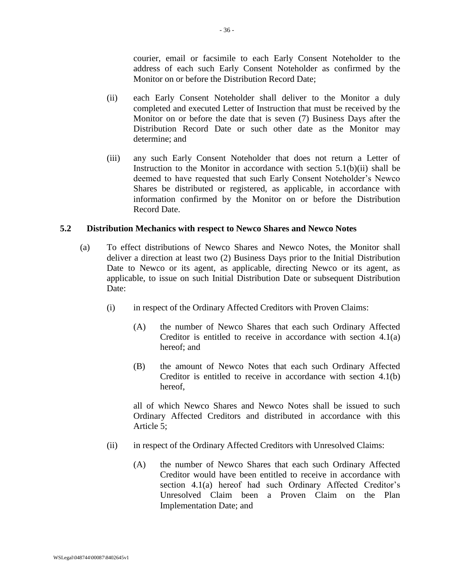courier, email or facsimile to each Early Consent Noteholder to the address of each such Early Consent Noteholder as confirmed by the Monitor on or before the Distribution Record Date;

- <span id="page-36-0"></span>(ii) each Early Consent Noteholder shall deliver to the Monitor a duly completed and executed Letter of Instruction that must be received by the Monitor on or before the date that is seven (7) Business Days after the Distribution Record Date or such other date as the Monitor may determine; and
- (iii) any such Early Consent Noteholder that does not return a Letter of Instruction to the Monitor in accordance with section [5.1\(b\)\(ii\)](#page-36-0) shall be deemed to have requested that such Early Consent Noteholder's Newco Shares be distributed or registered, as applicable, in accordance with information confirmed by the Monitor on or before the Distribution Record Date.

## <span id="page-36-1"></span>**5.2 Distribution Mechanics with respect to Newco Shares and Newco Notes**

- (a) To effect distributions of Newco Shares and Newco Notes, the Monitor shall deliver a direction at least two (2) Business Days prior to the Initial Distribution Date to Newco or its agent, as applicable, directing Newco or its agent, as applicable, to issue on such Initial Distribution Date or subsequent Distribution Date:
	- (i) in respect of the Ordinary Affected Creditors with Proven Claims:
		- (A) the number of Newco Shares that each such Ordinary Affected Creditor is entitled to receive in accordance with section [4.1\(a\)](#page-27-0) hereof; and
		- (B) the amount of Newco Notes that each such Ordinary Affected Creditor is entitled to receive in accordance with section [4.1\(b\)](#page-27-1) hereof,

all of which Newco Shares and Newco Notes shall be issued to such Ordinary Affected Creditors and distributed in accordance with this [Article 5;](#page-35-0)

- (ii) in respect of the Ordinary Affected Creditors with Unresolved Claims:
	- (A) the number of Newco Shares that each such Ordinary Affected Creditor would have been entitled to receive in accordance with section [4.1\(a\)](#page-27-0) hereof had such Ordinary Affected Creditor's Unresolved Claim been a Proven Claim on the Plan Implementation Date; and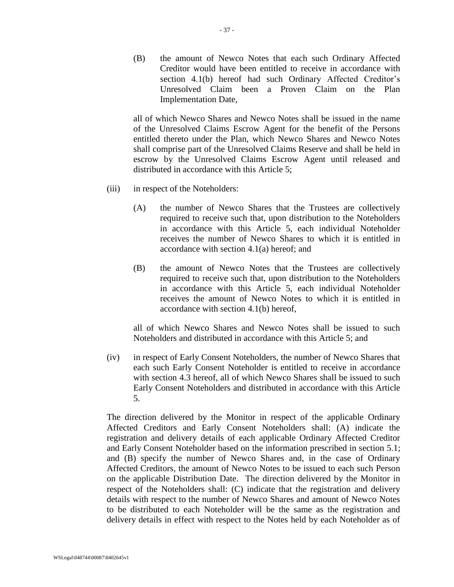(B) the amount of Newco Notes that each such Ordinary Affected Creditor would have been entitled to receive in accordance with section [4.1\(b\)](#page-27-1) hereof had such Ordinary Affected Creditor's Unresolved Claim been a Proven Claim on the Plan Implementation Date,

all of which Newco Shares and Newco Notes shall be issued in the name of the Unresolved Claims Escrow Agent for the benefit of the Persons entitled thereto under the Plan, which Newco Shares and Newco Notes shall comprise part of the Unresolved Claims Reserve and shall be held in escrow by the Unresolved Claims Escrow Agent until released and distributed in accordance with this [Article 5;](#page-35-0)

- (iii) in respect of the Noteholders:
	- (A) the number of Newco Shares that the Trustees are collectively required to receive such that, upon distribution to the Noteholders in accordance with this [Article 5,](#page-35-0) each individual Noteholder receives the number of Newco Shares to which it is entitled in accordance with section [4.1\(a\)](#page-27-0) hereof; and
	- (B) the amount of Newco Notes that the Trustees are collectively required to receive such that, upon distribution to the Noteholders in accordance with this [Article 5,](#page-35-0) each individual Noteholder receives the amount of Newco Notes to which it is entitled in accordance with section [4.1\(b\)](#page-27-1) hereof,

all of which Newco Shares and Newco Notes shall be issued to such Noteholders and distributed in accordance with this [Article 5;](#page-35-0) and

(iv) in respect of Early Consent Noteholders, the number of Newco Shares that each such Early Consent Noteholder is entitled to receive in accordance with section [4.3](#page-28-0) hereof, all of which Newco Shares shall be issued to such Early Consent Noteholders and distributed in accordance with this [Article](#page-35-0)  [5.](#page-35-0)

The direction delivered by the Monitor in respect of the applicable Ordinary Affected Creditors and Early Consent Noteholders shall: (A) indicate the registration and delivery details of each applicable Ordinary Affected Creditor and Early Consent Noteholder based on the information prescribed in section [5.1;](#page-35-1) and (B) specify the number of Newco Shares and, in the case of Ordinary Affected Creditors, the amount of Newco Notes to be issued to each such Person on the applicable Distribution Date. The direction delivered by the Monitor in respect of the Noteholders shall: (C) indicate that the registration and delivery details with respect to the number of Newco Shares and amount of Newco Notes to be distributed to each Noteholder will be the same as the registration and delivery details in effect with respect to the Notes held by each Noteholder as of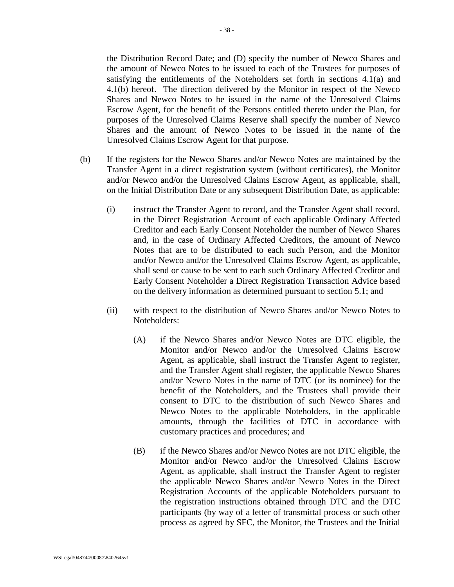the Distribution Record Date; and (D) specify the number of Newco Shares and the amount of Newco Notes to be issued to each of the Trustees for purposes of satisfying the entitlements of the Noteholders set forth in sections [4.1\(a\)](#page-27-0) and [4.1\(b\)](#page-27-1) hereof. The direction delivered by the Monitor in respect of the Newco Shares and Newco Notes to be issued in the name of the Unresolved Claims Escrow Agent, for the benefit of the Persons entitled thereto under the Plan, for purposes of the Unresolved Claims Reserve shall specify the number of Newco Shares and the amount of Newco Notes to be issued in the name of the Unresolved Claims Escrow Agent for that purpose.

- (b) If the registers for the Newco Shares and/or Newco Notes are maintained by the Transfer Agent in a direct registration system (without certificates), the Monitor and/or Newco and/or the Unresolved Claims Escrow Agent, as applicable, shall, on the Initial Distribution Date or any subsequent Distribution Date, as applicable:
	- (i) instruct the Transfer Agent to record, and the Transfer Agent shall record, in the Direct Registration Account of each applicable Ordinary Affected Creditor and each Early Consent Noteholder the number of Newco Shares and, in the case of Ordinary Affected Creditors, the amount of Newco Notes that are to be distributed to each such Person, and the Monitor and/or Newco and/or the Unresolved Claims Escrow Agent, as applicable, shall send or cause to be sent to each such Ordinary Affected Creditor and Early Consent Noteholder a Direct Registration Transaction Advice based on the delivery information as determined pursuant to section [5.1;](#page-35-1) and
	- (ii) with respect to the distribution of Newco Shares and/or Newco Notes to Noteholders:
		- (A) if the Newco Shares and/or Newco Notes are DTC eligible, the Monitor and/or Newco and/or the Unresolved Claims Escrow Agent, as applicable, shall instruct the Transfer Agent to register, and the Transfer Agent shall register, the applicable Newco Shares and/or Newco Notes in the name of DTC (or its nominee) for the benefit of the Noteholders, and the Trustees shall provide their consent to DTC to the distribution of such Newco Shares and Newco Notes to the applicable Noteholders, in the applicable amounts, through the facilities of DTC in accordance with customary practices and procedures; and
		- (B) if the Newco Shares and/or Newco Notes are not DTC eligible, the Monitor and/or Newco and/or the Unresolved Claims Escrow Agent, as applicable, shall instruct the Transfer Agent to register the applicable Newco Shares and/or Newco Notes in the Direct Registration Accounts of the applicable Noteholders pursuant to the registration instructions obtained through DTC and the DTC participants (by way of a letter of transmittal process or such other process as agreed by SFC, the Monitor, the Trustees and the Initial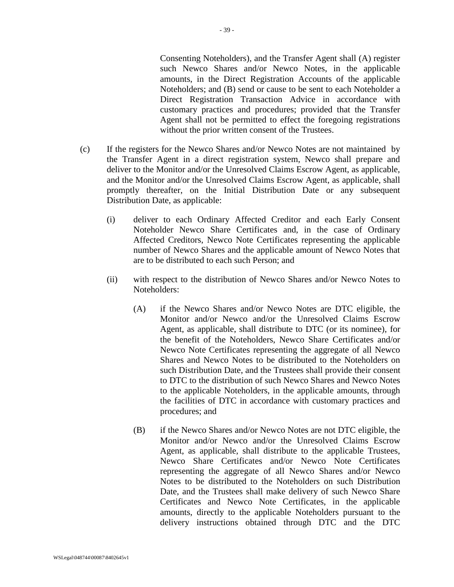Agent shall not be permitted to effect the foregoing registrations

(c) If the registers for the Newco Shares and/or Newco Notes are not maintained by the Transfer Agent in a direct registration system, Newco shall prepare and deliver to the Monitor and/or the Unresolved Claims Escrow Agent, as applicable, and the Monitor and/or the Unresolved Claims Escrow Agent, as applicable, shall promptly thereafter, on the Initial Distribution Date or any subsequent Distribution Date, as applicable:

without the prior written consent of the Trustees.

- (i) deliver to each Ordinary Affected Creditor and each Early Consent Noteholder Newco Share Certificates and, in the case of Ordinary Affected Creditors, Newco Note Certificates representing the applicable number of Newco Shares and the applicable amount of Newco Notes that are to be distributed to each such Person; and
- (ii) with respect to the distribution of Newco Shares and/or Newco Notes to Noteholders:
	- (A) if the Newco Shares and/or Newco Notes are DTC eligible, the Monitor and/or Newco and/or the Unresolved Claims Escrow Agent, as applicable, shall distribute to DTC (or its nominee), for the benefit of the Noteholders, Newco Share Certificates and/or Newco Note Certificates representing the aggregate of all Newco Shares and Newco Notes to be distributed to the Noteholders on such Distribution Date, and the Trustees shall provide their consent to DTC to the distribution of such Newco Shares and Newco Notes to the applicable Noteholders, in the applicable amounts, through the facilities of DTC in accordance with customary practices and procedures; and
	- (B) if the Newco Shares and/or Newco Notes are not DTC eligible, the Monitor and/or Newco and/or the Unresolved Claims Escrow Agent, as applicable, shall distribute to the applicable Trustees, Newco Share Certificates and/or Newco Note Certificates representing the aggregate of all Newco Shares and/or Newco Notes to be distributed to the Noteholders on such Distribution Date, and the Trustees shall make delivery of such Newco Share Certificates and Newco Note Certificates, in the applicable amounts, directly to the applicable Noteholders pursuant to the delivery instructions obtained through DTC and the DTC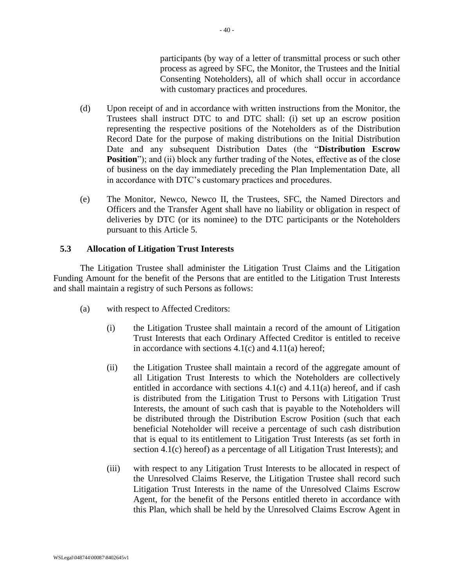participants (by way of a letter of transmittal process or such other process as agreed by SFC, the Monitor, the Trustees and the Initial Consenting Noteholders), all of which shall occur in accordance with customary practices and procedures.

- (d) Upon receipt of and in accordance with written instructions from the Monitor, the Trustees shall instruct DTC to and DTC shall: (i) set up an escrow position representing the respective positions of the Noteholders as of the Distribution Record Date for the purpose of making distributions on the Initial Distribution Date and any subsequent Distribution Dates (the "**Distribution Escrow Position**"); and (ii) block any further trading of the Notes, effective as of the close of business on the day immediately preceding the Plan Implementation Date, all in accordance with DTC's customary practices and procedures.
- (e) The Monitor, Newco, Newco II, the Trustees, SFC, the Named Directors and Officers and the Transfer Agent shall have no liability or obligation in respect of deliveries by DTC (or its nominee) to the DTC participants or the Noteholders pursuant to this [Article 5.](#page-35-0)

### <span id="page-40-0"></span>**5.3 Allocation of Litigation Trust Interests**

The Litigation Trustee shall administer the Litigation Trust Claims and the Litigation Funding Amount for the benefit of the Persons that are entitled to the Litigation Trust Interests and shall maintain a registry of such Persons as follows:

- (a) with respect to Affected Creditors:
	- (i) the Litigation Trustee shall maintain a record of the amount of Litigation Trust Interests that each Ordinary Affected Creditor is entitled to receive in accordance with sections  $4.1(c)$  and  $4.11(a)$  hereof;
	- (ii) the Litigation Trustee shall maintain a record of the aggregate amount of all Litigation Trust Interests to which the Noteholders are collectively entitled in accordance with sections [4.1\(c\)](#page-27-2) and [4.11\(a\)](#page-33-0) hereof, and if cash is distributed from the Litigation Trust to Persons with Litigation Trust Interests, the amount of such cash that is payable to the Noteholders will be distributed through the Distribution Escrow Position (such that each beneficial Noteholder will receive a percentage of such cash distribution that is equal to its entitlement to Litigation Trust Interests (as set forth in section [4.1\(c\)](#page-27-2) hereof) as a percentage of all Litigation Trust Interests); and
	- (iii) with respect to any Litigation Trust Interests to be allocated in respect of the Unresolved Claims Reserve, the Litigation Trustee shall record such Litigation Trust Interests in the name of the Unresolved Claims Escrow Agent, for the benefit of the Persons entitled thereto in accordance with this Plan, which shall be held by the Unresolved Claims Escrow Agent in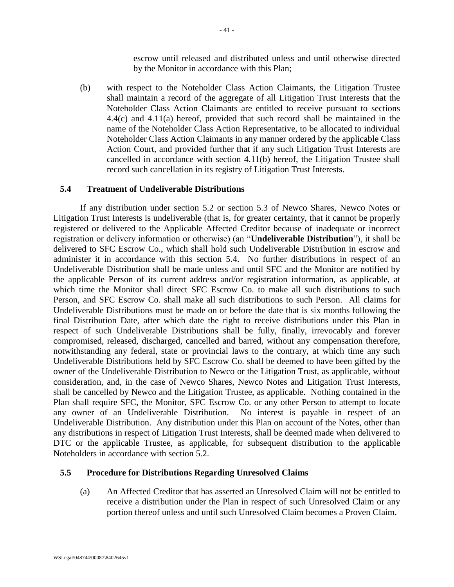escrow until released and distributed unless and until otherwise directed by the Monitor in accordance with this Plan;

(b) with respect to the Noteholder Class Action Claimants, the Litigation Trustee shall maintain a record of the aggregate of all Litigation Trust Interests that the Noteholder Class Action Claimants are entitled to receive pursuant to sections [4.4\(c\)](#page-29-0) and [4.11\(a\)](#page-33-0) hereof, provided that such record shall be maintained in the name of the Noteholder Class Action Representative, to be allocated to individual Noteholder Class Action Claimants in any manner ordered by the applicable Class Action Court, and provided further that if any such Litigation Trust Interests are cancelled in accordance with section [4.11\(b\)](#page-33-1) hereof, the Litigation Trustee shall record such cancellation in its registry of Litigation Trust Interests.

### <span id="page-41-0"></span>**5.4 Treatment of Undeliverable Distributions**

If any distribution under section [5.2](#page-36-1) or section [5.3](#page-40-0) of Newco Shares, Newco Notes or Litigation Trust Interests is undeliverable (that is, for greater certainty, that it cannot be properly registered or delivered to the Applicable Affected Creditor because of inadequate or incorrect registration or delivery information or otherwise) (an "**Undeliverable Distribution**"), it shall be delivered to SFC Escrow Co., which shall hold such Undeliverable Distribution in escrow and administer it in accordance with this section [5.4.](#page-41-0) No further distributions in respect of an Undeliverable Distribution shall be made unless and until SFC and the Monitor are notified by the applicable Person of its current address and/or registration information, as applicable, at which time the Monitor shall direct SFC Escrow Co. to make all such distributions to such Person, and SFC Escrow Co. shall make all such distributions to such Person. All claims for Undeliverable Distributions must be made on or before the date that is six months following the final Distribution Date, after which date the right to receive distributions under this Plan in respect of such Undeliverable Distributions shall be fully, finally, irrevocably and forever compromised, released, discharged, cancelled and barred, without any compensation therefore, notwithstanding any federal, state or provincial laws to the contrary, at which time any such Undeliverable Distributions held by SFC Escrow Co. shall be deemed to have been gifted by the owner of the Undeliverable Distribution to Newco or the Litigation Trust, as applicable, without consideration, and, in the case of Newco Shares, Newco Notes and Litigation Trust Interests, shall be cancelled by Newco and the Litigation Trustee, as applicable. Nothing contained in the Plan shall require SFC, the Monitor, SFC Escrow Co. or any other Person to attempt to locate any owner of an Undeliverable Distribution. No interest is payable in respect of an Undeliverable Distribution. Any distribution under this Plan on account of the Notes, other than any distributions in respect of Litigation Trust Interests, shall be deemed made when delivered to DTC or the applicable Trustee, as applicable, for subsequent distribution to the applicable Noteholders in accordance with section [5.2.](#page-36-1)

## **5.5 Procedure for Distributions Regarding Unresolved Claims**

(a) An Affected Creditor that has asserted an Unresolved Claim will not be entitled to receive a distribution under the Plan in respect of such Unresolved Claim or any portion thereof unless and until such Unresolved Claim becomes a Proven Claim.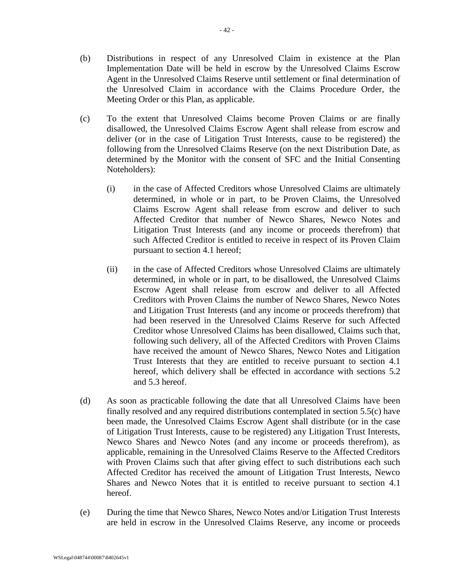- (b) Distributions in respect of any Unresolved Claim in existence at the Plan Implementation Date will be held in escrow by the Unresolved Claims Escrow Agent in the Unresolved Claims Reserve until settlement or final determination of the Unresolved Claim in accordance with the Claims Procedure Order, the Meeting Order or this Plan, as applicable.
- <span id="page-42-1"></span><span id="page-42-0"></span>(c) To the extent that Unresolved Claims become Proven Claims or are finally disallowed, the Unresolved Claims Escrow Agent shall release from escrow and deliver (or in the case of Litigation Trust Interests, cause to be registered) the following from the Unresolved Claims Reserve (on the next Distribution Date, as determined by the Monitor with the consent of SFC and the Initial Consenting Noteholders):
	- (i) in the case of Affected Creditors whose Unresolved Claims are ultimately determined, in whole or in part, to be Proven Claims, the Unresolved Claims Escrow Agent shall release from escrow and deliver to such Affected Creditor that number of Newco Shares, Newco Notes and Litigation Trust Interests (and any income or proceeds therefrom) that such Affected Creditor is entitled to receive in respect of its Proven Claim pursuant to section [4.1](#page-27-3) hereof;
	- (ii) in the case of Affected Creditors whose Unresolved Claims are ultimately determined, in whole or in part, to be disallowed, the Unresolved Claims Escrow Agent shall release from escrow and deliver to all Affected Creditors with Proven Claims the number of Newco Shares, Newco Notes and Litigation Trust Interests (and any income or proceeds therefrom) that had been reserved in the Unresolved Claims Reserve for such Affected Creditor whose Unresolved Claims has been disallowed, Claims such that, following such delivery, all of the Affected Creditors with Proven Claims have received the amount of Newco Shares, Newco Notes and Litigation Trust Interests that they are entitled to receive pursuant to section [4.1](#page-27-3) hereof, which delivery shall be effected in accordance with sections [5.2](#page-36-1) and [5.3](#page-40-0) hereof.
- <span id="page-42-2"></span>(d) As soon as practicable following the date that all Unresolved Claims have been finally resolved and any required distributions contemplated in section [5.5\(c\)](#page-42-0) have been made, the Unresolved Claims Escrow Agent shall distribute (or in the case of Litigation Trust Interests, cause to be registered) any Litigation Trust Interests, Newco Shares and Newco Notes (and any income or proceeds therefrom), as applicable, remaining in the Unresolved Claims Reserve to the Affected Creditors with Proven Claims such that after giving effect to such distributions each such Affected Creditor has received the amount of Litigation Trust Interests, Newco Shares and Newco Notes that it is entitled to receive pursuant to section [4.1](#page-27-3) hereof.
- (e) During the time that Newco Shares, Newco Notes and/or Litigation Trust Interests are held in escrow in the Unresolved Claims Reserve, any income or proceeds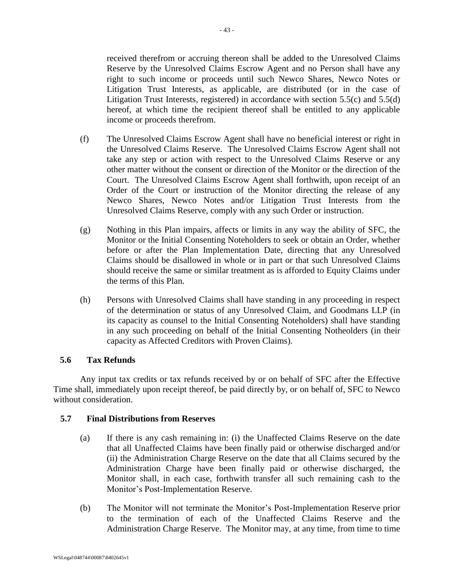received therefrom or accruing thereon shall be added to the Unresolved Claims Reserve by the Unresolved Claims Escrow Agent and no Person shall have any right to such income or proceeds until such Newco Shares, Newco Notes or Litigation Trust Interests, as applicable, are distributed (or in the case of Litigation Trust Interests, registered) in accordance with section [5.5\(c\)](#page-42-1) and [5.5\(d\)](#page-42-2) hereof, at which time the recipient thereof shall be entitled to any applicable income or proceeds therefrom.

- (f) The Unresolved Claims Escrow Agent shall have no beneficial interest or right in the Unresolved Claims Reserve. The Unresolved Claims Escrow Agent shall not take any step or action with respect to the Unresolved Claims Reserve or any other matter without the consent or direction of the Monitor or the direction of the Court. The Unresolved Claims Escrow Agent shall forthwith, upon receipt of an Order of the Court or instruction of the Monitor directing the release of any Newco Shares, Newco Notes and/or Litigation Trust Interests from the Unresolved Claims Reserve, comply with any such Order or instruction.
- (g) Nothing in this Plan impairs, affects or limits in any way the ability of SFC, the Monitor or the Initial Consenting Noteholders to seek or obtain an Order, whether before or after the Plan Implementation Date, directing that any Unresolved Claims should be disallowed in whole or in part or that such Unresolved Claims should receive the same or similar treatment as is afforded to Equity Claims under the terms of this Plan.
- (h) Persons with Unresolved Claims shall have standing in any proceeding in respect of the determination or status of any Unresolved Claim, and Goodmans LLP (in its capacity as counsel to the Initial Consenting Noteholders) shall have standing in any such proceeding on behalf of the Initial Consenting Notheolders (in their capacity as Affected Creditors with Proven Claims).

## **5.6 Tax Refunds**

Any input tax credits or tax refunds received by or on behalf of SFC after the Effective Time shall, immediately upon receipt thereof, be paid directly by, or on behalf of, SFC to Newco without consideration.

## **5.7 Final Distributions from Reserves**

- (a) If there is any cash remaining in: (i) the Unaffected Claims Reserve on the date that all Unaffected Claims have been finally paid or otherwise discharged and/or (ii) the Administration Charge Reserve on the date that all Claims secured by the Administration Charge have been finally paid or otherwise discharged, the Monitor shall, in each case, forthwith transfer all such remaining cash to the Monitor's Post-Implementation Reserve.
- (b) The Monitor will not terminate the Monitor's Post-Implementation Reserve prior to the termination of each of the Unaffected Claims Reserve and the Administration Charge Reserve. The Monitor may, at any time, from time to time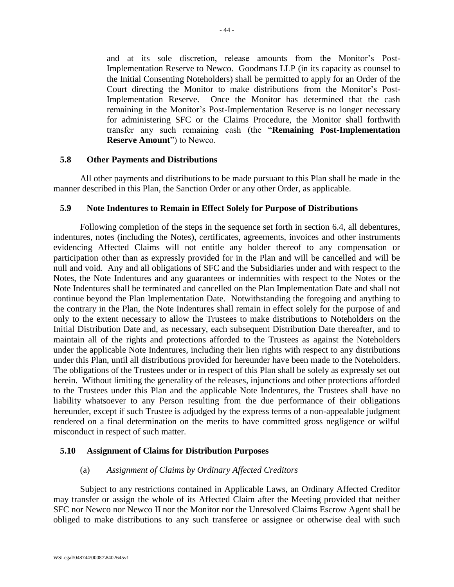and at its sole discretion, release amounts from the Monitor's Post-Implementation Reserve to Newco. Goodmans LLP (in its capacity as counsel to the Initial Consenting Noteholders) shall be permitted to apply for an Order of the Court directing the Monitor to make distributions from the Monitor's Post-Implementation Reserve. Once the Monitor has determined that the cash remaining in the Monitor's Post-Implementation Reserve is no longer necessary for administering SFC or the Claims Procedure, the Monitor shall forthwith transfer any such remaining cash (the "**Remaining Post-Implementation Reserve Amount**") to Newco.

### **5.8 Other Payments and Distributions**

All other payments and distributions to be made pursuant to this Plan shall be made in the manner described in this Plan, the Sanction Order or any other Order, as applicable.

### <span id="page-44-0"></span>**5.9 Note Indentures to Remain in Effect Solely for Purpose of Distributions**

Following completion of the steps in the sequence set forth in section [6.4,](#page-48-0) all debentures, indentures, notes (including the Notes), certificates, agreements, invoices and other instruments evidencing Affected Claims will not entitle any holder thereof to any compensation or participation other than as expressly provided for in the Plan and will be cancelled and will be null and void. Any and all obligations of SFC and the Subsidiaries under and with respect to the Notes, the Note Indentures and any guarantees or indemnities with respect to the Notes or the Note Indentures shall be terminated and cancelled on the Plan Implementation Date and shall not continue beyond the Plan Implementation Date. Notwithstanding the foregoing and anything to the contrary in the Plan, the Note Indentures shall remain in effect solely for the purpose of and only to the extent necessary to allow the Trustees to make distributions to Noteholders on the Initial Distribution Date and, as necessary, each subsequent Distribution Date thereafter, and to maintain all of the rights and protections afforded to the Trustees as against the Noteholders under the applicable Note Indentures, including their lien rights with respect to any distributions under this Plan, until all distributions provided for hereunder have been made to the Noteholders. The obligations of the Trustees under or in respect of this Plan shall be solely as expressly set out herein. Without limiting the generality of the releases, injunctions and other protections afforded to the Trustees under this Plan and the applicable Note Indentures, the Trustees shall have no liability whatsoever to any Person resulting from the due performance of their obligations hereunder, except if such Trustee is adjudged by the express terms of a non-appealable judgment rendered on a final determination on the merits to have committed gross negligence or wilful misconduct in respect of such matter.

## **5.10 Assignment of Claims for Distribution Purposes**

## (a) *Assignment of Claims by Ordinary Affected Creditors*

Subject to any restrictions contained in Applicable Laws, an Ordinary Affected Creditor may transfer or assign the whole of its Affected Claim after the Meeting provided that neither SFC nor Newco nor Newco II nor the Monitor nor the Unresolved Claims Escrow Agent shall be obliged to make distributions to any such transferee or assignee or otherwise deal with such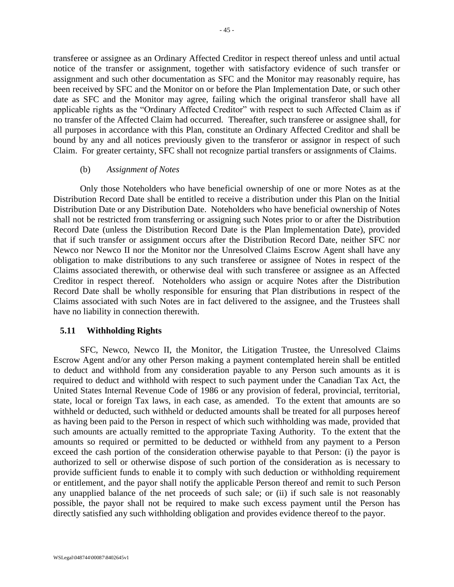transferee or assignee as an Ordinary Affected Creditor in respect thereof unless and until actual notice of the transfer or assignment, together with satisfactory evidence of such transfer or assignment and such other documentation as SFC and the Monitor may reasonably require, has been received by SFC and the Monitor on or before the Plan Implementation Date, or such other date as SFC and the Monitor may agree, failing which the original transferor shall have all applicable rights as the "Ordinary Affected Creditor" with respect to such Affected Claim as if no transfer of the Affected Claim had occurred. Thereafter, such transferee or assignee shall, for all purposes in accordance with this Plan, constitute an Ordinary Affected Creditor and shall be bound by any and all notices previously given to the transferor or assignor in respect of such Claim. For greater certainty, SFC shall not recognize partial transfers or assignments of Claims.

#### (b) *Assignment of Notes*

Only those Noteholders who have beneficial ownership of one or more Notes as at the Distribution Record Date shall be entitled to receive a distribution under this Plan on the Initial Distribution Date or any Distribution Date. Noteholders who have beneficial ownership of Notes shall not be restricted from transferring or assigning such Notes prior to or after the Distribution Record Date (unless the Distribution Record Date is the Plan Implementation Date), provided that if such transfer or assignment occurs after the Distribution Record Date, neither SFC nor Newco nor Newco II nor the Monitor nor the Unresolved Claims Escrow Agent shall have any obligation to make distributions to any such transferee or assignee of Notes in respect of the Claims associated therewith, or otherwise deal with such transferee or assignee as an Affected Creditor in respect thereof. Noteholders who assign or acquire Notes after the Distribution Record Date shall be wholly responsible for ensuring that Plan distributions in respect of the Claims associated with such Notes are in fact delivered to the assignee, and the Trustees shall have no liability in connection therewith.

#### **5.11 Withholding Rights**

SFC, Newco, Newco II, the Monitor, the Litigation Trustee, the Unresolved Claims Escrow Agent and/or any other Person making a payment contemplated herein shall be entitled to deduct and withhold from any consideration payable to any Person such amounts as it is required to deduct and withhold with respect to such payment under the Canadian Tax Act, the United States Internal Revenue Code of 1986 or any provision of federal, provincial, territorial, state, local or foreign Tax laws, in each case, as amended. To the extent that amounts are so withheld or deducted, such withheld or deducted amounts shall be treated for all purposes hereof as having been paid to the Person in respect of which such withholding was made, provided that such amounts are actually remitted to the appropriate Taxing Authority. To the extent that the amounts so required or permitted to be deducted or withheld from any payment to a Person exceed the cash portion of the consideration otherwise payable to that Person: (i) the payor is authorized to sell or otherwise dispose of such portion of the consideration as is necessary to provide sufficient funds to enable it to comply with such deduction or withholding requirement or entitlement, and the payor shall notify the applicable Person thereof and remit to such Person any unapplied balance of the net proceeds of such sale; or (ii) if such sale is not reasonably possible, the payor shall not be required to make such excess payment until the Person has directly satisfied any such withholding obligation and provides evidence thereof to the payor.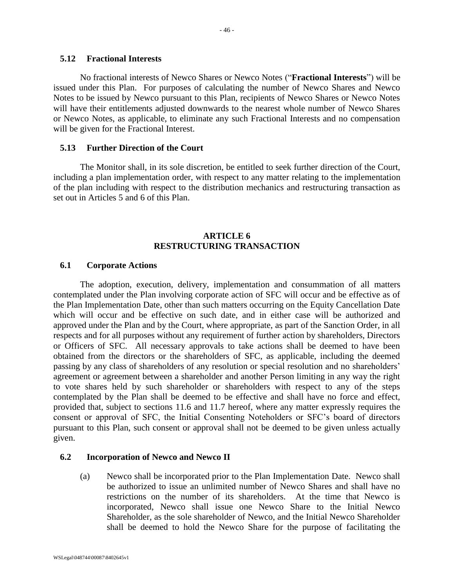#### **5.12 Fractional Interests**

No fractional interests of Newco Shares or Newco Notes ("**Fractional Interests**") will be issued under this Plan. For purposes of calculating the number of Newco Shares and Newco Notes to be issued by Newco pursuant to this Plan, recipients of Newco Shares or Newco Notes will have their entitlements adjusted downwards to the nearest whole number of Newco Shares or Newco Notes, as applicable, to eliminate any such Fractional Interests and no compensation will be given for the Fractional Interest.

#### **5.13 Further Direction of the Court**

The Monitor shall, in its sole discretion, be entitled to seek further direction of the Court, including a plan implementation order, with respect to any matter relating to the implementation of the plan including with respect to the distribution mechanics and restructuring transaction as set out in Articles 5 and 6 of this Plan.

## **ARTICLE 6 RESTRUCTURING TRANSACTION**

### **6.1 Corporate Actions**

The adoption, execution, delivery, implementation and consummation of all matters contemplated under the Plan involving corporate action of SFC will occur and be effective as of the Plan Implementation Date, other than such matters occurring on the Equity Cancellation Date which will occur and be effective on such date, and in either case will be authorized and approved under the Plan and by the Court, where appropriate, as part of the Sanction Order, in all respects and for all purposes without any requirement of further action by shareholders, Directors or Officers of SFC. All necessary approvals to take actions shall be deemed to have been obtained from the directors or the shareholders of SFC, as applicable, including the deemed passing by any class of shareholders of any resolution or special resolution and no shareholders' agreement or agreement between a shareholder and another Person limiting in any way the right to vote shares held by such shareholder or shareholders with respect to any of the steps contemplated by the Plan shall be deemed to be effective and shall have no force and effect, provided that, subject to sections [11.6](#page-74-0) and [11.7](#page-75-0) hereof, where any matter expressly requires the consent or approval of SFC, the Initial Consenting Noteholders or SFC's board of directors pursuant to this Plan, such consent or approval shall not be deemed to be given unless actually given.

#### **6.2 Incorporation of Newco and Newco II**

(a) Newco shall be incorporated prior to the Plan Implementation Date. Newco shall be authorized to issue an unlimited number of Newco Shares and shall have no restrictions on the number of its shareholders. At the time that Newco is incorporated, Newco shall issue one Newco Share to the Initial Newco Shareholder, as the sole shareholder of Newco, and the Initial Newco Shareholder shall be deemed to hold the Newco Share for the purpose of facilitating the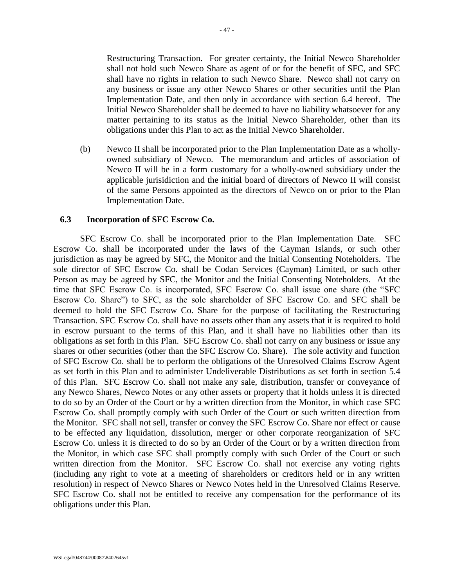Restructuring Transaction. For greater certainty, the Initial Newco Shareholder shall not hold such Newco Share as agent of or for the benefit of SFC, and SFC shall have no rights in relation to such Newco Share. Newco shall not carry on any business or issue any other Newco Shares or other securities until the Plan Implementation Date, and then only in accordance with section [6.4](#page-48-0) hereof. The Initial Newco Shareholder shall be deemed to have no liability whatsoever for any matter pertaining to its status as the Initial Newco Shareholder, other than its obligations under this Plan to act as the Initial Newco Shareholder.

(b) Newco II shall be incorporated prior to the Plan Implementation Date as a whollyowned subsidiary of Newco. The memorandum and articles of association of Newco II will be in a form customary for a wholly-owned subsidiary under the applicable jurisidiction and the initial board of directors of Newco II will consist of the same Persons appointed as the directors of Newco on or prior to the Plan Implementation Date.

#### **6.3 Incorporation of SFC Escrow Co.**

SFC Escrow Co. shall be incorporated prior to the Plan Implementation Date. SFC Escrow Co. shall be incorporated under the laws of the Cayman Islands, or such other jurisdiction as may be agreed by SFC, the Monitor and the Initial Consenting Noteholders. The sole director of SFC Escrow Co. shall be Codan Services (Cayman) Limited, or such other Person as may be agreed by SFC, the Monitor and the Initial Consenting Noteholders. At the time that SFC Escrow Co. is incorporated, SFC Escrow Co. shall issue one share (the "SFC Escrow Co. Share") to SFC, as the sole shareholder of SFC Escrow Co. and SFC shall be deemed to hold the SFC Escrow Co. Share for the purpose of facilitating the Restructuring Transaction. SFC Escrow Co. shall have no assets other than any assets that it is required to hold in escrow pursuant to the terms of this Plan, and it shall have no liabilities other than its obligations as set forth in this Plan. SFC Escrow Co. shall not carry on any business or issue any shares or other securities (other than the SFC Escrow Co. Share). The sole activity and function of SFC Escrow Co. shall be to perform the obligations of the Unresolved Claims Escrow Agent as set forth in this Plan and to administer Undeliverable Distributions as set forth in section [5.4](#page-41-0) of this Plan. SFC Escrow Co. shall not make any sale, distribution, transfer or conveyance of any Newco Shares, Newco Notes or any other assets or property that it holds unless it is directed to do so by an Order of the Court or by a written direction from the Monitor, in which case SFC Escrow Co. shall promptly comply with such Order of the Court or such written direction from the Monitor. SFC shall not sell, transfer or convey the SFC Escrow Co. Share nor effect or cause to be effected any liquidation, dissolution, merger or other corporate reorganization of SFC Escrow Co. unless it is directed to do so by an Order of the Court or by a written direction from the Monitor, in which case SFC shall promptly comply with such Order of the Court or such written direction from the Monitor. SFC Escrow Co. shall not exercise any voting rights (including any right to vote at a meeting of shareholders or creditors held or in any written resolution) in respect of Newco Shares or Newco Notes held in the Unresolved Claims Reserve. SFC Escrow Co. shall not be entitled to receive any compensation for the performance of its obligations under this Plan.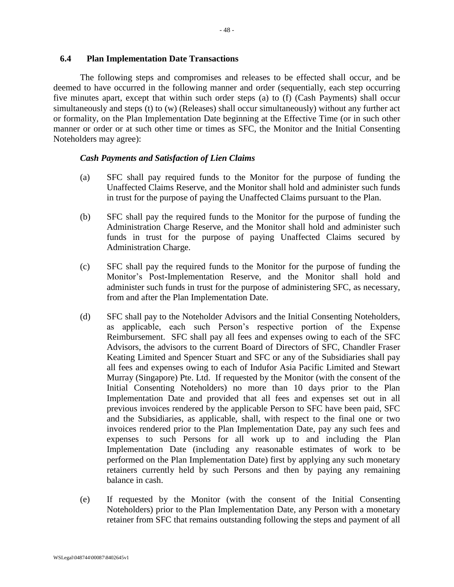### <span id="page-48-0"></span>**6.4 Plan Implementation Date Transactions**

The following steps and compromises and releases to be effected shall occur, and be deemed to have occurred in the following manner and order (sequentially, each step occurring five minutes apart, except that within such order steps [\(a\)](#page-48-1) to [\(f\)](#page-49-0) (Cash Payments) shall occur simultaneously and steps [\(t\)](#page-53-0) to [\(w\)](#page-54-0) (Releases) shall occur simultaneously) without any further act or formality, on the Plan Implementation Date beginning at the Effective Time (or in such other manner or order or at such other time or times as SFC, the Monitor and the Initial Consenting Noteholders may agree):

#### *Cash Payments and Satisfaction of Lien Claims*

- <span id="page-48-1"></span>(a) SFC shall pay required funds to the Monitor for the purpose of funding the Unaffected Claims Reserve, and the Monitor shall hold and administer such funds in trust for the purpose of paying the Unaffected Claims pursuant to the Plan.
- (b) SFC shall pay the required funds to the Monitor for the purpose of funding the Administration Charge Reserve, and the Monitor shall hold and administer such funds in trust for the purpose of paying Unaffected Claims secured by Administration Charge.
- (c) SFC shall pay the required funds to the Monitor for the purpose of funding the Monitor's Post-Implementation Reserve, and the Monitor shall hold and administer such funds in trust for the purpose of administering SFC, as necessary, from and after the Plan Implementation Date.
- <span id="page-48-2"></span>(d) SFC shall pay to the Noteholder Advisors and the Initial Consenting Noteholders, as applicable, each such Person's respective portion of the Expense Reimbursement.SFC shall pay all fees and expenses owing to each of the SFC Advisors, the advisors to the current Board of Directors of SFC, Chandler Fraser Keating Limited and Spencer Stuart and SFC or any of the Subsidiaries shall pay all fees and expenses owing to each of Indufor Asia Pacific Limited and Stewart Murray (Singapore) Pte. Ltd. If requested by the Monitor (with the consent of the Initial Consenting Noteholders) no more than 10 days prior to the Plan Implementation Date and provided that all fees and expenses set out in all previous invoices rendered by the applicable Person to SFC have been paid, SFC and the Subsidiaries, as applicable, shall, with respect to the final one or two invoices rendered prior to the Plan Implementation Date, pay any such fees and expenses to such Persons for all work up to and including the Plan Implementation Date (including any reasonable estimates of work to be performed on the Plan Implementation Date) first by applying any such monetary retainers currently held by such Persons and then by paying any remaining balance in cash.
- (e) If requested by the Monitor (with the consent of the Initial Consenting Noteholders) prior to the Plan Implementation Date, any Person with a monetary retainer from SFC that remains outstanding following the steps and payment of all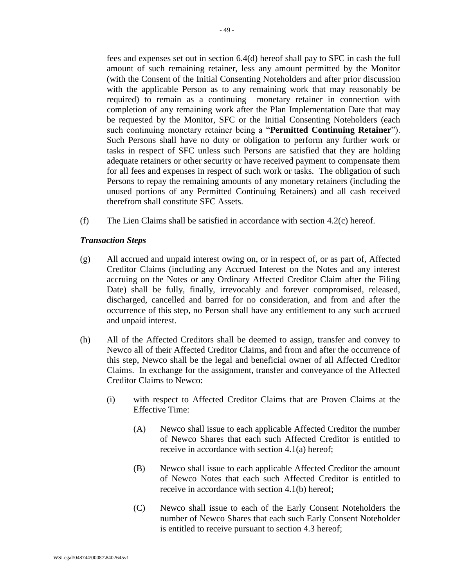fees and expenses set out in section [6.4\(d\)](#page-48-2) hereof shall pay to SFC in cash the full amount of such remaining retainer, less any amount permitted by the Monitor (with the Consent of the Initial Consenting Noteholders and after prior discussion with the applicable Person as to any remaining work that may reasonably be required) to remain as a continuing monetary retainer in connection with completion of any remaining work after the Plan Implementation Date that may be requested by the Monitor, SFC or the Initial Consenting Noteholders (each such continuing monetary retainer being a "**Permitted Continuing Retainer**"). Such Persons shall have no duty or obligation to perform any further work or tasks in respect of SFC unless such Persons are satisfied that they are holding adequate retainers or other security or have received payment to compensate them for all fees and expenses in respect of such work or tasks. The obligation of such Persons to repay the remaining amounts of any monetary retainers (including the unused portions of any Permitted Continuing Retainers) and all cash received therefrom shall constitute SFC Assets.

<span id="page-49-0"></span>(f) The Lien Claims shall be satisfied in accordance with section [4.2\(c\)](#page-28-1) hereof.

### *Transaction Steps*

- (g) All accrued and unpaid interest owing on, or in respect of, or as part of, Affected Creditor Claims (including any Accrued Interest on the Notes and any interest accruing on the Notes or any Ordinary Affected Creditor Claim after the Filing Date) shall be fully, finally, irrevocably and forever compromised, released, discharged, cancelled and barred for no consideration, and from and after the occurrence of this step, no Person shall have any entitlement to any such accrued and unpaid interest.
- <span id="page-49-1"></span>(h) All of the Affected Creditors shall be deemed to assign, transfer and convey to Newco all of their Affected Creditor Claims, and from and after the occurrence of this step, Newco shall be the legal and beneficial owner of all Affected Creditor Claims. In exchange for the assignment, transfer and conveyance of the Affected Creditor Claims to Newco:
	- (i) with respect to Affected Creditor Claims that are Proven Claims at the Effective Time:
		- (A) Newco shall issue to each applicable Affected Creditor the number of Newco Shares that each such Affected Creditor is entitled to receive in accordance with section [4.1\(a\)](#page-27-0) hereof;
		- (B) Newco shall issue to each applicable Affected Creditor the amount of Newco Notes that each such Affected Creditor is entitled to receive in accordance with section [4.1\(b\)](#page-27-1) hereof;
		- (C) Newco shall issue to each of the Early Consent Noteholders the number of Newco Shares that each such Early Consent Noteholder is entitled to receive pursuant to section [4.3](#page-28-0) hereof;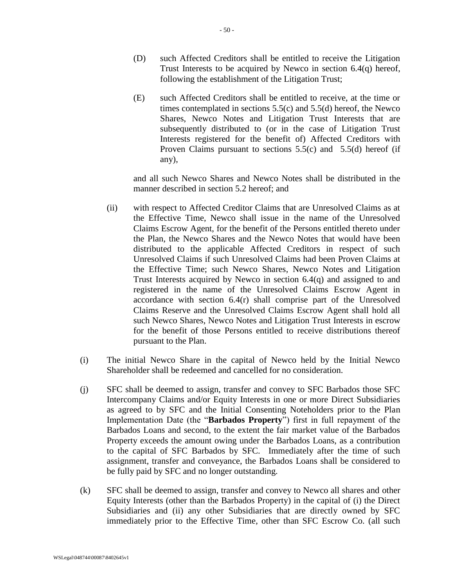- (D) such Affected Creditors shall be entitled to receive the Litigation Trust Interests to be acquired by Newco in section [6.4\(q\)](#page-52-0) hereof, following the establishment of the Litigation Trust;
- (E) such Affected Creditors shall be entitled to receive, at the time or times contemplated in sections [5.5\(c\)](#page-42-1) and [5.5\(d\)](#page-42-2) hereof, the Newco Shares, Newco Notes and Litigation Trust Interests that are subsequently distributed to (or in the case of Litigation Trust Interests registered for the benefit of) Affected Creditors with Proven Claims pursuant to sections  $5.5(c)$  and  $5.5(d)$  hereof (if any),

and all such Newco Shares and Newco Notes shall be distributed in the manner described in section [5.2](#page-36-1) hereof; and

- (ii) with respect to Affected Creditor Claims that are Unresolved Claims as at the Effective Time, Newco shall issue in the name of the Unresolved Claims Escrow Agent, for the benefit of the Persons entitled thereto under the Plan, the Newco Shares and the Newco Notes that would have been distributed to the applicable Affected Creditors in respect of such Unresolved Claims if such Unresolved Claims had been Proven Claims at the Effective Time; such Newco Shares, Newco Notes and Litigation Trust Interests acquired by Newco in section [6.4\(q\)](#page-52-0) and assigned to and registered in the name of the Unresolved Claims Escrow Agent in accordance with section [6.4\(r\)](#page-52-1) shall comprise part of the Unresolved Claims Reserve and the Unresolved Claims Escrow Agent shall hold all such Newco Shares, Newco Notes and Litigation Trust Interests in escrow for the benefit of those Persons entitled to receive distributions thereof pursuant to the Plan.
- (i) The initial Newco Share in the capital of Newco held by the Initial Newco Shareholder shall be redeemed and cancelled for no consideration.
- <span id="page-50-0"></span>(j) SFC shall be deemed to assign, transfer and convey to SFC Barbados those SFC Intercompany Claims and/or Equity Interests in one or more Direct Subsidiaries as agreed to by SFC and the Initial Consenting Noteholders prior to the Plan Implementation Date (the "**Barbados Property**") first in full repayment of the Barbados Loans and second, to the extent the fair market value of the Barbados Property exceeds the amount owing under the Barbados Loans, as a contribution to the capital of SFC Barbados by SFC. Immediately after the time of such assignment, transfer and conveyance, the Barbados Loans shall be considered to be fully paid by SFC and no longer outstanding.
- <span id="page-50-1"></span>(k) SFC shall be deemed to assign, transfer and convey to Newco all shares and other Equity Interests (other than the Barbados Property) in the capital of (i) the Direct Subsidiaries and (ii) any other Subsidiaries that are directly owned by SFC immediately prior to the Effective Time, other than SFC Escrow Co. (all such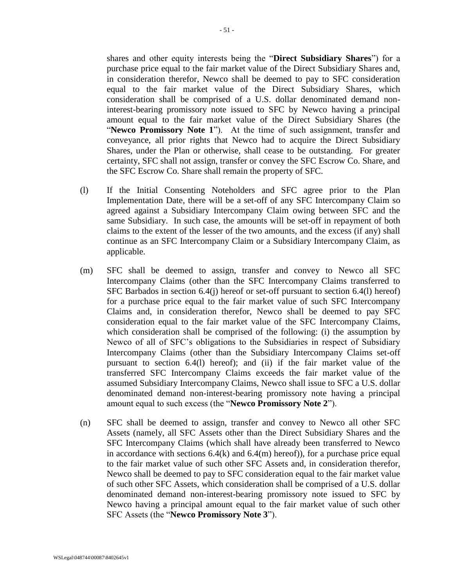shares and other equity interests being the "**Direct Subsidiary Shares**") for a purchase price equal to the fair market value of the Direct Subsidiary Shares and, in consideration therefor, Newco shall be deemed to pay to SFC consideration equal to the fair market value of the Direct Subsidiary Shares, which consideration shall be comprised of a U.S. dollar denominated demand noninterest-bearing promissory note issued to SFC by Newco having a principal amount equal to the fair market value of the Direct Subsidiary Shares (the "**Newco Promissory Note 1**"). At the time of such assignment, transfer and conveyance, all prior rights that Newco had to acquire the Direct Subsidiary Shares, under the Plan or otherwise, shall cease to be outstanding. For greater certainty, SFC shall not assign, transfer or convey the SFC Escrow Co. Share, and the SFC Escrow Co. Share shall remain the property of SFC.

- <span id="page-51-0"></span>(l) If the Initial Consenting Noteholders and SFC agree prior to the Plan Implementation Date, there will be a set-off of any SFC Intercompany Claim so agreed against a Subsidiary Intercompany Claim owing between SFC and the same Subsidiary. In such case, the amounts will be set-off in repayment of both claims to the extent of the lesser of the two amounts, and the excess (if any) shall continue as an SFC Intercompany Claim or a Subsidiary Intercompany Claim, as applicable.
- <span id="page-51-1"></span>(m) SFC shall be deemed to assign, transfer and convey to Newco all SFC Intercompany Claims (other than the SFC Intercompany Claims transferred to SFC Barbados in section [6.4\(j\)](#page-50-0) hereof or set-off pursuant to section [6.4\(l\)](#page-51-0) hereof) for a purchase price equal to the fair market value of such SFC Intercompany Claims and, in consideration therefor, Newco shall be deemed to pay SFC consideration equal to the fair market value of the SFC Intercompany Claims, which consideration shall be comprised of the following: (i) the assumption by Newco of all of SFC's obligations to the Subsidiaries in respect of Subsidiary Intercompany Claims (other than the Subsidiary Intercompany Claims set-off pursuant to section [6.4\(l\)](#page-51-0) hereof); and (ii) if the fair market value of the transferred SFC Intercompany Claims exceeds the fair market value of the assumed Subsidiary Intercompany Claims, Newco shall issue to SFC a U.S. dollar denominated demand non-interest-bearing promissory note having a principal amount equal to such excess (the "**Newco Promissory Note 2**").
- (n) SFC shall be deemed to assign, transfer and convey to Newco all other SFC Assets (namely, all SFC Assets other than the Direct Subsidiary Shares and the SFC Intercompany Claims (which shall have already been transferred to Newco in accordance with sections  $6.4(k)$  and  $6.4(m)$  hereof)), for a purchase price equal to the fair market value of such other SFC Assets and, in consideration therefor, Newco shall be deemed to pay to SFC consideration equal to the fair market value of such other SFC Assets, which consideration shall be comprised of a U.S. dollar denominated demand non-interest-bearing promissory note issued to SFC by Newco having a principal amount equal to the fair market value of such other SFC Assets (the "**Newco Promissory Note 3**").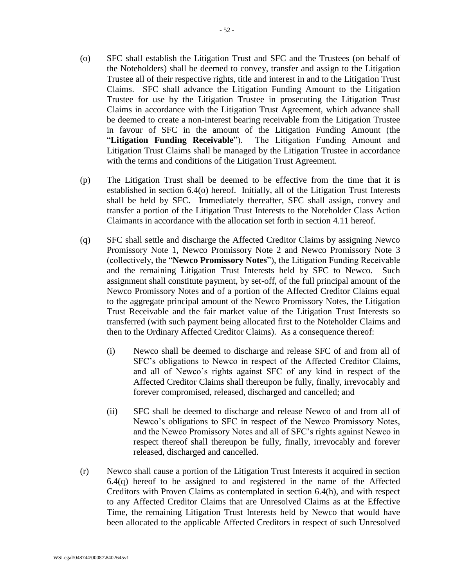- <span id="page-52-2"></span>(o) SFC shall establish the Litigation Trust and SFC and the Trustees (on behalf of the Noteholders) shall be deemed to convey, transfer and assign to the Litigation Trustee all of their respective rights, title and interest in and to the Litigation Trust Claims. SFC shall advance the Litigation Funding Amount to the Litigation Trustee for use by the Litigation Trustee in prosecuting the Litigation Trust Claims in accordance with the Litigation Trust Agreement, which advance shall be deemed to create a non-interest bearing receivable from the Litigation Trustee in favour of SFC in the amount of the Litigation Funding Amount (the "**Litigation Funding Receivable**"). The Litigation Funding Amount and Litigation Trust Claims shall be managed by the Litigation Trustee in accordance with the terms and conditions of the Litigation Trust Agreement.
- (p) The Litigation Trust shall be deemed to be effective from the time that it is established in section [6.4\(o\)](#page-52-2) hereof. Initially, all of the Litigation Trust Interests shall be held by SFC. Immediately thereafter, SFC shall assign, convey and transfer a portion of the Litigation Trust Interests to the Noteholder Class Action Claimants in accordance with the allocation set forth in section [4.11](#page-33-2) hereof.
- <span id="page-52-0"></span>(q) SFC shall settle and discharge the Affected Creditor Claims by assigning Newco Promissory Note 1, Newco Promissory Note 2 and Newco Promissory Note 3 (collectively, the "**Newco Promissory Notes**"), the Litigation Funding Receivable and the remaining Litigation Trust Interests held by SFC to Newco. Such assignment shall constitute payment, by set-off, of the full principal amount of the Newco Promissory Notes and of a portion of the Affected Creditor Claims equal to the aggregate principal amount of the Newco Promissory Notes, the Litigation Trust Receivable and the fair market value of the Litigation Trust Interests so transferred (with such payment being allocated first to the Noteholder Claims and then to the Ordinary Affected Creditor Claims). As a consequence thereof:
	- (i) Newco shall be deemed to discharge and release SFC of and from all of SFC's obligations to Newco in respect of the Affected Creditor Claims, and all of Newco's rights against SFC of any kind in respect of the Affected Creditor Claims shall thereupon be fully, finally, irrevocably and forever compromised, released, discharged and cancelled; and
	- (ii) SFC shall be deemed to discharge and release Newco of and from all of Newco's obligations to SFC in respect of the Newco Promissory Notes, and the Newco Promissory Notes and all of SFC's rights against Newco in respect thereof shall thereupon be fully, finally, irrevocably and forever released, discharged and cancelled.
- <span id="page-52-1"></span>(r) Newco shall cause a portion of the Litigation Trust Interests it acquired in section [6.4\(q\)](#page-52-0) hereof to be assigned to and registered in the name of the Affected Creditors with Proven Claims as contemplated in section [6.4\(h\),](#page-49-1) and with respect to any Affected Creditor Claims that are Unresolved Claims as at the Effective Time, the remaining Litigation Trust Interests held by Newco that would have been allocated to the applicable Affected Creditors in respect of such Unresolved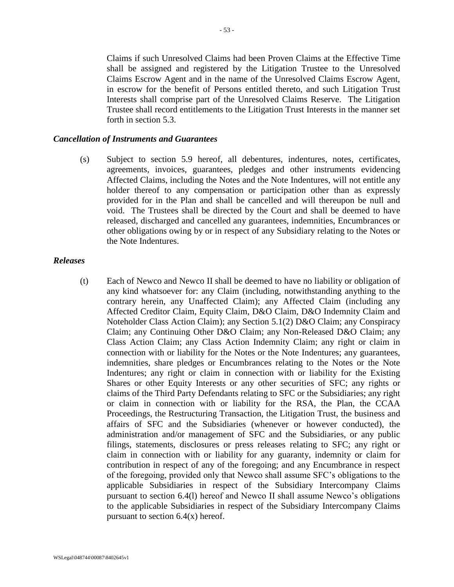Claims if such Unresolved Claims had been Proven Claims at the Effective Time shall be assigned and registered by the Litigation Trustee to the Unresolved Claims Escrow Agent and in the name of the Unresolved Claims Escrow Agent, in escrow for the benefit of Persons entitled thereto, and such Litigation Trust Interests shall comprise part of the Unresolved Claims Reserve. The Litigation Trustee shall record entitlements to the Litigation Trust Interests in the manner set forth in section [5.3.](#page-40-0)

#### *Cancellation of Instruments and Guarantees*

(s) Subject to section [5.9](#page-44-0) hereof, all debentures, indentures, notes, certificates, agreements, invoices, guarantees, pledges and other instruments evidencing Affected Claims, including the Notes and the Note Indentures, will not entitle any holder thereof to any compensation or participation other than as expressly provided for in the Plan and shall be cancelled and will thereupon be null and void. The Trustees shall be directed by the Court and shall be deemed to have released, discharged and cancelled any guarantees, indemnities, Encumbrances or other obligations owing by or in respect of any Subsidiary relating to the Notes or the Note Indentures.

#### <span id="page-53-0"></span>*Releases*

(t) Each of Newco and Newco II shall be deemed to have no liability or obligation of any kind whatsoever for: any Claim (including, notwithstanding anything to the contrary herein, any Unaffected Claim); any Affected Claim (including any Affected Creditor Claim, Equity Claim, D&O Claim, D&O Indemnity Claim and Noteholder Class Action Claim); any Section 5.1(2) D&O Claim; any Conspiracy Claim; any Continuing Other D&O Claim; any Non-Released D&O Claim; any Class Action Claim; any Class Action Indemnity Claim; any right or claim in connection with or liability for the Notes or the Note Indentures; any guarantees, indemnities, share pledges or Encumbrances relating to the Notes or the Note Indentures; any right or claim in connection with or liability for the Existing Shares or other Equity Interests or any other securities of SFC; any rights or claims of the Third Party Defendants relating to SFC or the Subsidiaries; any right or claim in connection with or liability for the RSA, the Plan, the CCAA Proceedings, the Restructuring Transaction, the Litigation Trust, the business and affairs of SFC and the Subsidiaries (whenever or however conducted), the administration and/or management of SFC and the Subsidiaries, or any public filings, statements, disclosures or press releases relating to SFC; any right or claim in connection with or liability for any guaranty, indemnity or claim for contribution in respect of any of the foregoing; and any Encumbrance in respect of the foregoing, provided only that Newco shall assume SFC's obligations to the applicable Subsidiaries in respect of the Subsidiary Intercompany Claims pursuant to section [6.4\(l\)](#page-51-0) hereof and Newco II shall assume Newco's obligations to the applicable Subsidiaries in respect of the Subsidiary Intercompany Claims pursuant to section  $6.4(x)$  hereof.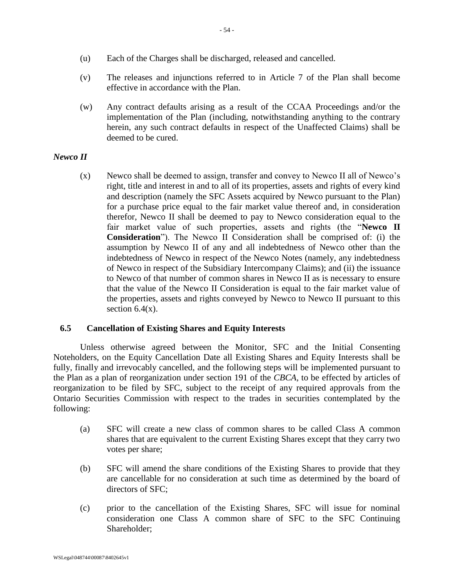- (u) Each of the Charges shall be discharged, released and cancelled.
- (v) The releases and injunctions referred to in [Article 7](#page-56-0) of the Plan shall become effective in accordance with the Plan.
- <span id="page-54-0"></span>(w) Any contract defaults arising as a result of the CCAA Proceedings and/or the implementation of the Plan (including, notwithstanding anything to the contrary herein, any such contract defaults in respect of the Unaffected Claims) shall be deemed to be cured.

## <span id="page-54-1"></span>*Newco II*

(x) Newco shall be deemed to assign, transfer and convey to Newco II all of Newco's right, title and interest in and to all of its properties, assets and rights of every kind and description (namely the SFC Assets acquired by Newco pursuant to the Plan) for a purchase price equal to the fair market value thereof and, in consideration therefor, Newco II shall be deemed to pay to Newco consideration equal to the fair market value of such properties, assets and rights (the "**Newco II Consideration**"). The Newco II Consideration shall be comprised of: (i) the assumption by Newco II of any and all indebtedness of Newco other than the indebtedness of Newco in respect of the Newco Notes (namely, any indebtedness of Newco in respect of the Subsidiary Intercompany Claims); and (ii) the issuance to Newco of that number of common shares in Newco II as is necessary to ensure that the value of the Newco II Consideration is equal to the fair market value of the properties, assets and rights conveyed by Newco to Newco II pursuant to this section  $6.4(x)$ .

## **6.5 Cancellation of Existing Shares and Equity Interests**

Unless otherwise agreed between the Monitor, SFC and the Initial Consenting Noteholders, on the Equity Cancellation Date all Existing Shares and Equity Interests shall be fully, finally and irrevocably cancelled, and the following steps will be implemented pursuant to the Plan as a plan of reorganization under section 191 of the *CBCA,* to be effected by articles of reorganization to be filed by SFC, subject to the receipt of any required approvals from the Ontario Securities Commission with respect to the trades in securities contemplated by the following:

- (a) SFC will create a new class of common shares to be called Class A common shares that are equivalent to the current Existing Shares except that they carry two votes per share;
- (b) SFC will amend the share conditions of the Existing Shares to provide that they are cancellable for no consideration at such time as determined by the board of directors of SFC;
- (c) prior to the cancellation of the Existing Shares, SFC will issue for nominal consideration one Class A common share of SFC to the SFC Continuing Shareholder;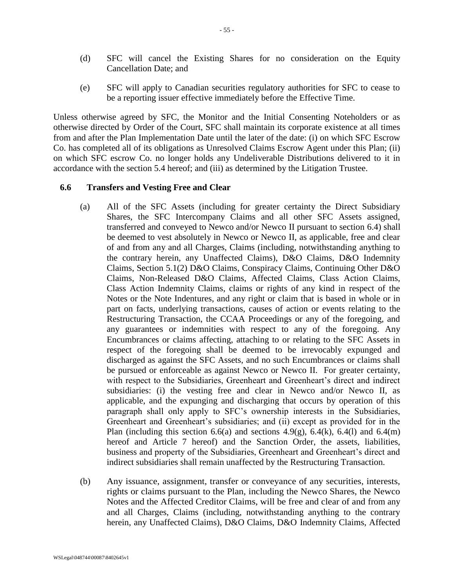- (d) SFC will cancel the Existing Shares for no consideration on the Equity Cancellation Date; and
- (e) SFC will apply to Canadian securities regulatory authorities for SFC to cease to be a reporting issuer effective immediately before the Effective Time.

Unless otherwise agreed by SFC, the Monitor and the Initial Consenting Noteholders or as otherwise directed by Order of the Court, SFC shall maintain its corporate existence at all times from and after the Plan Implementation Date until the later of the date: (i) on which SFC Escrow Co. has completed all of its obligations as Unresolved Claims Escrow Agent under this Plan; (ii) on which SFC escrow Co. no longer holds any Undeliverable Distributions delivered to it in accordance with the section 5.4 hereof; and (iii) as determined by the Litigation Trustee.

### <span id="page-55-0"></span>**6.6 Transfers and Vesting Free and Clear**

- (a) All of the SFC Assets (including for greater certainty the Direct Subsidiary Shares, the SFC Intercompany Claims and all other SFC Assets assigned, transferred and conveyed to Newco and/or Newco II pursuant to section [6.4\)](#page-48-0) shall be deemed to vest absolutely in Newco or Newco II, as applicable, free and clear of and from any and all Charges, Claims (including, notwithstanding anything to the contrary herein, any Unaffected Claims), D&O Claims, D&O Indemnity Claims, Section 5.1(2) D&O Claims, Conspiracy Claims, Continuing Other D&O Claims, Non-Released D&O Claims, Affected Claims, Class Action Claims, Class Action Indemnity Claims, claims or rights of any kind in respect of the Notes or the Note Indentures, and any right or claim that is based in whole or in part on facts, underlying transactions, causes of action or events relating to the Restructuring Transaction, the CCAA Proceedings or any of the foregoing, and any guarantees or indemnities with respect to any of the foregoing. Any Encumbrances or claims affecting, attaching to or relating to the SFC Assets in respect of the foregoing shall be deemed to be irrevocably expunged and discharged as against the SFC Assets, and no such Encumbrances or claims shall be pursued or enforceable as against Newco or Newco II. For greater certainty, with respect to the Subsidiaries, Greenheart and Greenheart's direct and indirect subsidiaries: (i) the vesting free and clear in Newco and/or Newco II, as applicable, and the expunging and discharging that occurs by operation of this paragraph shall only apply to SFC's ownership interests in the Subsidiaries, Greenheart and Greenheart's subsidiaries; and (ii) except as provided for in the Plan (including this section [6.6\(a\)](#page-55-0) and sections [4.9\(g\),](#page-32-0) [6.4\(k\),](#page-50-1) [6.4\(l\)](#page-51-0) and [6.4\(m\)](#page-51-1) hereof and [Article 7](#page-56-0) hereof) and the Sanction Order, the assets, liabilities, business and property of the Subsidiaries, Greenheart and Greenheart's direct and indirect subsidiaries shall remain unaffected by the Restructuring Transaction.
- (b) Any issuance, assignment, transfer or conveyance of any securities, interests, rights or claims pursuant to the Plan, including the Newco Shares, the Newco Notes and the Affected Creditor Claims, will be free and clear of and from any and all Charges, Claims (including, notwithstanding anything to the contrary herein, any Unaffected Claims), D&O Claims, D&O Indemnity Claims, Affected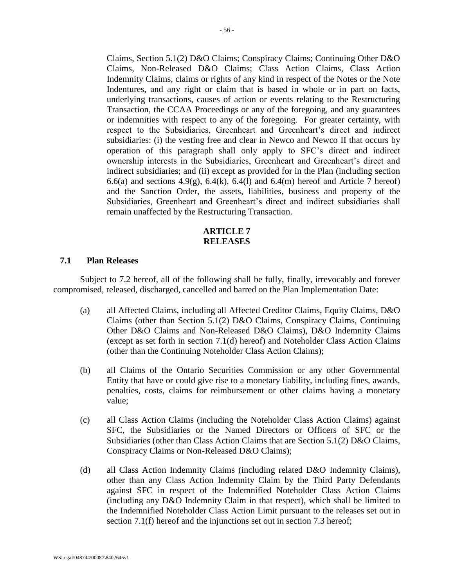Claims, Section 5.1(2) D&O Claims; Conspiracy Claims; Continuing Other D&O Claims, Non-Released D&O Claims; Class Action Claims, Class Action Indemnity Claims, claims or rights of any kind in respect of the Notes or the Note Indentures, and any right or claim that is based in whole or in part on facts, underlying transactions, causes of action or events relating to the Restructuring Transaction, the CCAA Proceedings or any of the foregoing, and any guarantees or indemnities with respect to any of the foregoing. For greater certainty, with respect to the Subsidiaries, Greenheart and Greenheart's direct and indirect subsidiaries: (i) the vesting free and clear in Newco and Newco II that occurs by operation of this paragraph shall only apply to SFC's direct and indirect ownership interests in the Subsidiaries, Greenheart and Greenheart's direct and indirect subsidiaries; and (ii) except as provided for in the Plan (including section [6.6\(a\)](#page-55-0) and sections [4.9\(g\),](#page-32-0) [6.4\(k\),](#page-50-1) [6.4\(l\)](#page-51-0) and [6.4\(m\)](#page-51-1) hereof and [Article 7](#page-56-0) hereof) and the Sanction Order, the assets, liabilities, business and property of the Subsidiaries, Greenheart and Greenheart's direct and indirect subsidiaries shall remain unaffected by the Restructuring Transaction.

# **ARTICLE 7 RELEASES**

### <span id="page-56-2"></span><span id="page-56-0"></span>**7.1 Plan Releases**

Subject to [7.2](#page-59-0) hereof, all of the following shall be fully, finally, irrevocably and forever compromised, released, discharged, cancelled and barred on the Plan Implementation Date:

- (a) all Affected Claims, including all Affected Creditor Claims, Equity Claims, D&O Claims (other than Section 5.1(2) D&O Claims, Conspiracy Claims, Continuing Other D&O Claims and Non-Released D&O Claims), D&O Indemnity Claims (except as set forth in section [7.1\(d\)](#page-56-1) hereof) and Noteholder Class Action Claims (other than the Continuing Noteholder Class Action Claims);
- <span id="page-56-3"></span>(b) all Claims of the Ontario Securities Commission or any other Governmental Entity that have or could give rise to a monetary liability, including fines, awards, penalties, costs, claims for reimbursement or other claims having a monetary value;
- (c) all Class Action Claims (including the Noteholder Class Action Claims) against SFC, the Subsidiaries or the Named Directors or Officers of SFC or the Subsidiaries (other than Class Action Claims that are Section 5.1(2) D&O Claims, Conspiracy Claims or Non-Released D&O Claims);
- <span id="page-56-1"></span>(d) all Class Action Indemnity Claims (including related D&O Indemnity Claims), other than any Class Action Indemnity Claim by the Third Party Defendants against SFC in respect of the Indemnified Noteholder Class Action Claims (including any D&O Indemnity Claim in that respect), which shall be limited to the Indemnified Noteholder Class Action Limit pursuant to the releases set out in section [7.1\(f\)](#page-57-0) hereof and the injunctions set out in section [7.3](#page-60-0) hereof;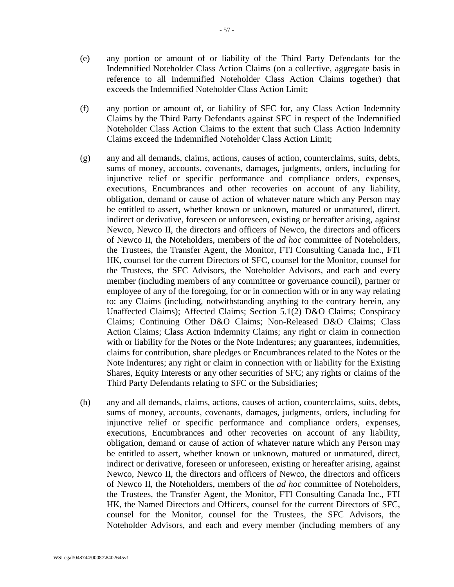- <span id="page-57-1"></span>(e) any portion or amount of or liability of the Third Party Defendants for the Indemnified Noteholder Class Action Claims (on a collective, aggregate basis in reference to all Indemnified Noteholder Class Action Claims together) that exceeds the Indemnified Noteholder Class Action Limit;
- <span id="page-57-0"></span>(f) any portion or amount of, or liability of SFC for, any Class Action Indemnity Claims by the Third Party Defendants against SFC in respect of the Indemnified Noteholder Class Action Claims to the extent that such Class Action Indemnity Claims exceed the Indemnified Noteholder Class Action Limit;
- <span id="page-57-2"></span>(g) any and all demands, claims, actions, causes of action, counterclaims, suits, debts, sums of money, accounts, covenants, damages, judgments, orders, including for injunctive relief or specific performance and compliance orders, expenses, executions, Encumbrances and other recoveries on account of any liability, obligation, demand or cause of action of whatever nature which any Person may be entitled to assert, whether known or unknown, matured or unmatured, direct, indirect or derivative, foreseen or unforeseen, existing or hereafter arising, against Newco, Newco II, the directors and officers of Newco, the directors and officers of Newco II, the Noteholders, members of the *ad hoc* committee of Noteholders, the Trustees, the Transfer Agent, the Monitor, FTI Consulting Canada Inc., FTI HK, counsel for the current Directors of SFC, counsel for the Monitor, counsel for the Trustees, the SFC Advisors, the Noteholder Advisors, and each and every member (including members of any committee or governance council), partner or employee of any of the foregoing, for or in connection with or in any way relating to: any Claims (including, notwithstanding anything to the contrary herein, any Unaffected Claims); Affected Claims; Section 5.1(2) D&O Claims; Conspiracy Claims; Continuing Other D&O Claims; Non-Released D&O Claims; Class Action Claims; Class Action Indemnity Claims; any right or claim in connection with or liability for the Notes or the Note Indentures; any guarantees, indemnities, claims for contribution, share pledges or Encumbrances related to the Notes or the Note Indentures; any right or claim in connection with or liability for the Existing Shares, Equity Interests or any other securities of SFC; any rights or claims of the Third Party Defendants relating to SFC or the Subsidiaries;
- (h) any and all demands, claims, actions, causes of action, counterclaims, suits, debts, sums of money, accounts, covenants, damages, judgments, orders, including for injunctive relief or specific performance and compliance orders, expenses, executions, Encumbrances and other recoveries on account of any liability, obligation, demand or cause of action of whatever nature which any Person may be entitled to assert, whether known or unknown, matured or unmatured, direct, indirect or derivative, foreseen or unforeseen, existing or hereafter arising, against Newco, Newco II, the directors and officers of Newco, the directors and officers of Newco II, the Noteholders, members of the *ad hoc* committee of Noteholders, the Trustees, the Transfer Agent, the Monitor, FTI Consulting Canada Inc., FTI HK, the Named Directors and Officers, counsel for the current Directors of SFC, counsel for the Monitor, counsel for the Trustees, the SFC Advisors, the Noteholder Advisors, and each and every member (including members of any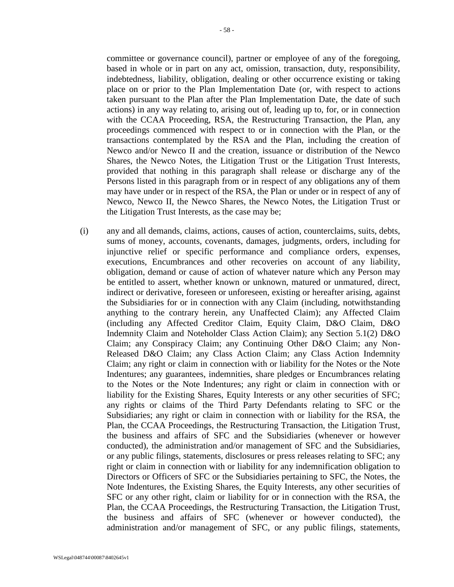committee or governance council), partner or employee of any of the foregoing, based in whole or in part on any act, omission, transaction, duty, responsibility, indebtedness, liability, obligation, dealing or other occurrence existing or taking place on or prior to the Plan Implementation Date (or, with respect to actions taken pursuant to the Plan after the Plan Implementation Date, the date of such actions) in any way relating to, arising out of, leading up to, for, or in connection with the CCAA Proceeding, RSA, the Restructuring Transaction, the Plan, any proceedings commenced with respect to or in connection with the Plan, or the transactions contemplated by the RSA and the Plan, including the creation of Newco and/or Newco II and the creation, issuance or distribution of the Newco Shares, the Newco Notes, the Litigation Trust or the Litigation Trust Interests, provided that nothing in this paragraph shall release or discharge any of the Persons listed in this paragraph from or in respect of any obligations any of them may have under or in respect of the RSA, the Plan or under or in respect of any of Newco, Newco II, the Newco Shares, the Newco Notes, the Litigation Trust or the Litigation Trust Interests, as the case may be;

(i) any and all demands, claims, actions, causes of action, counterclaims, suits, debts, sums of money, accounts, covenants, damages, judgments, orders, including for injunctive relief or specific performance and compliance orders, expenses, executions, Encumbrances and other recoveries on account of any liability, obligation, demand or cause of action of whatever nature which any Person may be entitled to assert, whether known or unknown, matured or unmatured, direct, indirect or derivative, foreseen or unforeseen, existing or hereafter arising, against the Subsidiaries for or in connection with any Claim (including, notwithstanding anything to the contrary herein, any Unaffected Claim); any Affected Claim (including any Affected Creditor Claim, Equity Claim, D&O Claim, D&O Indemnity Claim and Noteholder Class Action Claim); any Section 5.1(2) D&O Claim; any Conspiracy Claim; any Continuing Other D&O Claim; any Non-Released D&O Claim; any Class Action Claim; any Class Action Indemnity Claim; any right or claim in connection with or liability for the Notes or the Note Indentures; any guarantees, indemnities, share pledges or Encumbrances relating to the Notes or the Note Indentures; any right or claim in connection with or liability for the Existing Shares, Equity Interests or any other securities of SFC; any rights or claims of the Third Party Defendants relating to SFC or the Subsidiaries; any right or claim in connection with or liability for the RSA, the Plan, the CCAA Proceedings, the Restructuring Transaction, the Litigation Trust, the business and affairs of SFC and the Subsidiaries (whenever or however conducted), the administration and/or management of SFC and the Subsidiaries, or any public filings, statements, disclosures or press releases relating to SFC; any right or claim in connection with or liability for any indemnification obligation to Directors or Officers of SFC or the Subsidiaries pertaining to SFC, the Notes, the Note Indentures, the Existing Shares, the Equity Interests, any other securities of SFC or any other right, claim or liability for or in connection with the RSA, the Plan, the CCAA Proceedings, the Restructuring Transaction, the Litigation Trust, the business and affairs of SFC (whenever or however conducted), the administration and/or management of SFC, or any public filings, statements,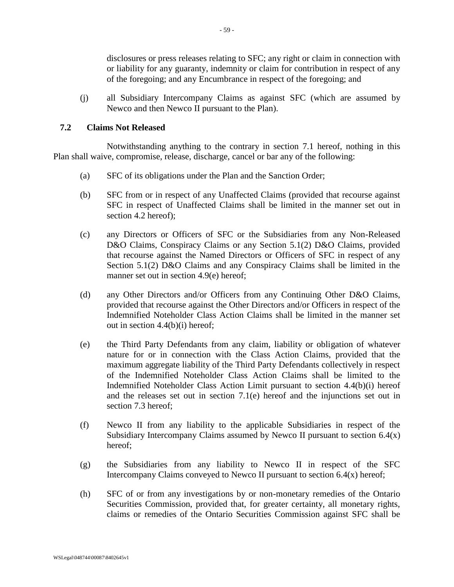disclosures or press releases relating to SFC; any right or claim in connection with or liability for any guaranty, indemnity or claim for contribution in respect of any of the foregoing; and any Encumbrance in respect of the foregoing; and

(j) all Subsidiary Intercompany Claims as against SFC (which are assumed by Newco and then Newco II pursuant to the Plan).

### <span id="page-59-0"></span>**7.2 Claims Not Released**

Notwithstanding anything to the contrary in section [7.1](#page-56-2) hereof, nothing in this Plan shall waive, compromise, release, discharge, cancel or bar any of the following:

- (a) SFC of its obligations under the Plan and the Sanction Order;
- (b) SFC from or in respect of any Unaffected Claims (provided that recourse against SFC in respect of Unaffected Claims shall be limited in the manner set out in section [4.2](#page-27-4) hereof);
- (c) any Directors or Officers of SFC or the Subsidiaries from any Non-Released D&O Claims, Conspiracy Claims or any Section 5.1(2) D&O Claims, provided that recourse against the Named Directors or Officers of SFC in respect of any Section 5.1(2) D&O Claims and any Conspiracy Claims shall be limited in the manner set out in section [4.9\(e\)](#page-32-1) hereof;
- (d) any Other Directors and/or Officers from any Continuing Other D&O Claims, provided that recourse against the Other Directors and/or Officers in respect of the Indemnified Noteholder Class Action Claims shall be limited in the manner set out in section [4.4\(b\)\(i\)](#page-29-1) hereof;
- (e) the Third Party Defendants from any claim, liability or obligation of whatever nature for or in connection with the Class Action Claims, provided that the maximum aggregate liability of the Third Party Defendants collectively in respect of the Indemnified Noteholder Class Action Claims shall be limited to the Indemnified Noteholder Class Action Limit pursuant to section [4.4\(b\)\(i\)](#page-29-1) hereof and the releases set out in section [7.1\(e\)](#page-57-1) hereof and the injunctions set out in section [7.3](#page-60-0) hereof;
- (f) Newco II from any liability to the applicable Subsidiaries in respect of the Subsidiary Intercompany Claims assumed by Newco II pursuant to section  $6.4(x)$ hereof;
- (g) the Subsidiaries from any liability to Newco II in respect of the SFC Intercompany Claims conveyed to Newco II pursuant to section  $6.4(x)$  hereof;
- (h) SFC of or from any investigations by or non-monetary remedies of the Ontario Securities Commission, provided that, for greater certainty, all monetary rights, claims or remedies of the Ontario Securities Commission against SFC shall be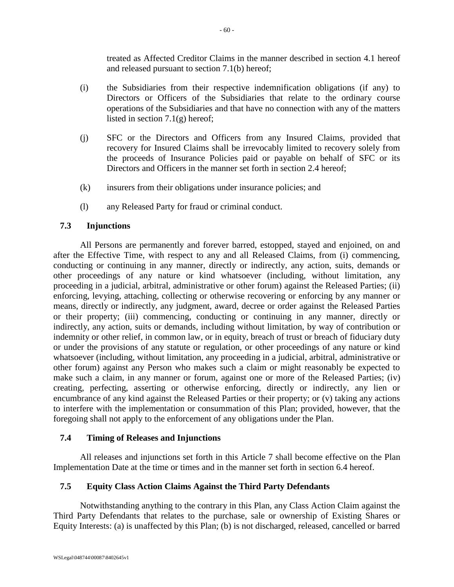treated as Affected Creditor Claims in the manner described in section [4.1](#page-27-3) hereof and released pursuant to section [7.1\(b\)](#page-56-3) hereof;

- (i) the Subsidiaries from their respective indemnification obligations (if any) to Directors or Officers of the Subsidiaries that relate to the ordinary course operations of the Subsidiaries and that have no connection with any of the matters listed in section [7.1\(g\)](#page-57-2) hereof;
- (j) SFC or the Directors and Officers from any Insured Claims, provided that recovery for Insured Claims shall be irrevocably limited to recovery solely from the proceeds of Insurance Policies paid or payable on behalf of SFC or its Directors and Officers in the manner set forth in section [2.4](#page-25-0) hereof;
- (k) insurers from their obligations under insurance policies; and
- (l) any Released Party for fraud or criminal conduct.

# <span id="page-60-0"></span>**7.3 Injunctions**

All Persons are permanently and forever barred, estopped, stayed and enjoined, on and after the Effective Time, with respect to any and all Released Claims, from (i) commencing, conducting or continuing in any manner, directly or indirectly, any action, suits, demands or other proceedings of any nature or kind whatsoever (including, without limitation, any proceeding in a judicial, arbitral, administrative or other forum) against the Released Parties; (ii) enforcing, levying, attaching, collecting or otherwise recovering or enforcing by any manner or means, directly or indirectly, any judgment, award, decree or order against the Released Parties or their property; (iii) commencing, conducting or continuing in any manner, directly or indirectly, any action, suits or demands, including without limitation, by way of contribution or indemnity or other relief, in common law, or in equity, breach of trust or breach of fiduciary duty or under the provisions of any statute or regulation, or other proceedings of any nature or kind whatsoever (including, without limitation, any proceeding in a judicial, arbitral, administrative or other forum) against any Person who makes such a claim or might reasonably be expected to make such a claim, in any manner or forum, against one or more of the Released Parties; (iv) creating, perfecting, asserting or otherwise enforcing, directly or indirectly, any lien or encumbrance of any kind against the Released Parties or their property; or (v) taking any actions to interfere with the implementation or consummation of this Plan; provided, however, that the foregoing shall not apply to the enforcement of any obligations under the Plan.

## **7.4 Timing of Releases and Injunctions**

All releases and injunctions set forth in this [Article 7](#page-56-0) shall become effective on the Plan Implementation Date at the time or times and in the manner set forth in section [6.4](#page-48-0) hereof.

# **7.5 Equity Class Action Claims Against the Third Party Defendants**

Notwithstanding anything to the contrary in this Plan, any Class Action Claim against the Third Party Defendants that relates to the purchase, sale or ownership of Existing Shares or Equity Interests: (a) is unaffected by this Plan; (b) is not discharged, released, cancelled or barred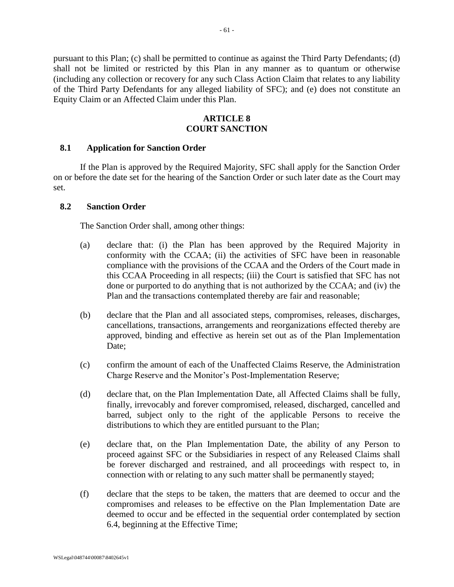pursuant to this Plan; (c) shall be permitted to continue as against the Third Party Defendants; (d) shall not be limited or restricted by this Plan in any manner as to quantum or otherwise (including any collection or recovery for any such Class Action Claim that relates to any liability of the Third Party Defendants for any alleged liability of SFC); and (e) does not constitute an Equity Claim or an Affected Claim under this Plan.

## **ARTICLE 8 COURT SANCTION**

### **8.1 Application for Sanction Order**

If the Plan is approved by the Required Majority, SFC shall apply for the Sanction Order on or before the date set for the hearing of the Sanction Order or such later date as the Court may set.

#### <span id="page-61-0"></span>**8.2 Sanction Order**

The Sanction Order shall, among other things:

- (a) declare that: (i) the Plan has been approved by the Required Majority in conformity with the CCAA; (ii) the activities of SFC have been in reasonable compliance with the provisions of the CCAA and the Orders of the Court made in this CCAA Proceeding in all respects; (iii) the Court is satisfied that SFC has not done or purported to do anything that is not authorized by the CCAA; and (iv) the Plan and the transactions contemplated thereby are fair and reasonable;
- (b) declare that the Plan and all associated steps, compromises, releases, discharges, cancellations, transactions, arrangements and reorganizations effected thereby are approved, binding and effective as herein set out as of the Plan Implementation Date:
- (c) confirm the amount of each of the Unaffected Claims Reserve, the Administration Charge Reserve and the Monitor's Post-Implementation Reserve;
- (d) declare that, on the Plan Implementation Date, all Affected Claims shall be fully, finally, irrevocably and forever compromised, released, discharged, cancelled and barred, subject only to the right of the applicable Persons to receive the distributions to which they are entitled pursuant to the Plan;
- (e) declare that, on the Plan Implementation Date, the ability of any Person to proceed against SFC or the Subsidiaries in respect of any Released Claims shall be forever discharged and restrained, and all proceedings with respect to, in connection with or relating to any such matter shall be permanently stayed;
- (f) declare that the steps to be taken, the matters that are deemed to occur and the compromises and releases to be effective on the Plan Implementation Date are deemed to occur and be effected in the sequential order contemplated by section [6.4,](#page-48-0) beginning at the Effective Time;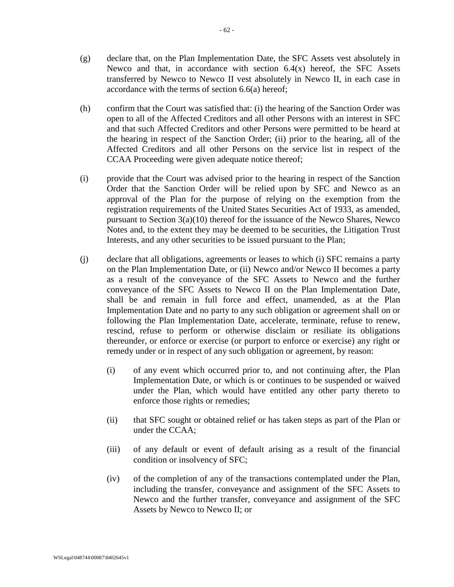- (g) declare that, on the Plan Implementation Date, the SFC Assets vest absolutely in Newco and that, in accordance with section  $6.4(x)$  hereof, the SFC Assets transferred by Newco to Newco II vest absolutely in Newco II, in each case in accordance with the terms of section [6.6\(a\)](#page-55-0) hereof;
- (h) confirm that the Court was satisfied that: (i) the hearing of the Sanction Order was open to all of the Affected Creditors and all other Persons with an interest in SFC and that such Affected Creditors and other Persons were permitted to be heard at the hearing in respect of the Sanction Order; (ii) prior to the hearing, all of the Affected Creditors and all other Persons on the service list in respect of the CCAA Proceeding were given adequate notice thereof;
- (i) provide that the Court was advised prior to the hearing in respect of the Sanction Order that the Sanction Order will be relied upon by SFC and Newco as an approval of the Plan for the purpose of relying on the exemption from the registration requirements of the United States Securities Act of 1933, as amended, pursuant to Section 3(a)(10) thereof for the issuance of the Newco Shares, Newco Notes and, to the extent they may be deemed to be securities, the Litigation Trust Interests, and any other securities to be issued pursuant to the Plan;
- (j) declare that all obligations, agreements or leases to which (i) SFC remains a party on the Plan Implementation Date, or (ii) Newco and/or Newco II becomes a party as a result of the conveyance of the SFC Assets to Newco and the further conveyance of the SFC Assets to Newco II on the Plan Implementation Date, shall be and remain in full force and effect, unamended, as at the Plan Implementation Date and no party to any such obligation or agreement shall on or following the Plan Implementation Date, accelerate, terminate, refuse to renew, rescind, refuse to perform or otherwise disclaim or resiliate its obligations thereunder, or enforce or exercise (or purport to enforce or exercise) any right or remedy under or in respect of any such obligation or agreement, by reason:
	- (i) of any event which occurred prior to, and not continuing after, the Plan Implementation Date, or which is or continues to be suspended or waived under the Plan, which would have entitled any other party thereto to enforce those rights or remedies;
	- (ii) that SFC sought or obtained relief or has taken steps as part of the Plan or under the CCAA;
	- (iii) of any default or event of default arising as a result of the financial condition or insolvency of SFC;
	- (iv) of the completion of any of the transactions contemplated under the Plan, including the transfer, conveyance and assignment of the SFC Assets to Newco and the further transfer, conveyance and assignment of the SFC Assets by Newco to Newco II; or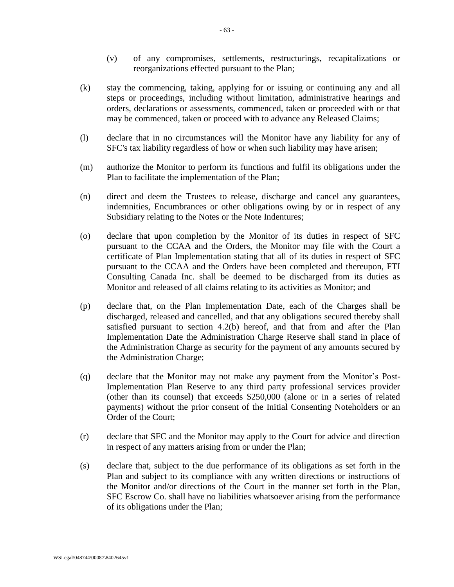- (v) of any compromises, settlements, restructurings, recapitalizations or reorganizations effected pursuant to the Plan;
- (k) stay the commencing, taking, applying for or issuing or continuing any and all steps or proceedings, including without limitation, administrative hearings and orders, declarations or assessments, commenced, taken or proceeded with or that may be commenced, taken or proceed with to advance any Released Claims;
- (l) declare that in no circumstances will the Monitor have any liability for any of SFC's tax liability regardless of how or when such liability may have arisen;
- (m) authorize the Monitor to perform its functions and fulfil its obligations under the Plan to facilitate the implementation of the Plan;
- (n) direct and deem the Trustees to release, discharge and cancel any guarantees, indemnities, Encumbrances or other obligations owing by or in respect of any Subsidiary relating to the Notes or the Note Indentures;
- (o) declare that upon completion by the Monitor of its duties in respect of SFC pursuant to the CCAA and the Orders, the Monitor may file with the Court a certificate of Plan Implementation stating that all of its duties in respect of SFC pursuant to the CCAA and the Orders have been completed and thereupon, FTI Consulting Canada Inc. shall be deemed to be discharged from its duties as Monitor and released of all claims relating to its activities as Monitor; and
- (p) declare that, on the Plan Implementation Date, each of the Charges shall be discharged, released and cancelled, and that any obligations secured thereby shall satisfied pursuant to section [4.2\(b\)](#page-28-2) hereof, and that from and after the Plan Implementation Date the Administration Charge Reserve shall stand in place of the Administration Charge as security for the payment of any amounts secured by the Administration Charge;
- (q) declare that the Monitor may not make any payment from the Monitor's Post-Implementation Plan Reserve to any third party professional services provider (other than its counsel) that exceeds \$250,000 (alone or in a series of related payments) without the prior consent of the Initial Consenting Noteholders or an Order of the Court;
- (r) declare that SFC and the Monitor may apply to the Court for advice and direction in respect of any matters arising from or under the Plan;
- (s) declare that, subject to the due performance of its obligations as set forth in the Plan and subject to its compliance with any written directions or instructions of the Monitor and/or directions of the Court in the manner set forth in the Plan, SFC Escrow Co. shall have no liabilities whatsoever arising from the performance of its obligations under the Plan;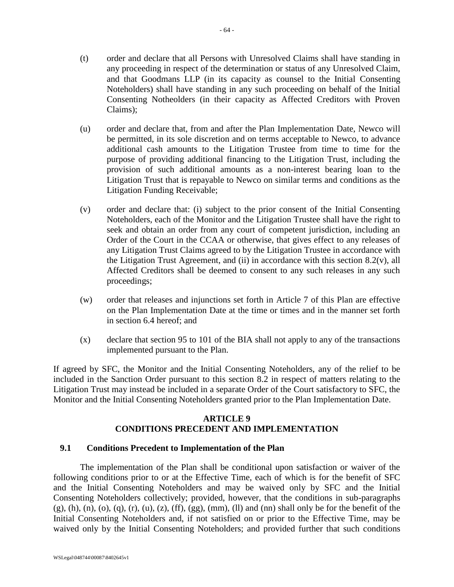- (t) order and declare that all Persons with Unresolved Claims shall have standing in any proceeding in respect of the determination or status of any Unresolved Claim, and that Goodmans LLP (in its capacity as counsel to the Initial Consenting Noteholders) shall have standing in any such proceeding on behalf of the Initial Consenting Notheolders (in their capacity as Affected Creditors with Proven Claims);
- (u) order and declare that, from and after the Plan Implementation Date, Newco will be permitted, in its sole discretion and on terms acceptable to Newco, to advance additional cash amounts to the Litigation Trustee from time to time for the purpose of providing additional financing to the Litigation Trust, including the provision of such additional amounts as a non-interest bearing loan to the Litigation Trust that is repayable to Newco on similar terms and conditions as the Litigation Funding Receivable;
- <span id="page-64-0"></span>(v) order and declare that: (i) subject to the prior consent of the Initial Consenting Noteholders, each of the Monitor and the Litigation Trustee shall have the right to seek and obtain an order from any court of competent jurisdiction, including an Order of the Court in the CCAA or otherwise, that gives effect to any releases of any Litigation Trust Claims agreed to by the Litigation Trustee in accordance with the Litigation Trust Agreement, and (ii) in accordance with this section  $8.2(v)$ , all Affected Creditors shall be deemed to consent to any such releases in any such proceedings;
- (w) order that releases and injunctions set forth in [Article 7](#page-56-0) of this Plan are effective on the Plan Implementation Date at the time or times and in the manner set forth in section [6.4](#page-48-0) hereof; and
- (x) declare that section 95 to 101 of the BIA shall not apply to any of the transactions implemented pursuant to the Plan.

If agreed by SFC, the Monitor and the Initial Consenting Noteholders, any of the relief to be included in the Sanction Order pursuant to this section [8.2](#page-61-0) in respect of matters relating to the Litigation Trust may instead be included in a separate Order of the Court satisfactory to SFC, the Monitor and the Initial Consenting Noteholders granted prior to the Plan Implementation Date.

# **ARTICLE 9 CONDITIONS PRECEDENT AND IMPLEMENTATION**

## <span id="page-64-1"></span>**9.1 Conditions Precedent to Implementation of the Plan**

The implementation of the Plan shall be conditional upon satisfaction or waiver of the following conditions prior to or at the Effective Time, each of which is for the benefit of SFC and the Initial Consenting Noteholders and may be waived only by SFC and the Initial Consenting Noteholders collectively; provided, however, that the conditions in sub-paragraphs  $(g)$ , [\(h\),](#page-66-1) [\(n\),](#page-67-0) [\(o\),](#page-67-1) [\(q\),](#page-67-2) [\(r\),](#page-67-3) [\(u\),](#page-68-0) [\(z\),](#page-68-1) [\(ff\),](#page-69-0) [\(gg\),](#page-69-1) [\(mm\),](#page-70-0) [\(ll\)](#page-70-1) and [\(nn\)](#page-70-2) shall only be for the benefit of the Initial Consenting Noteholders and, if not satisfied on or prior to the Effective Time, may be waived only by the Initial Consenting Noteholders; and provided further that such conditions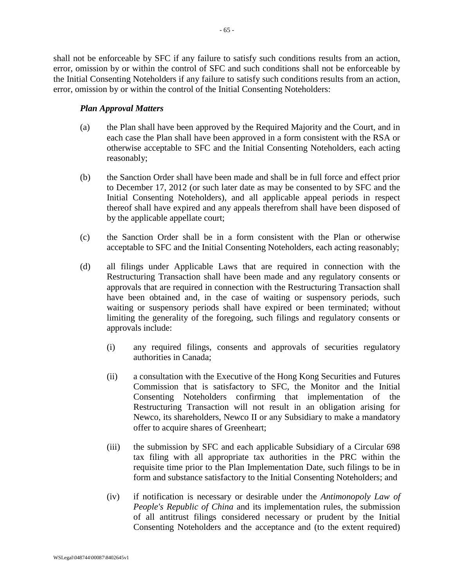shall not be enforceable by SFC if any failure to satisfy such conditions results from an action, error, omission by or within the control of SFC and such conditions shall not be enforceable by the Initial Consenting Noteholders if any failure to satisfy such conditions results from an action, error, omission by or within the control of the Initial Consenting Noteholders:

# *Plan Approval Matters*

- (a) the Plan shall have been approved by the Required Majority and the Court, and in each case the Plan shall have been approved in a form consistent with the RSA or otherwise acceptable to SFC and the Initial Consenting Noteholders, each acting reasonably;
- (b) the Sanction Order shall have been made and shall be in full force and effect prior to December 17, 2012 (or such later date as may be consented to by SFC and the Initial Consenting Noteholders), and all applicable appeal periods in respect thereof shall have expired and any appeals therefrom shall have been disposed of by the applicable appellate court;
- (c) the Sanction Order shall be in a form consistent with the Plan or otherwise acceptable to SFC and the Initial Consenting Noteholders, each acting reasonably;
- (d) all filings under Applicable Laws that are required in connection with the Restructuring Transaction shall have been made and any regulatory consents or approvals that are required in connection with the Restructuring Transaction shall have been obtained and, in the case of waiting or suspensory periods, such waiting or suspensory periods shall have expired or been terminated; without limiting the generality of the foregoing, such filings and regulatory consents or approvals include:
	- (i) any required filings, consents and approvals of securities regulatory authorities in Canada;
	- (ii) a consultation with the Executive of the Hong Kong Securities and Futures Commission that is satisfactory to SFC, the Monitor and the Initial Consenting Noteholders confirming that implementation of the Restructuring Transaction will not result in an obligation arising for Newco, its shareholders, Newco II or any Subsidiary to make a mandatory offer to acquire shares of Greenheart;
	- (iii) the submission by SFC and each applicable Subsidiary of a Circular 698 tax filing with all appropriate tax authorities in the PRC within the requisite time prior to the Plan Implementation Date, such filings to be in form and substance satisfactory to the Initial Consenting Noteholders; and
	- (iv) if notification is necessary or desirable under the *Antimonopoly Law of People's Republic of China* and its implementation rules, the submission of all antitrust filings considered necessary or prudent by the Initial Consenting Noteholders and the acceptance and (to the extent required)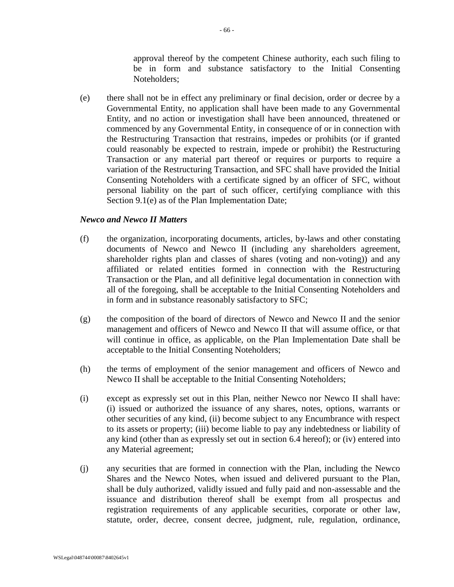approval thereof by the competent Chinese authority, each such filing to be in form and substance satisfactory to the Initial Consenting Noteholders;

<span id="page-66-2"></span>(e) there shall not be in effect any preliminary or final decision, order or decree by a Governmental Entity, no application shall have been made to any Governmental Entity, and no action or investigation shall have been announced, threatened or commenced by any Governmental Entity, in consequence of or in connection with the Restructuring Transaction that restrains, impedes or prohibits (or if granted could reasonably be expected to restrain, impede or prohibit) the Restructuring Transaction or any material part thereof or requires or purports to require a variation of the Restructuring Transaction, and SFC shall have provided the Initial Consenting Noteholders with a certificate signed by an officer of SFC, without personal liability on the part of such officer, certifying compliance with this Section [9.1\(e\)](#page-66-2) as of the Plan Implementation Date;

### *Newco and Newco II Matters*

- (f) the organization, incorporating documents, articles, by-laws and other constating documents of Newco and Newco II (including any shareholders agreement, shareholder rights plan and classes of shares (voting and non-voting)) and any affiliated or related entities formed in connection with the Restructuring Transaction or the Plan, and all definitive legal documentation in connection with all of the foregoing, shall be acceptable to the Initial Consenting Noteholders and in form and in substance reasonably satisfactory to SFC;
- <span id="page-66-0"></span>(g) the composition of the board of directors of Newco and Newco II and the senior management and officers of Newco and Newco II that will assume office, or that will continue in office, as applicable, on the Plan Implementation Date shall be acceptable to the Initial Consenting Noteholders;
- <span id="page-66-1"></span>(h) the terms of employment of the senior management and officers of Newco and Newco II shall be acceptable to the Initial Consenting Noteholders;
- (i) except as expressly set out in this Plan, neither Newco nor Newco II shall have: (i) issued or authorized the issuance of any shares, notes, options, warrants or other securities of any kind, (ii) become subject to any Encumbrance with respect to its assets or property; (iii) become liable to pay any indebtedness or liability of any kind (other than as expressly set out in section [6.4](#page-48-0) hereof); or (iv) entered into any Material agreement;
- (j) any securities that are formed in connection with the Plan, including the Newco Shares and the Newco Notes, when issued and delivered pursuant to the Plan, shall be duly authorized, validly issued and fully paid and non-assessable and the issuance and distribution thereof shall be exempt from all prospectus and registration requirements of any applicable securities, corporate or other law, statute, order, decree, consent decree, judgment, rule, regulation, ordinance,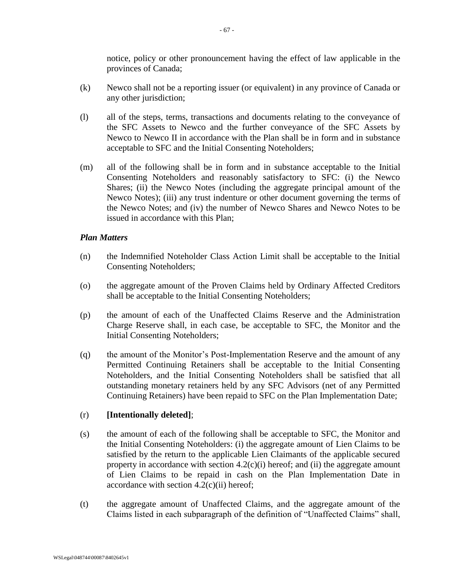notice, policy or other pronouncement having the effect of law applicable in the provinces of Canada;

- (k) Newco shall not be a reporting issuer (or equivalent) in any province of Canada or any other jurisdiction;
- (l) all of the steps, terms, transactions and documents relating to the conveyance of the SFC Assets to Newco and the further conveyance of the SFC Assets by Newco to Newco II in accordance with the Plan shall be in form and in substance acceptable to SFC and the Initial Consenting Noteholders;
- (m) all of the following shall be in form and in substance acceptable to the Initial Consenting Noteholders and reasonably satisfactory to SFC: (i) the Newco Shares; (ii) the Newco Notes (including the aggregate principal amount of the Newco Notes); (iii) any trust indenture or other document governing the terms of the Newco Notes; and (iv) the number of Newco Shares and Newco Notes to be issued in accordance with this Plan;

### *Plan Matters*

- <span id="page-67-0"></span>(n) the Indemnified Noteholder Class Action Limit shall be acceptable to the Initial Consenting Noteholders;
- <span id="page-67-1"></span>(o) the aggregate amount of the Proven Claims held by Ordinary Affected Creditors shall be acceptable to the Initial Consenting Noteholders;
- (p) the amount of each of the Unaffected Claims Reserve and the Administration Charge Reserve shall, in each case, be acceptable to SFC, the Monitor and the Initial Consenting Noteholders;
- <span id="page-67-2"></span>(q) the amount of the Monitor's Post-Implementation Reserve and the amount of any Permitted Continuing Retainers shall be acceptable to the Initial Consenting Noteholders, and the Initial Consenting Noteholders shall be satisfied that all outstanding monetary retainers held by any SFC Advisors (net of any Permitted Continuing Retainers) have been repaid to SFC on the Plan Implementation Date;

## <span id="page-67-3"></span>(r) **[Intentionally deleted]**;

- (s) the amount of each of the following shall be acceptable to SFC, the Monitor and the Initial Consenting Noteholders: (i) the aggregate amount of Lien Claims to be satisfied by the return to the applicable Lien Claimants of the applicable secured property in accordance with section  $4.2(c)(i)$  hereof; and (ii) the aggregate amount of Lien Claims to be repaid in cash on the Plan Implementation Date in accordance with section  $4.2(c)(ii)$  hereof;
- (t) the aggregate amount of Unaffected Claims, and the aggregate amount of the Claims listed in each subparagraph of the definition of "Unaffected Claims" shall,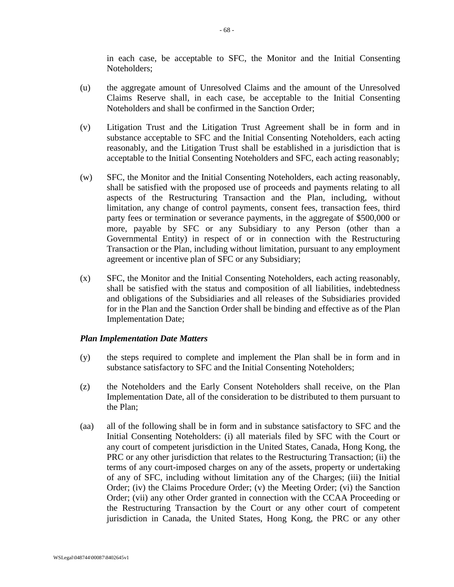in each case, be acceptable to SFC, the Monitor and the Initial Consenting Noteholders;

- <span id="page-68-0"></span>(u) the aggregate amount of Unresolved Claims and the amount of the Unresolved Claims Reserve shall, in each case, be acceptable to the Initial Consenting Noteholders and shall be confirmed in the Sanction Order;
- (v) Litigation Trust and the Litigation Trust Agreement shall be in form and in substance acceptable to SFC and the Initial Consenting Noteholders, each acting reasonably, and the Litigation Trust shall be established in a jurisdiction that is acceptable to the Initial Consenting Noteholders and SFC, each acting reasonably;
- (w) SFC, the Monitor and the Initial Consenting Noteholders, each acting reasonably, shall be satisfied with the proposed use of proceeds and payments relating to all aspects of the Restructuring Transaction and the Plan, including, without limitation, any change of control payments, consent fees, transaction fees, third party fees or termination or severance payments, in the aggregate of \$500,000 or more, payable by SFC or any Subsidiary to any Person (other than a Governmental Entity) in respect of or in connection with the Restructuring Transaction or the Plan, including without limitation, pursuant to any employment agreement or incentive plan of SFC or any Subsidiary;
- (x) SFC, the Monitor and the Initial Consenting Noteholders, each acting reasonably, shall be satisfied with the status and composition of all liabilities, indebtedness and obligations of the Subsidiaries and all releases of the Subsidiaries provided for in the Plan and the Sanction Order shall be binding and effective as of the Plan Implementation Date;

## *Plan Implementation Date Matters*

- (y) the steps required to complete and implement the Plan shall be in form and in substance satisfactory to SFC and the Initial Consenting Noteholders;
- <span id="page-68-1"></span>(z) the Noteholders and the Early Consent Noteholders shall receive, on the Plan Implementation Date, all of the consideration to be distributed to them pursuant to the Plan;
- (aa) all of the following shall be in form and in substance satisfactory to SFC and the Initial Consenting Noteholders: (i) all materials filed by SFC with the Court or any court of competent jurisdiction in the United States, Canada, Hong Kong, the PRC or any other jurisdiction that relates to the Restructuring Transaction; (ii) the terms of any court-imposed charges on any of the assets, property or undertaking of any of SFC, including without limitation any of the Charges; (iii) the Initial Order; (iv) the Claims Procedure Order; (v) the Meeting Order; (vi) the Sanction Order; (vii) any other Order granted in connection with the CCAA Proceeding or the Restructuring Transaction by the Court or any other court of competent jurisdiction in Canada, the United States, Hong Kong, the PRC or any other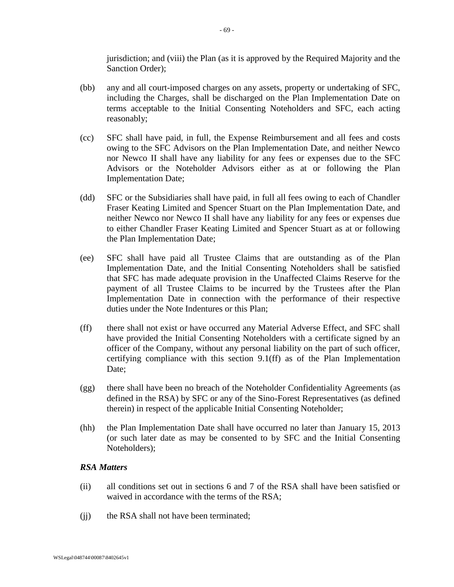jurisdiction; and (viii) the Plan (as it is approved by the Required Majority and the Sanction Order);

- (bb) any and all court-imposed charges on any assets, property or undertaking of SFC, including the Charges, shall be discharged on the Plan Implementation Date on terms acceptable to the Initial Consenting Noteholders and SFC, each acting reasonably;
- (cc) SFC shall have paid, in full, the Expense Reimbursement and all fees and costs owing to the SFC Advisors on the Plan Implementation Date, and neither Newco nor Newco II shall have any liability for any fees or expenses due to the SFC Advisors or the Noteholder Advisors either as at or following the Plan Implementation Date;
- (dd) SFC or the Subsidiaries shall have paid, in full all fees owing to each of Chandler Fraser Keating Limited and Spencer Stuart on the Plan Implementation Date, and neither Newco nor Newco II shall have any liability for any fees or expenses due to either Chandler Fraser Keating Limited and Spencer Stuart as at or following the Plan Implementation Date;
- (ee) SFC shall have paid all Trustee Claims that are outstanding as of the Plan Implementation Date, and the Initial Consenting Noteholders shall be satisfied that SFC has made adequate provision in the Unaffected Claims Reserve for the payment of all Trustee Claims to be incurred by the Trustees after the Plan Implementation Date in connection with the performance of their respective duties under the Note Indentures or this Plan;
- <span id="page-69-0"></span>(ff) there shall not exist or have occurred any Material Adverse Effect, and SFC shall have provided the Initial Consenting Noteholders with a certificate signed by an officer of the Company, without any personal liability on the part of such officer, certifying compliance with this section [9.1\(ff\)](#page-64-1) as of the Plan Implementation Date;
- <span id="page-69-1"></span>(gg) there shall have been no breach of the Noteholder Confidentiality Agreements (as defined in the RSA) by SFC or any of the Sino-Forest Representatives (as defined therein) in respect of the applicable Initial Consenting Noteholder;
- (hh) the Plan Implementation Date shall have occurred no later than January 15, 2013 (or such later date as may be consented to by SFC and the Initial Consenting Noteholders);

## *RSA Matters*

- (ii) all conditions set out in sections 6 and 7 of the RSA shall have been satisfied or waived in accordance with the terms of the RSA;
- (ii) the RSA shall not have been terminated;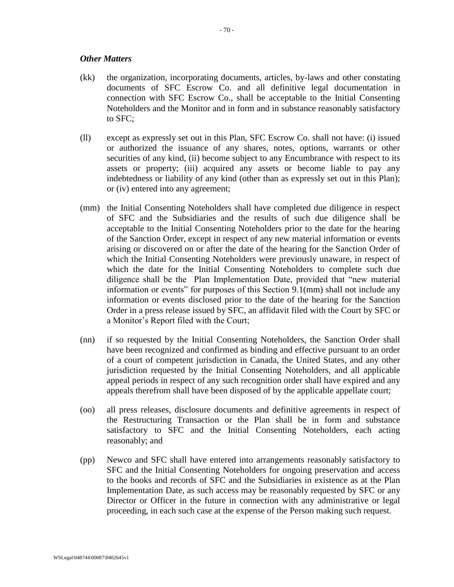### *Other Matters*

- (kk) the organization, incorporating documents, articles, by-laws and other constating documents of SFC Escrow Co. and all definitive legal documentation in connection with SFC Escrow Co., shall be acceptable to the Initial Consenting Noteholders and the Monitor and in form and in substance reasonably satisfactory to SFC;
- <span id="page-70-1"></span>(ll) except as expressly set out in this Plan, SFC Escrow Co. shall not have: (i) issued or authorized the issuance of any shares, notes, options, warrants or other securities of any kind, (ii) become subject to any Encumbrance with respect to its assets or property; (iii) acquired any assets or become liable to pay any indebtedness or liability of any kind (other than as expressly set out in this Plan); or (iv) entered into any agreement;
- <span id="page-70-0"></span>(mm) the Initial Consenting Noteholders shall have completed due diligence in respect of SFC and the Subsidiaries and the results of such due diligence shall be acceptable to the Initial Consenting Noteholders prior to the date for the hearing of the Sanction Order, except in respect of any new material information or events arising or discovered on or after the date of the hearing for the Sanction Order of which the Initial Consenting Noteholders were previously unaware, in respect of which the date for the Initial Consenting Noteholders to complete such due diligence shall be the Plan Implementation Date, provided that "new material information or events" for purposes of this Section [9.1\(mm\)](#page-70-0) shall not include any information or events disclosed prior to the date of the hearing for the Sanction Order in a press release issued by SFC, an affidavit filed with the Court by SFC or a Monitor's Report filed with the Court;
- <span id="page-70-2"></span>(nn) if so requested by the Initial Consenting Noteholders, the Sanction Order shall have been recognized and confirmed as binding and effective pursuant to an order of a court of competent jurisdiction in Canada, the United States, and any other jurisdiction requested by the Initial Consenting Noteholders, and all applicable appeal periods in respect of any such recognition order shall have expired and any appeals therefrom shall have been disposed of by the applicable appellate court;
- (oo) all press releases, disclosure documents and definitive agreements in respect of the Restructuring Transaction or the Plan shall be in form and substance satisfactory to SFC and the Initial Consenting Noteholders, each acting reasonably; and
- (pp) Newco and SFC shall have entered into arrangements reasonably satisfactory to SFC and the Initial Consenting Noteholders for ongoing preservation and access to the books and records of SFC and the Subsidiaries in existence as at the Plan Implementation Date, as such access may be reasonably requested by SFC or any Director or Officer in the future in connection with any administrative or legal proceeding, in each such case at the expense of the Person making such request.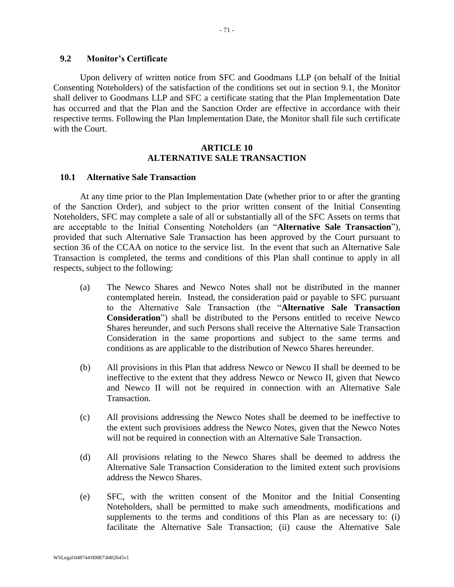# **9.2 Monitor's Certificate**

Upon delivery of written notice from SFC and Goodmans LLP (on behalf of the Initial Consenting Noteholders) of the satisfaction of the conditions set out in section [9.1,](#page-64-1) the Monitor shall deliver to Goodmans LLP and SFC a certificate stating that the Plan Implementation Date has occurred and that the Plan and the Sanction Order are effective in accordance with their respective terms. Following the Plan Implementation Date, the Monitor shall file such certificate with the Court.

### **ARTICLE 10 ALTERNATIVE SALE TRANSACTION**

#### **10.1 Alternative Sale Transaction**

At any time prior to the Plan Implementation Date (whether prior to or after the granting of the Sanction Order), and subject to the prior written consent of the Initial Consenting Noteholders, SFC may complete a sale of all or substantially all of the SFC Assets on terms that are acceptable to the Initial Consenting Noteholders (an "**Alternative Sale Transaction**"), provided that such Alternative Sale Transaction has been approved by the Court pursuant to section 36 of the CCAA on notice to the service list. In the event that such an Alternative Sale Transaction is completed, the terms and conditions of this Plan shall continue to apply in all respects, subject to the following:

- (a) The Newco Shares and Newco Notes shall not be distributed in the manner contemplated herein. Instead, the consideration paid or payable to SFC pursuant to the Alternative Sale Transaction (the "**Alternative Sale Transaction Consideration**") shall be distributed to the Persons entitled to receive Newco Shares hereunder, and such Persons shall receive the Alternative Sale Transaction Consideration in the same proportions and subject to the same terms and conditions as are applicable to the distribution of Newco Shares hereunder.
- (b) All provisions in this Plan that address Newco or Newco II shall be deemed to be ineffective to the extent that they address Newco or Newco II, given that Newco and Newco II will not be required in connection with an Alternative Sale Transaction.
- (c) All provisions addressing the Newco Notes shall be deemed to be ineffective to the extent such provisions address the Newco Notes, given that the Newco Notes will not be required in connection with an Alternative Sale Transaction.
- (d) All provisions relating to the Newco Shares shall be deemed to address the Alternative Sale Transaction Consideration to the limited extent such provisions address the Newco Shares.
- (e) SFC, with the written consent of the Monitor and the Initial Consenting Noteholders, shall be permitted to make such amendments, modifications and supplements to the terms and conditions of this Plan as are necessary to: (i) facilitate the Alternative Sale Transaction; (ii) cause the Alternative Sale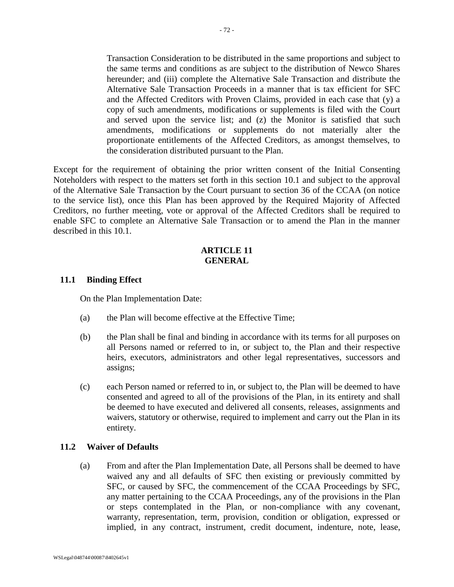Transaction Consideration to be distributed in the same proportions and subject to the same terms and conditions as are subject to the distribution of Newco Shares hereunder; and (iii) complete the Alternative Sale Transaction and distribute the Alternative Sale Transaction Proceeds in a manner that is tax efficient for SFC and the Affected Creditors with Proven Claims, provided in each case that (y) a copy of such amendments, modifications or supplements is filed with the Court and served upon the service list; and (z) the Monitor is satisfied that such amendments, modifications or supplements do not materially alter the proportionate entitlements of the Affected Creditors, as amongst themselves, to the consideration distributed pursuant to the Plan.

Except for the requirement of obtaining the prior written consent of the Initial Consenting Noteholders with respect to the matters set forth in this section [10.1](#page-71-0) and subject to the approval of the Alternative Sale Transaction by the Court pursuant to section 36 of the CCAA (on notice to the service list), once this Plan has been approved by the Required Majority of Affected Creditors, no further meeting, vote or approval of the Affected Creditors shall be required to enable SFC to complete an Alternative Sale Transaction or to amend the Plan in the manner described in this [10.1.](#page-71-0)

## **ARTICLE 11 GENERAL**

## **11.1 Binding Effect**

On the Plan Implementation Date:

- (a) the Plan will become effective at the Effective Time;
- (b) the Plan shall be final and binding in accordance with its terms for all purposes on all Persons named or referred to in, or subject to, the Plan and their respective heirs, executors, administrators and other legal representatives, successors and assigns;
- (c) each Person named or referred to in, or subject to, the Plan will be deemed to have consented and agreed to all of the provisions of the Plan, in its entirety and shall be deemed to have executed and delivered all consents, releases, assignments and waivers, statutory or otherwise, required to implement and carry out the Plan in its entirety.

# **11.2 Waiver of Defaults**

(a) From and after the Plan Implementation Date, all Persons shall be deemed to have waived any and all defaults of SFC then existing or previously committed by SFC, or caused by SFC, the commencement of the CCAA Proceedings by SFC, any matter pertaining to the CCAA Proceedings, any of the provisions in the Plan or steps contemplated in the Plan, or non-compliance with any covenant, warranty, representation, term, provision, condition or obligation, expressed or implied, in any contract, instrument, credit document, indenture, note, lease,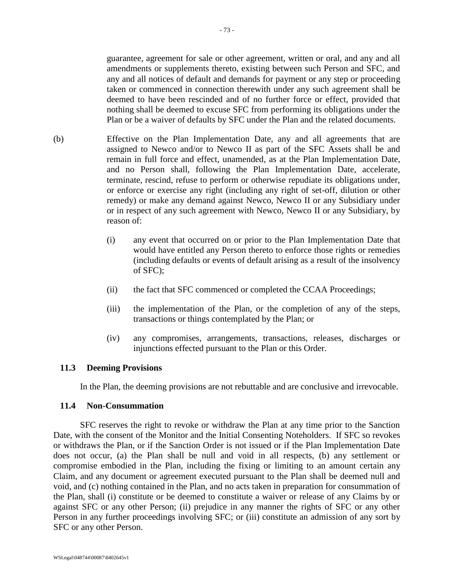guarantee, agreement for sale or other agreement, written or oral, and any and all amendments or supplements thereto, existing between such Person and SFC, and any and all notices of default and demands for payment or any step or proceeding taken or commenced in connection therewith under any such agreement shall be deemed to have been rescinded and of no further force or effect, provided that nothing shall be deemed to excuse SFC from performing its obligations under the Plan or be a waiver of defaults by SFC under the Plan and the related documents.

- (b) Effective on the Plan Implementation Date, any and all agreements that are assigned to Newco and/or to Newco II as part of the SFC Assets shall be and remain in full force and effect, unamended, as at the Plan Implementation Date, and no Person shall, following the Plan Implementation Date, accelerate, terminate, rescind, refuse to perform or otherwise repudiate its obligations under, or enforce or exercise any right (including any right of set-off, dilution or other remedy) or make any demand against Newco, Newco II or any Subsidiary under or in respect of any such agreement with Newco, Newco II or any Subsidiary, by reason of:
	- (i) any event that occurred on or prior to the Plan Implementation Date that would have entitled any Person thereto to enforce those rights or remedies (including defaults or events of default arising as a result of the insolvency of SFC);
	- (ii) the fact that SFC commenced or completed the CCAA Proceedings;
	- (iii) the implementation of the Plan, or the completion of any of the steps, transactions or things contemplated by the Plan; or
	- (iv) any compromises, arrangements, transactions, releases, discharges or injunctions effected pursuant to the Plan or this Order.

### **11.3 Deeming Provisions**

In the Plan, the deeming provisions are not rebuttable and are conclusive and irrevocable.

### **11.4 Non-Consummation**

SFC reserves the right to revoke or withdraw the Plan at any time prior to the Sanction Date, with the consent of the Monitor and the Initial Consenting Noteholders. If SFC so revokes or withdraws the Plan, or if the Sanction Order is not issued or if the Plan Implementation Date does not occur, (a) the Plan shall be null and void in all respects, (b) any settlement or compromise embodied in the Plan, including the fixing or limiting to an amount certain any Claim, and any document or agreement executed pursuant to the Plan shall be deemed null and void, and (c) nothing contained in the Plan, and no acts taken in preparation for consummation of the Plan, shall (i) constitute or be deemed to constitute a waiver or release of any Claims by or against SFC or any other Person; (ii) prejudice in any manner the rights of SFC or any other Person in any further proceedings involving SFC; or (iii) constitute an admission of any sort by SFC or any other Person.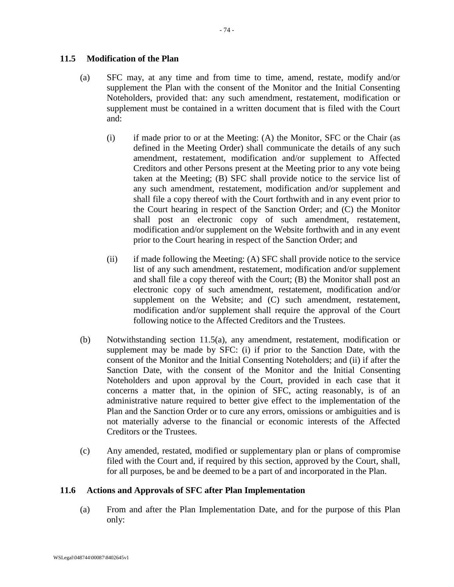# <span id="page-74-0"></span>**11.5 Modification of the Plan**

- (a) SFC may, at any time and from time to time, amend, restate, modify and/or supplement the Plan with the consent of the Monitor and the Initial Consenting Noteholders, provided that: any such amendment, restatement, modification or supplement must be contained in a written document that is filed with the Court and:
	- (i) if made prior to or at the Meeting: (A) the Monitor, SFC or the Chair (as defined in the Meeting Order) shall communicate the details of any such amendment, restatement, modification and/or supplement to Affected Creditors and other Persons present at the Meeting prior to any vote being taken at the Meeting; (B) SFC shall provide notice to the service list of any such amendment, restatement, modification and/or supplement and shall file a copy thereof with the Court forthwith and in any event prior to the Court hearing in respect of the Sanction Order; and (C) the Monitor shall post an electronic copy of such amendment, restatement, modification and/or supplement on the Website forthwith and in any event prior to the Court hearing in respect of the Sanction Order; and
	- (ii) if made following the Meeting: (A) SFC shall provide notice to the service list of any such amendment, restatement, modification and/or supplement and shall file a copy thereof with the Court; (B) the Monitor shall post an electronic copy of such amendment, restatement, modification and/or supplement on the Website; and (C) such amendment, restatement, modification and/or supplement shall require the approval of the Court following notice to the Affected Creditors and the Trustees.
- (b) Notwithstanding section [11.5\(a\),](#page-74-0) any amendment, restatement, modification or supplement may be made by SFC: (i) if prior to the Sanction Date, with the consent of the Monitor and the Initial Consenting Noteholders; and (ii) if after the Sanction Date, with the consent of the Monitor and the Initial Consenting Noteholders and upon approval by the Court, provided in each case that it concerns a matter that, in the opinion of SFC, acting reasonably, is of an administrative nature required to better give effect to the implementation of the Plan and the Sanction Order or to cure any errors, omissions or ambiguities and is not materially adverse to the financial or economic interests of the Affected Creditors or the Trustees.
- (c) Any amended, restated, modified or supplementary plan or plans of compromise filed with the Court and, if required by this section, approved by the Court, shall, for all purposes, be and be deemed to be a part of and incorporated in the Plan.

### **11.6 Actions and Approvals of SFC after Plan Implementation**

(a) From and after the Plan Implementation Date, and for the purpose of this Plan only: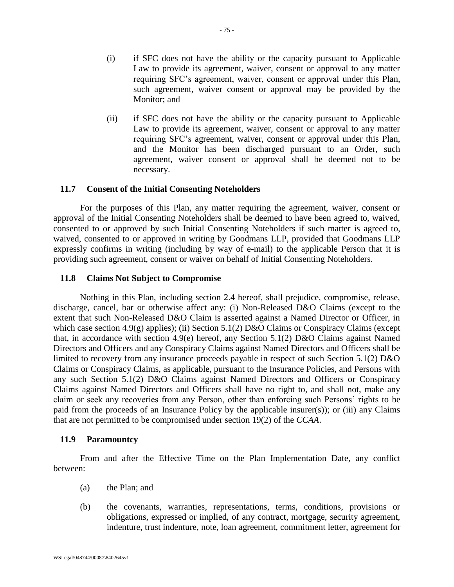- (i) if SFC does not have the ability or the capacity pursuant to Applicable Law to provide its agreement, waiver, consent or approval to any matter requiring SFC's agreement, waiver, consent or approval under this Plan, such agreement, waiver consent or approval may be provided by the Monitor; and
- (ii) if SFC does not have the ability or the capacity pursuant to Applicable Law to provide its agreement, waiver, consent or approval to any matter requiring SFC's agreement, waiver, consent or approval under this Plan, and the Monitor has been discharged pursuant to an Order, such agreement, waiver consent or approval shall be deemed not to be necessary.

## **11.7 Consent of the Initial Consenting Noteholders**

For the purposes of this Plan, any matter requiring the agreement, waiver, consent or approval of the Initial Consenting Noteholders shall be deemed to have been agreed to, waived, consented to or approved by such Initial Consenting Noteholders if such matter is agreed to, waived, consented to or approved in writing by Goodmans LLP, provided that Goodmans LLP expressly confirms in writing (including by way of e-mail) to the applicable Person that it is providing such agreement, consent or waiver on behalf of Initial Consenting Noteholders.

## **11.8 Claims Not Subject to Compromise**

Nothing in this Plan, including section 2.4 hereof, shall prejudice, compromise, release, discharge, cancel, bar or otherwise affect any: (i) Non-Released D&O Claims (except to the extent that such Non-Released D&O Claim is asserted against a Named Director or Officer, in which case section [4.9\(g\)](#page-32-0) applies); (ii) Section 5.1(2) D&O Claims or Conspiracy Claims (except that, in accordance with section [4.9\(e\)](#page-32-1) hereof, any Section 5.1(2) D&O Claims against Named Directors and Officers and any Conspiracy Claims against Named Directors and Officers shall be limited to recovery from any insurance proceeds payable in respect of such Section 5.1(2) D&O Claims or Conspiracy Claims, as applicable, pursuant to the Insurance Policies, and Persons with any such Section 5.1(2) D&O Claims against Named Directors and Officers or Conspiracy Claims against Named Directors and Officers shall have no right to, and shall not, make any claim or seek any recoveries from any Person, other than enforcing such Persons' rights to be paid from the proceeds of an Insurance Policy by the applicable insurer(s)); or (iii) any Claims that are not permitted to be compromised under section 19(2) of the *CCAA*.

### **11.9 Paramountcy**

From and after the Effective Time on the Plan Implementation Date, any conflict between:

- (a) the Plan; and
- (b) the covenants, warranties, representations, terms, conditions, provisions or obligations, expressed or implied, of any contract, mortgage, security agreement, indenture, trust indenture, note, loan agreement, commitment letter, agreement for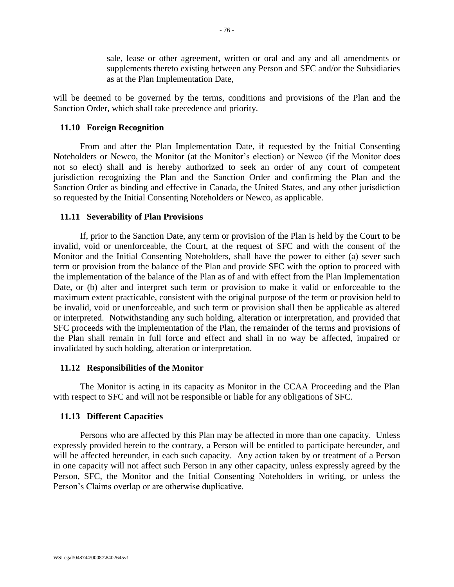sale, lease or other agreement, written or oral and any and all amendments or supplements thereto existing between any Person and SFC and/or the Subsidiaries as at the Plan Implementation Date,

will be deemed to be governed by the terms, conditions and provisions of the Plan and the Sanction Order, which shall take precedence and priority.

### **11.10 Foreign Recognition**

From and after the Plan Implementation Date, if requested by the Initial Consenting Noteholders or Newco, the Monitor (at the Monitor's election) or Newco (if the Monitor does not so elect) shall and is hereby authorized to seek an order of any court of competent jurisdiction recognizing the Plan and the Sanction Order and confirming the Plan and the Sanction Order as binding and effective in Canada, the United States, and any other jurisdiction so requested by the Initial Consenting Noteholders or Newco, as applicable.

### **11.11 Severability of Plan Provisions**

If, prior to the Sanction Date, any term or provision of the Plan is held by the Court to be invalid, void or unenforceable, the Court, at the request of SFC and with the consent of the Monitor and the Initial Consenting Noteholders, shall have the power to either (a) sever such term or provision from the balance of the Plan and provide SFC with the option to proceed with the implementation of the balance of the Plan as of and with effect from the Plan Implementation Date, or (b) alter and interpret such term or provision to make it valid or enforceable to the maximum extent practicable, consistent with the original purpose of the term or provision held to be invalid, void or unenforceable, and such term or provision shall then be applicable as altered or interpreted. Notwithstanding any such holding, alteration or interpretation, and provided that SFC proceeds with the implementation of the Plan, the remainder of the terms and provisions of the Plan shall remain in full force and effect and shall in no way be affected, impaired or invalidated by such holding, alteration or interpretation.

### **11.12 Responsibilities of the Monitor**

The Monitor is acting in its capacity as Monitor in the CCAA Proceeding and the Plan with respect to SFC and will not be responsible or liable for any obligations of SFC.

# **11.13 Different Capacities**

Persons who are affected by this Plan may be affected in more than one capacity. Unless expressly provided herein to the contrary, a Person will be entitled to participate hereunder, and will be affected hereunder, in each such capacity. Any action taken by or treatment of a Person in one capacity will not affect such Person in any other capacity, unless expressly agreed by the Person, SFC, the Monitor and the Initial Consenting Noteholders in writing, or unless the Person's Claims overlap or are otherwise duplicative.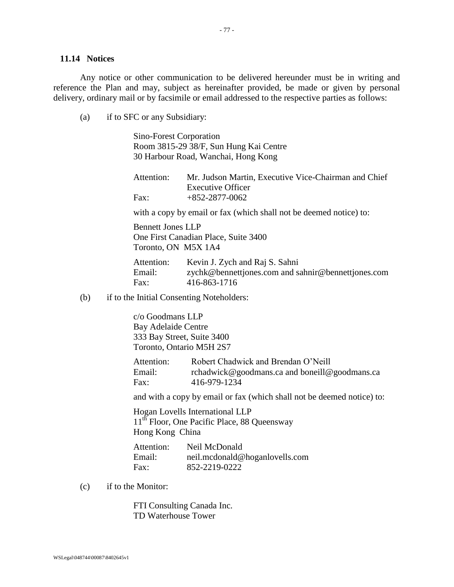### **11.14 Notices**

Any notice or other communication to be delivered hereunder must be in writing and reference the Plan and may, subject as hereinafter provided, be made or given by personal delivery, ordinary mail or by facsimile or email addressed to the respective parties as follows:

(a) if to SFC or any Subsidiary:

Sino-Forest Corporation Room 3815-29 38/F, Sun Hung Kai Centre 30 Harbour Road, Wanchai, Hong Kong

| Attention: | Mr. Judson Martin, Executive Vice-Chairman and Chief |
|------------|------------------------------------------------------|
|            | <b>Executive Officer</b>                             |
| Fax:       | $+852-2877-0062$                                     |

with a copy by email or fax (which shall not be deemed notice) to:

Bennett Jones LLP One First Canadian Place, Suite 3400 Toronto, ON M5X 1A4

Attention: Kevin J. Zych and Raj S. Sahni Email: zychk@bennettjones.com and sahnir@bennettjones.com Fax: 416-863-1716

(b) if to the Initial Consenting Noteholders:

c/o Goodmans LLP Bay Adelaide Centre 333 Bay Street, Suite 3400 Toronto, Ontario M5H 2S7

| Attention: | Robert Chadwick and Brendan O'Neill           |
|------------|-----------------------------------------------|
| Email:     | rchadwick@goodmans.ca and boneill@goodmans.ca |
| Fax:       | 416-979-1234                                  |

and with a copy by email or fax (which shall not be deemed notice) to:

Hogan Lovells International LLP 11<sup>th</sup> Floor, One Pacific Place, 88 Queensway Hong Kong China

Attention: Neil McDonald Email: neil.mcdonald@hoganlovells.com Fax: 852-2219-0222

(c) if to the Monitor:

FTI Consulting Canada Inc. TD Waterhouse Tower